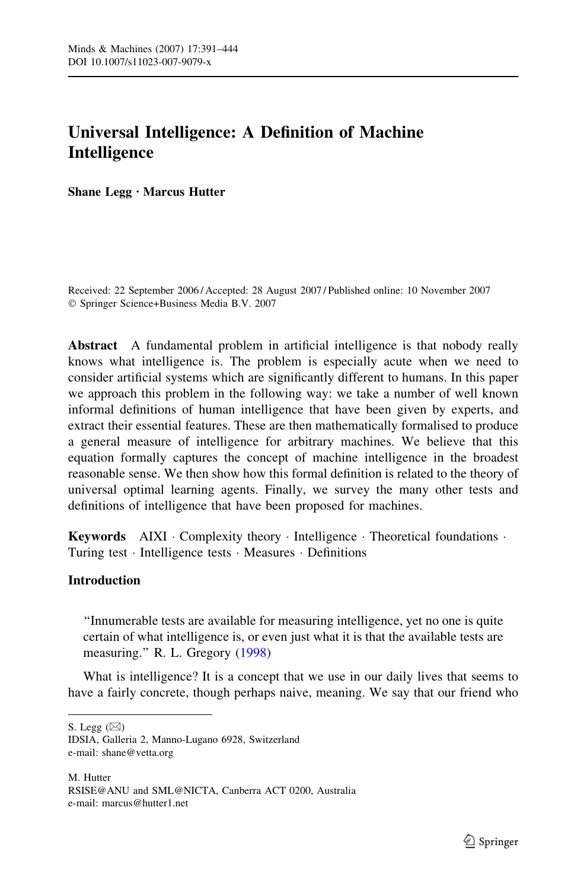# Universal Intelligence: A Definition of Machine Intelligence

Shane Legg  $\cdot$  Marcus Hutter

Received: 22 September 2006 / Accepted: 28 August 2007 / Published online: 10 November 2007 Springer Science+Business Media B.V. 2007

Abstract A fundamental problem in artificial intelligence is that nobody really knows what intelligence is. The problem is especially acute when we need to consider artificial systems which are significantly different to humans. In this paper we approach this problem in the following way: we take a number of well known informal definitions of human intelligence that have been given by experts, and extract their essential features. These are then mathematically formalised to produce a general measure of intelligence for arbitrary machines. We believe that this equation formally captures the concept of machine intelligence in the broadest reasonable sense. We then show how this formal definition is related to the theory of universal optimal learning agents. Finally, we survey the many other tests and definitions of intelligence that have been proposed for machines.

**Keywords** AIXI Complexity theory Intelligence Theoretical foundations  $\cdot$ Turing test  $\cdot$  Intelligence tests  $\cdot$  Measures  $\cdot$  Definitions

### **Introduction**

''Innumerable tests are available for measuring intelligence, yet no one is quite certain of what intelligence is, or even just what it is that the available tests are measuring.'' R. L. Gregory ([1998\)](#page-50-0)

What is intelligence? It is a concept that we use in our daily lives that seems to have a fairly concrete, though perhaps naive, meaning. We say that our friend who

S. Legg  $(\boxtimes)$ 

M. Hutter RSISE@ANU and SML@NICTA, Canberra ACT 0200, Australia e-mail: marcus@hutter1.net

IDSIA, Galleria 2, Manno-Lugano 6928, Switzerland e-mail: shane@vetta.org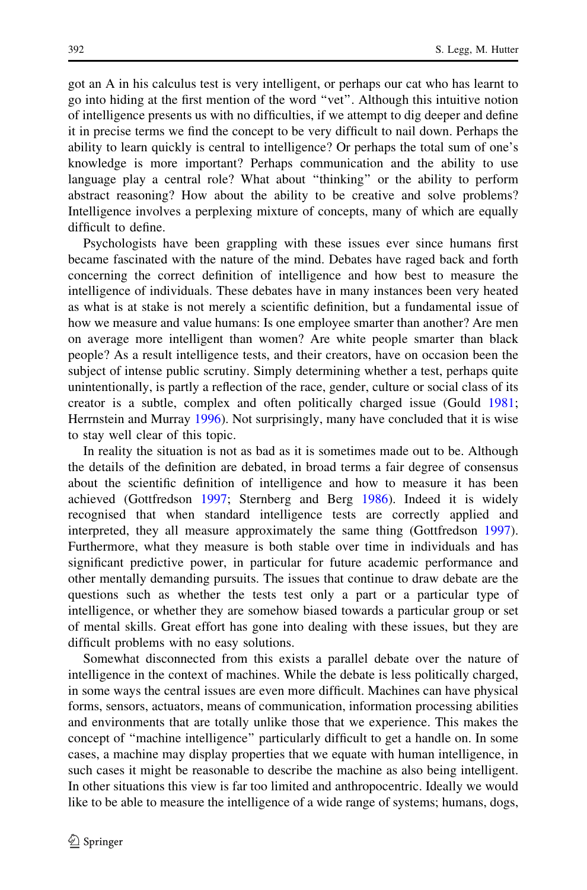got an A in his calculus test is very intelligent, or perhaps our cat who has learnt to go into hiding at the first mention of the word ''vet''. Although this intuitive notion of intelligence presents us with no difficulties, if we attempt to dig deeper and define it in precise terms we find the concept to be very difficult to nail down. Perhaps the ability to learn quickly is central to intelligence? Or perhaps the total sum of one's knowledge is more important? Perhaps communication and the ability to use language play a central role? What about ''thinking'' or the ability to perform abstract reasoning? How about the ability to be creative and solve problems? Intelligence involves a perplexing mixture of concepts, many of which are equally difficult to define.

Psychologists have been grappling with these issues ever since humans first became fascinated with the nature of the mind. Debates have raged back and forth concerning the correct definition of intelligence and how best to measure the intelligence of individuals. These debates have in many instances been very heated as what is at stake is not merely a scientific definition, but a fundamental issue of how we measure and value humans: Is one employee smarter than another? Are men on average more intelligent than women? Are white people smarter than black people? As a result intelligence tests, and their creators, have on occasion been the subject of intense public scrutiny. Simply determining whether a test, perhaps quite unintentionally, is partly a reflection of the race, gender, culture or social class of its creator is a subtle, complex and often politically charged issue (Gould [1981;](#page-50-0) Herrnstein and Murray [1996\)](#page-50-0). Not surprisingly, many have concluded that it is wise to stay well clear of this topic.

In reality the situation is not as bad as it is sometimes made out to be. Although the details of the definition are debated, in broad terms a fair degree of consensus about the scientific definition of intelligence and how to measure it has been achieved (Gottfredson [1997](#page-50-0); Sternberg and Berg [1986\)](#page-52-0). Indeed it is widely recognised that when standard intelligence tests are correctly applied and interpreted, they all measure approximately the same thing (Gottfredson [1997\)](#page-50-0). Furthermore, what they measure is both stable over time in individuals and has significant predictive power, in particular for future academic performance and other mentally demanding pursuits. The issues that continue to draw debate are the questions such as whether the tests test only a part or a particular type of intelligence, or whether they are somehow biased towards a particular group or set of mental skills. Great effort has gone into dealing with these issues, but they are difficult problems with no easy solutions.

Somewhat disconnected from this exists a parallel debate over the nature of intelligence in the context of machines. While the debate is less politically charged, in some ways the central issues are even more difficult. Machines can have physical forms, sensors, actuators, means of communication, information processing abilities and environments that are totally unlike those that we experience. This makes the concept of ''machine intelligence'' particularly difficult to get a handle on. In some cases, a machine may display properties that we equate with human intelligence, in such cases it might be reasonable to describe the machine as also being intelligent. In other situations this view is far too limited and anthropocentric. Ideally we would like to be able to measure the intelligence of a wide range of systems; humans, dogs,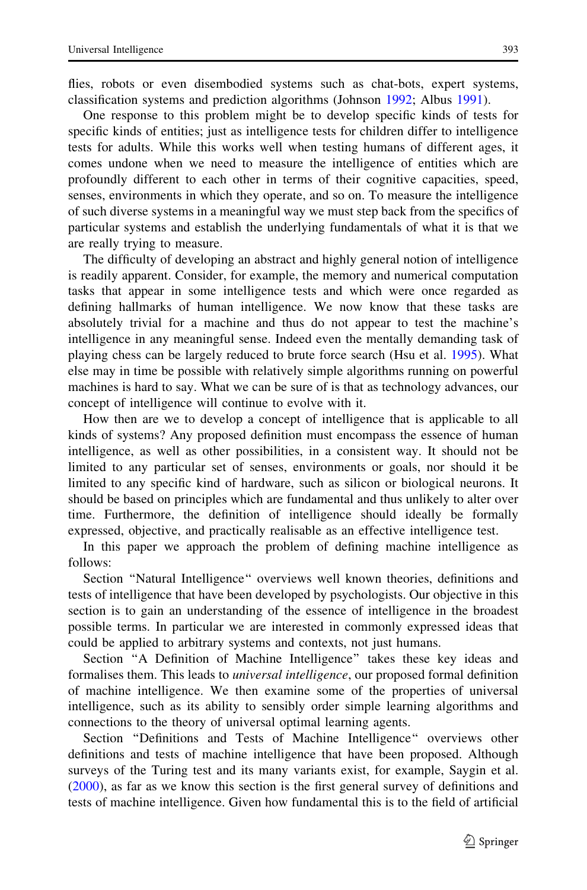flies, robots or even disembodied systems such as chat-bots, expert systems, classification systems and prediction algorithms (Johnson [1992;](#page-51-0) Albus [1991\)](#page-49-0).

One response to this problem might be to develop specific kinds of tests for specific kinds of entities; just as intelligence tests for children differ to intelligence tests for adults. While this works well when testing humans of different ages, it comes undone when we need to measure the intelligence of entities which are profoundly different to each other in terms of their cognitive capacities, speed, senses, environments in which they operate, and so on. To measure the intelligence of such diverse systems in a meaningful way we must step back from the specifics of particular systems and establish the underlying fundamentals of what it is that we are really trying to measure.

The difficulty of developing an abstract and highly general notion of intelligence is readily apparent. Consider, for example, the memory and numerical computation tasks that appear in some intelligence tests and which were once regarded as defining hallmarks of human intelligence. We now know that these tasks are absolutely trivial for a machine and thus do not appear to test the machine's intelligence in any meaningful sense. Indeed even the mentally demanding task of playing chess can be largely reduced to brute force search (Hsu et al. [1995\)](#page-51-0). What else may in time be possible with relatively simple algorithms running on powerful machines is hard to say. What we can be sure of is that as technology advances, our concept of intelligence will continue to evolve with it.

How then are we to develop a concept of intelligence that is applicable to all kinds of systems? Any proposed definition must encompass the essence of human intelligence, as well as other possibilities, in a consistent way. It should not be limited to any particular set of senses, environments or goals, nor should it be limited to any specific kind of hardware, such as silicon or biological neurons. It should be based on principles which are fundamental and thus unlikely to alter over time. Furthermore, the definition of intelligence should ideally be formally expressed, objective, and practically realisable as an effective intelligence test.

In this paper we approach the problem of defining machine intelligence as follows:

Section ''Natural Intelligence'' overviews well known theories, definitions and tests of intelligence that have been developed by psychologists. Our objective in this section is to gain an understanding of the essence of intelligence in the broadest possible terms. In particular we are interested in commonly expressed ideas that could be applied to arbitrary systems and contexts, not just humans.

Section ''A Definition of Machine Intelligence'' takes these key ideas and formalises them. This leads to *universal intelligence*, our proposed formal definition of machine intelligence. We then examine some of the properties of universal intelligence, such as its ability to sensibly order simple learning algorithms and connections to the theory of universal optimal learning agents.

Section ''Definitions and Tests of Machine Intelligence'' overviews other definitions and tests of machine intelligence that have been proposed. Although surveys of the Turing test and its many variants exist, for example, Saygin et al. [\(2000](#page-52-0)), as far as we know this section is the first general survey of definitions and tests of machine intelligence. Given how fundamental this is to the field of artificial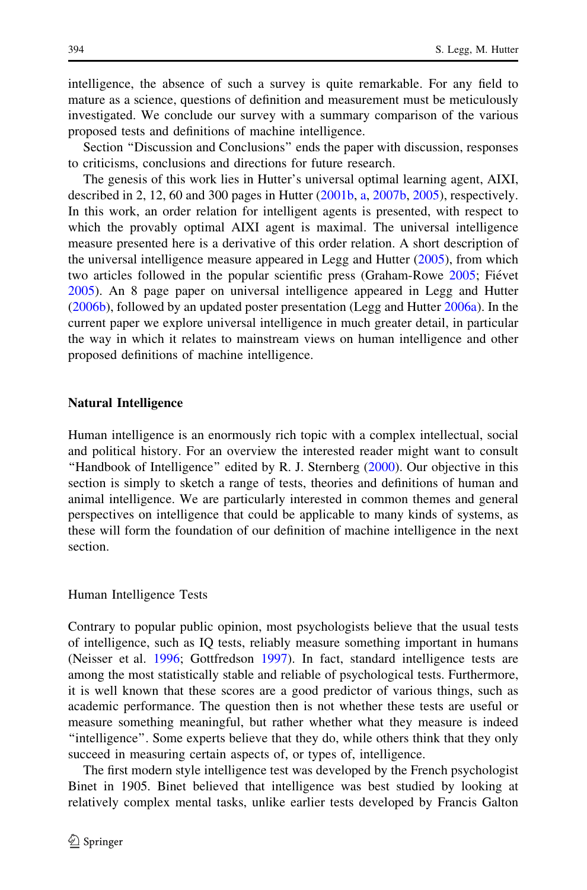intelligence, the absence of such a survey is quite remarkable. For any field to mature as a science, questions of definition and measurement must be meticulously investigated. We conclude our survey with a summary comparison of the various proposed tests and definitions of machine intelligence.

Section "Discussion and Conclusions" ends the paper with discussion, responses to criticisms, conclusions and directions for future research.

The genesis of this work lies in Hutter's universal optimal learning agent, AIXI, described in 2, 12, 60 and 300 pages in Hutter [\(2001b](#page-51-0), [a](#page-51-0), [2007b](#page-51-0), [2005](#page-51-0)), respectively. In this work, an order relation for intelligent agents is presented, with respect to which the provably optimal AIXI agent is maximal. The universal intelligence measure presented here is a derivative of this order relation. A short description of the universal intelligence measure appeared in Legg and Hutter [\(2005](#page-51-0)), from which two articles followed in the popular scientific press (Graham-Rowe [2005](#page-50-0); Fiet vet [2005\)](#page-50-0). An 8 page paper on universal intelligence appeared in Legg and Hutter [\(2006b](#page-51-0)), followed by an updated poster presentation (Legg and Hutter [2006a](#page-51-0)). In the current paper we explore universal intelligence in much greater detail, in particular the way in which it relates to mainstream views on human intelligence and other proposed definitions of machine intelligence.

#### Natural Intelligence

Human intelligence is an enormously rich topic with a complex intellectual, social and political history. For an overview the interested reader might want to consult "Handbook of Intelligence" edited by R. J. Sternberg ([2000\)](#page-52-0). Our objective in this section is simply to sketch a range of tests, theories and definitions of human and animal intelligence. We are particularly interested in common themes and general perspectives on intelligence that could be applicable to many kinds of systems, as these will form the foundation of our definition of machine intelligence in the next section.

#### Human Intelligence Tests

Contrary to popular public opinion, most psychologists believe that the usual tests of intelligence, such as IQ tests, reliably measure something important in humans (Neisser et al. [1996;](#page-52-0) Gottfredson [1997](#page-50-0)). In fact, standard intelligence tests are among the most statistically stable and reliable of psychological tests. Furthermore, it is well known that these scores are a good predictor of various things, such as academic performance. The question then is not whether these tests are useful or measure something meaningful, but rather whether what they measure is indeed ''intelligence''. Some experts believe that they do, while others think that they only succeed in measuring certain aspects of, or types of, intelligence.

The first modern style intelligence test was developed by the French psychologist Binet in 1905. Binet believed that intelligence was best studied by looking at relatively complex mental tasks, unlike earlier tests developed by Francis Galton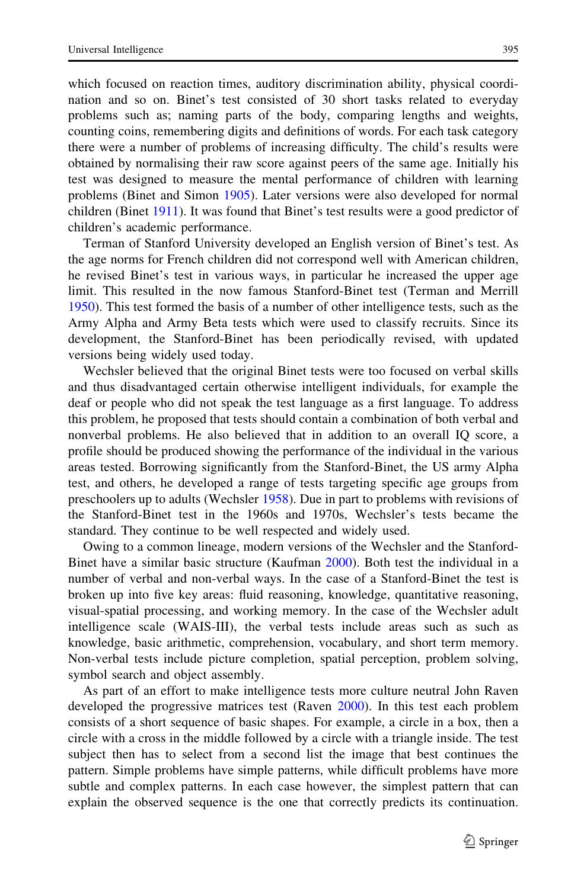which focused on reaction times, auditory discrimination ability, physical coordination and so on. Binet's test consisted of 30 short tasks related to everyday problems such as; naming parts of the body, comparing lengths and weights, counting coins, remembering digits and definitions of words. For each task category there were a number of problems of increasing difficulty. The child's results were obtained by normalising their raw score against peers of the same age. Initially his test was designed to measure the mental performance of children with learning problems (Binet and Simon [1905](#page-49-0)). Later versions were also developed for normal children (Binet [1911](#page-49-0)). It was found that Binet's test results were a good predictor of children's academic performance.

Terman of Stanford University developed an English version of Binet's test. As the age norms for French children did not correspond well with American children, he revised Binet's test in various ways, in particular he increased the upper age limit. This resulted in the now famous Stanford-Binet test (Terman and Merrill [1950\)](#page-52-0). This test formed the basis of a number of other intelligence tests, such as the Army Alpha and Army Beta tests which were used to classify recruits. Since its development, the Stanford-Binet has been periodically revised, with updated versions being widely used today.

Wechsler believed that the original Binet tests were too focused on verbal skills and thus disadvantaged certain otherwise intelligent individuals, for example the deaf or people who did not speak the test language as a first language. To address this problem, he proposed that tests should contain a combination of both verbal and nonverbal problems. He also believed that in addition to an overall IQ score, a profile should be produced showing the performance of the individual in the various areas tested. Borrowing significantly from the Stanford-Binet, the US army Alpha test, and others, he developed a range of tests targeting specific age groups from preschoolers up to adults (Wechsler [1958](#page-53-0)). Due in part to problems with revisions of the Stanford-Binet test in the 1960s and 1970s, Wechsler's tests became the standard. They continue to be well respected and widely used.

Owing to a common lineage, modern versions of the Wechsler and the Stanford-Binet have a similar basic structure (Kaufman [2000\)](#page-51-0). Both test the individual in a number of verbal and non-verbal ways. In the case of a Stanford-Binet the test is broken up into five key areas: fluid reasoning, knowledge, quantitative reasoning, visual-spatial processing, and working memory. In the case of the Wechsler adult intelligence scale (WAIS-III), the verbal tests include areas such as such as knowledge, basic arithmetic, comprehension, vocabulary, and short term memory. Non-verbal tests include picture completion, spatial perception, problem solving, symbol search and object assembly.

As part of an effort to make intelligence tests more culture neutral John Raven developed the progressive matrices test (Raven [2000\)](#page-52-0). In this test each problem consists of a short sequence of basic shapes. For example, a circle in a box, then a circle with a cross in the middle followed by a circle with a triangle inside. The test subject then has to select from a second list the image that best continues the pattern. Simple problems have simple patterns, while difficult problems have more subtle and complex patterns. In each case however, the simplest pattern that can explain the observed sequence is the one that correctly predicts its continuation.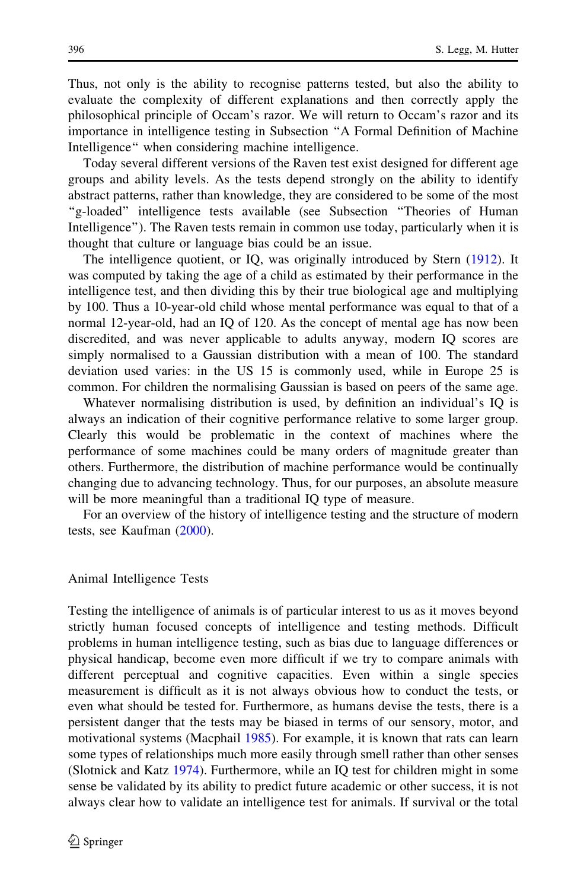Thus, not only is the ability to recognise patterns tested, but also the ability to evaluate the complexity of different explanations and then correctly apply the philosophical principle of Occam's razor. We will return to Occam's razor and its importance in intelligence testing in Subsection ''A Formal Definition of Machine Intelligence'' when considering machine intelligence.

Today several different versions of the Raven test exist designed for different age groups and ability levels. As the tests depend strongly on the ability to identify abstract patterns, rather than knowledge, they are considered to be some of the most "g-loaded" intelligence tests available (see Subsection "Theories of Human Intelligence''). The Raven tests remain in common use today, particularly when it is thought that culture or language bias could be an issue.

The intelligence quotient, or IQ, was originally introduced by Stern ([1912](#page-52-0)). It was computed by taking the age of a child as estimated by their performance in the intelligence test, and then dividing this by their true biological age and multiplying by 100. Thus a 10-year-old child whose mental performance was equal to that of a normal 12-year-old, had an IQ of 120. As the concept of mental age has now been discredited, and was never applicable to adults anyway, modern IQ scores are simply normalised to a Gaussian distribution with a mean of 100. The standard deviation used varies: in the US 15 is commonly used, while in Europe 25 is common. For children the normalising Gaussian is based on peers of the same age.

Whatever normalising distribution is used, by definition an individual's IQ is always an indication of their cognitive performance relative to some larger group. Clearly this would be problematic in the context of machines where the performance of some machines could be many orders of magnitude greater than others. Furthermore, the distribution of machine performance would be continually changing due to advancing technology. Thus, for our purposes, an absolute measure will be more meaningful than a traditional IQ type of measure.

For an overview of the history of intelligence testing and the structure of modern tests, see Kaufman ([2000\)](#page-51-0).

#### Animal Intelligence Tests

Testing the intelligence of animals is of particular interest to us as it moves beyond strictly human focused concepts of intelligence and testing methods. Difficult problems in human intelligence testing, such as bias due to language differences or physical handicap, become even more difficult if we try to compare animals with different perceptual and cognitive capacities. Even within a single species measurement is difficult as it is not always obvious how to conduct the tests, or even what should be tested for. Furthermore, as humans devise the tests, there is a persistent danger that the tests may be biased in terms of our sensory, motor, and motivational systems (Macphail [1985](#page-51-0)). For example, it is known that rats can learn some types of relationships much more easily through smell rather than other senses (Slotnick and Katz [1974](#page-52-0)). Furthermore, while an IQ test for children might in some sense be validated by its ability to predict future academic or other success, it is not always clear how to validate an intelligence test for animals. If survival or the total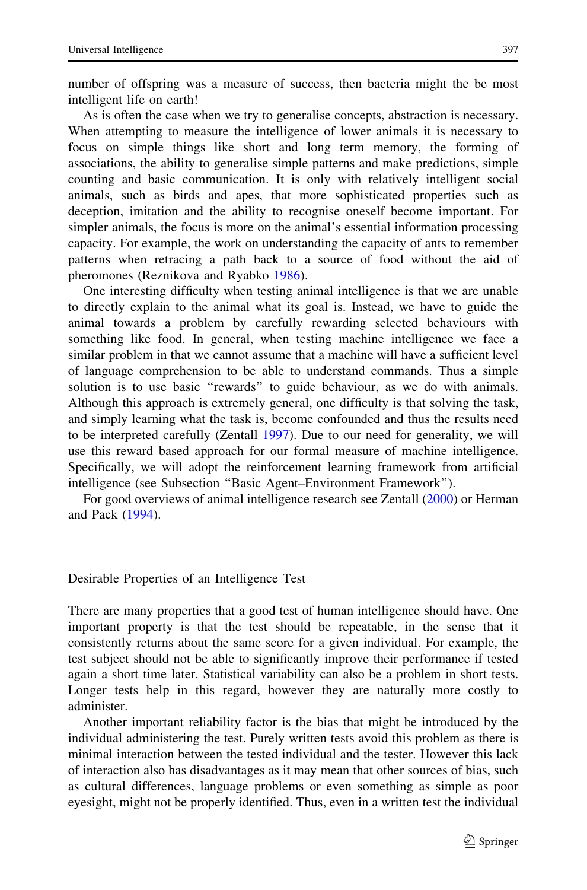number of offspring was a measure of success, then bacteria might the be most intelligent life on earth!

As is often the case when we try to generalise concepts, abstraction is necessary. When attempting to measure the intelligence of lower animals it is necessary to focus on simple things like short and long term memory, the forming of associations, the ability to generalise simple patterns and make predictions, simple counting and basic communication. It is only with relatively intelligent social animals, such as birds and apes, that more sophisticated properties such as deception, imitation and the ability to recognise oneself become important. For simpler animals, the focus is more on the animal's essential information processing capacity. For example, the work on understanding the capacity of ants to remember patterns when retracing a path back to a source of food without the aid of pheromones (Reznikova and Ryabko [1986\)](#page-52-0).

One interesting difficulty when testing animal intelligence is that we are unable to directly explain to the animal what its goal is. Instead, we have to guide the animal towards a problem by carefully rewarding selected behaviours with something like food. In general, when testing machine intelligence we face a similar problem in that we cannot assume that a machine will have a sufficient level of language comprehension to be able to understand commands. Thus a simple solution is to use basic ''rewards'' to guide behaviour, as we do with animals. Although this approach is extremely general, one difficulty is that solving the task, and simply learning what the task is, become confounded and thus the results need to be interpreted carefully (Zentall [1997\)](#page-53-0). Due to our need for generality, we will use this reward based approach for our formal measure of machine intelligence. Specifically, we will adopt the reinforcement learning framework from artificial intelligence (see Subsection ''Basic Agent–Environment Framework'').

For good overviews of animal intelligence research see Zentall ([2000\)](#page-53-0) or Herman and Pack ([1994\)](#page-50-0).

Desirable Properties of an Intelligence Test

There are many properties that a good test of human intelligence should have. One important property is that the test should be repeatable, in the sense that it consistently returns about the same score for a given individual. For example, the test subject should not be able to significantly improve their performance if tested again a short time later. Statistical variability can also be a problem in short tests. Longer tests help in this regard, however they are naturally more costly to administer.

Another important reliability factor is the bias that might be introduced by the individual administering the test. Purely written tests avoid this problem as there is minimal interaction between the tested individual and the tester. However this lack of interaction also has disadvantages as it may mean that other sources of bias, such as cultural differences, language problems or even something as simple as poor eyesight, might not be properly identified. Thus, even in a written test the individual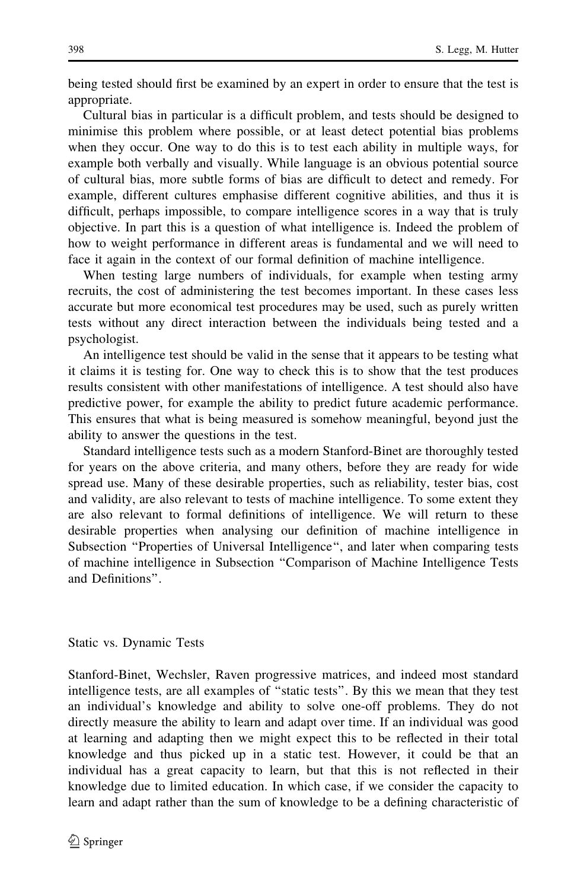being tested should first be examined by an expert in order to ensure that the test is appropriate.

Cultural bias in particular is a difficult problem, and tests should be designed to minimise this problem where possible, or at least detect potential bias problems when they occur. One way to do this is to test each ability in multiple ways, for example both verbally and visually. While language is an obvious potential source of cultural bias, more subtle forms of bias are difficult to detect and remedy. For example, different cultures emphasise different cognitive abilities, and thus it is difficult, perhaps impossible, to compare intelligence scores in a way that is truly objective. In part this is a question of what intelligence is. Indeed the problem of how to weight performance in different areas is fundamental and we will need to face it again in the context of our formal definition of machine intelligence.

When testing large numbers of individuals, for example when testing army recruits, the cost of administering the test becomes important. In these cases less accurate but more economical test procedures may be used, such as purely written tests without any direct interaction between the individuals being tested and a psychologist.

An intelligence test should be valid in the sense that it appears to be testing what it claims it is testing for. One way to check this is to show that the test produces results consistent with other manifestations of intelligence. A test should also have predictive power, for example the ability to predict future academic performance. This ensures that what is being measured is somehow meaningful, beyond just the ability to answer the questions in the test.

Standard intelligence tests such as a modern Stanford-Binet are thoroughly tested for years on the above criteria, and many others, before they are ready for wide spread use. Many of these desirable properties, such as reliability, tester bias, cost and validity, are also relevant to tests of machine intelligence. To some extent they are also relevant to formal definitions of intelligence. We will return to these desirable properties when analysing our definition of machine intelligence in Subsection ''Properties of Universal Intelligence'', and later when comparing tests of machine intelligence in Subsection ''Comparison of Machine Intelligence Tests and Definitions''.

#### Static vs. Dynamic Tests

Stanford-Binet, Wechsler, Raven progressive matrices, and indeed most standard intelligence tests, are all examples of ''static tests''. By this we mean that they test an individual's knowledge and ability to solve one-off problems. They do not directly measure the ability to learn and adapt over time. If an individual was good at learning and adapting then we might expect this to be reflected in their total knowledge and thus picked up in a static test. However, it could be that an individual has a great capacity to learn, but that this is not reflected in their knowledge due to limited education. In which case, if we consider the capacity to learn and adapt rather than the sum of knowledge to be a defining characteristic of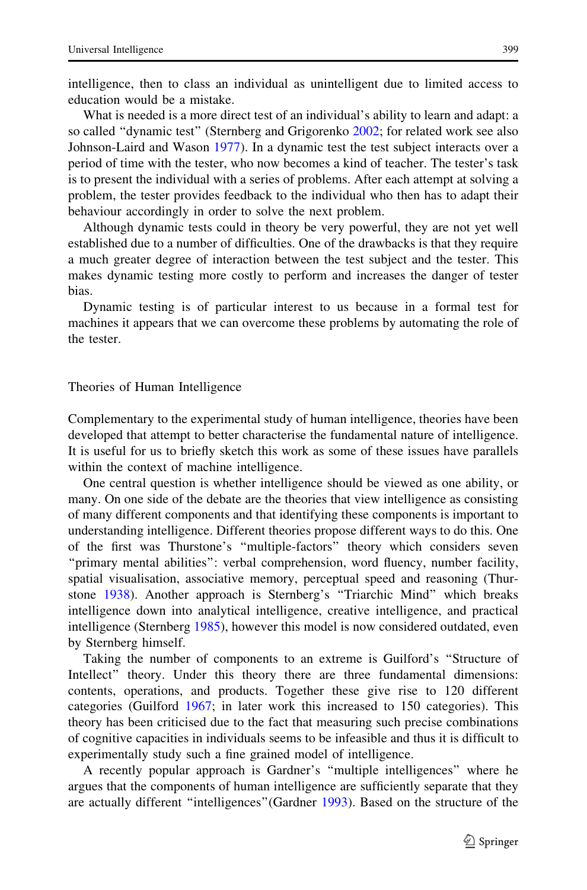intelligence, then to class an individual as unintelligent due to limited access to education would be a mistake.

What is needed is a more direct test of an individual's ability to learn and adapt: a so called ''dynamic test'' (Sternberg and Grigorenko [2002](#page-52-0); for related work see also Johnson-Laird and Wason [1977](#page-51-0)). In a dynamic test the test subject interacts over a period of time with the tester, who now becomes a kind of teacher. The tester's task is to present the individual with a series of problems. After each attempt at solving a problem, the tester provides feedback to the individual who then has to adapt their behaviour accordingly in order to solve the next problem.

Although dynamic tests could in theory be very powerful, they are not yet well established due to a number of difficulties. One of the drawbacks is that they require a much greater degree of interaction between the test subject and the tester. This makes dynamic testing more costly to perform and increases the danger of tester bias.

Dynamic testing is of particular interest to us because in a formal test for machines it appears that we can overcome these problems by automating the role of the tester.

#### Theories of Human Intelligence

Complementary to the experimental study of human intelligence, theories have been developed that attempt to better characterise the fundamental nature of intelligence. It is useful for us to briefly sketch this work as some of these issues have parallels within the context of machine intelligence.

One central question is whether intelligence should be viewed as one ability, or many. On one side of the debate are the theories that view intelligence as consisting of many different components and that identifying these components is important to understanding intelligence. Different theories propose different ways to do this. One of the first was Thurstone's ''multiple-factors'' theory which considers seven ''primary mental abilities'': verbal comprehension, word fluency, number facility, spatial visualisation, associative memory, perceptual speed and reasoning (Thurstone [1938](#page-52-0)). Another approach is Sternberg's ''Triarchic Mind'' which breaks intelligence down into analytical intelligence, creative intelligence, and practical intelligence (Sternberg [1985](#page-52-0)), however this model is now considered outdated, even by Sternberg himself.

Taking the number of components to an extreme is Guilford's ''Structure of Intellect'' theory. Under this theory there are three fundamental dimensions: contents, operations, and products. Together these give rise to 120 different categories (Guilford [1967;](#page-50-0) in later work this increased to 150 categories). This theory has been criticised due to the fact that measuring such precise combinations of cognitive capacities in individuals seems to be infeasible and thus it is difficult to experimentally study such a fine grained model of intelligence.

A recently popular approach is Gardner's ''multiple intelligences'' where he argues that the components of human intelligence are sufficiently separate that they are actually different ''intelligences''(Gardner [1993\)](#page-50-0). Based on the structure of the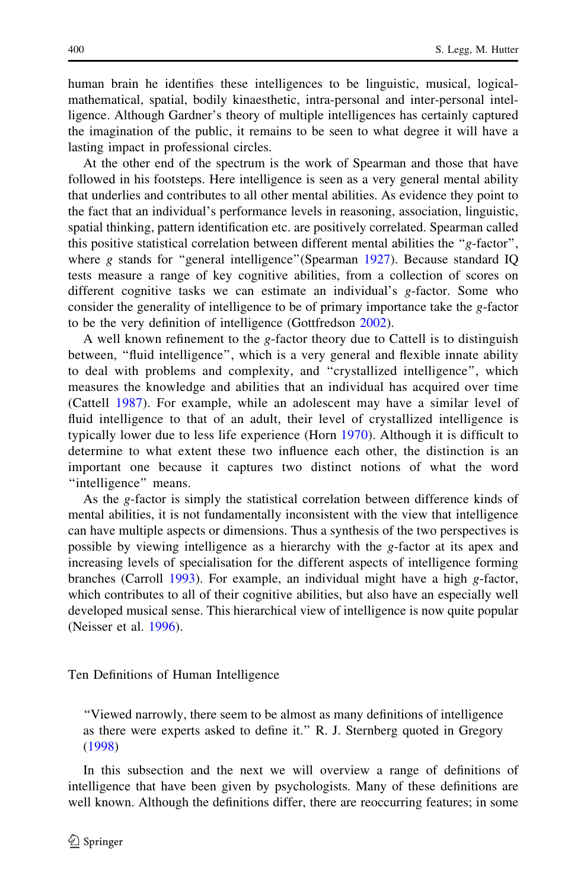human brain he identifies these intelligences to be linguistic, musical, logicalmathematical, spatial, bodily kinaesthetic, intra-personal and inter-personal intelligence. Although Gardner's theory of multiple intelligences has certainly captured the imagination of the public, it remains to be seen to what degree it will have a lasting impact in professional circles.

At the other end of the spectrum is the work of Spearman and those that have followed in his footsteps. Here intelligence is seen as a very general mental ability that underlies and contributes to all other mental abilities. As evidence they point to the fact that an individual's performance levels in reasoning, association, linguistic, spatial thinking, pattern identification etc. are positively correlated. Spearman called this positive statistical correlation between different mental abilities the ''g-factor'', where g stands for "general intelligence" (Spearman [1927](#page-52-0)). Because standard IQ tests measure a range of key cognitive abilities, from a collection of scores on different cognitive tasks we can estimate an individual's g-factor. Some who consider the generality of intelligence to be of primary importance take the g-factor to be the very definition of intelligence (Gottfredson [2002](#page-50-0)).

A well known refinement to the  $g$ -factor theory due to Cattell is to distinguish between, ''fluid intelligence'', which is a very general and flexible innate ability to deal with problems and complexity, and ''crystallized intelligence'', which measures the knowledge and abilities that an individual has acquired over time (Cattell [1987\)](#page-50-0). For example, while an adolescent may have a similar level of fluid intelligence to that of an adult, their level of crystallized intelligence is typically lower due to less life experience (Horn [1970\)](#page-50-0). Although it is difficult to determine to what extent these two influence each other, the distinction is an important one because it captures two distinct notions of what the word ''intelligence'' means.

As the g-factor is simply the statistical correlation between difference kinds of mental abilities, it is not fundamentally inconsistent with the view that intelligence can have multiple aspects or dimensions. Thus a synthesis of the two perspectives is possible by viewing intelligence as a hierarchy with the g-factor at its apex and increasing levels of specialisation for the different aspects of intelligence forming branches (Carroll [1993](#page-50-0)). For example, an individual might have a high  $g$ -factor, which contributes to all of their cognitive abilities, but also have an especially well developed musical sense. This hierarchical view of intelligence is now quite popular (Neisser et al. [1996](#page-52-0)).

#### Ten Definitions of Human Intelligence

''Viewed narrowly, there seem to be almost as many definitions of intelligence as there were experts asked to define it.'' R. J. Sternberg quoted in Gregory ([1998\)](#page-50-0)

In this subsection and the next we will overview a range of definitions of intelligence that have been given by psychologists. Many of these definitions are well known. Although the definitions differ, there are reoccurring features; in some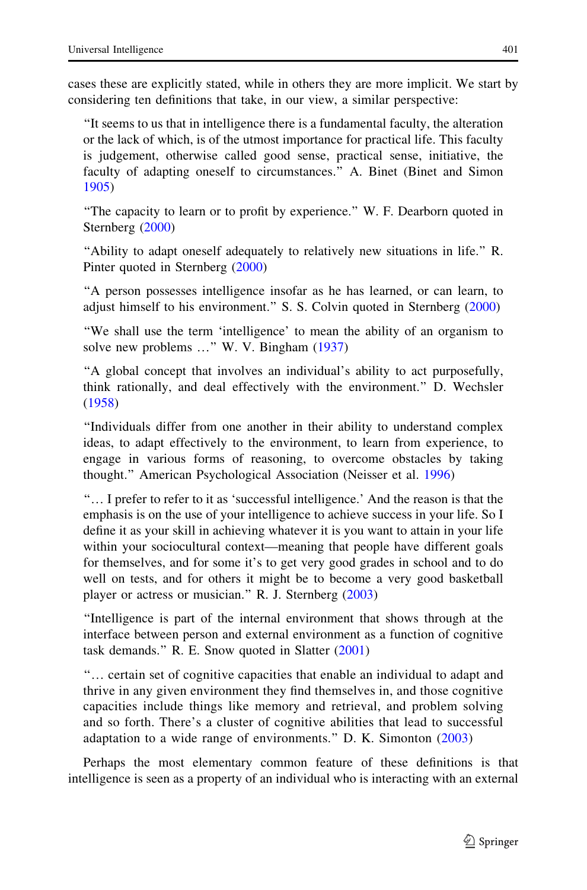cases these are explicitly stated, while in others they are more implicit. We start by considering ten definitions that take, in our view, a similar perspective:

''It seems to us that in intelligence there is a fundamental faculty, the alteration or the lack of which, is of the utmost importance for practical life. This faculty is judgement, otherwise called good sense, practical sense, initiative, the faculty of adapting oneself to circumstances.'' A. Binet (Binet and Simon [1905](#page-49-0))

''The capacity to learn or to profit by experience.'' W. F. Dearborn quoted in Sternberg ([2000\)](#page-52-0)

''Ability to adapt oneself adequately to relatively new situations in life.'' R. Pinter quoted in Sternberg ([2000\)](#page-52-0)

''A person possesses intelligence insofar as he has learned, or can learn, to adjust himself to his environment.'' S. S. Colvin quoted in Sternberg [\(2000](#page-52-0))

''We shall use the term 'intelligence' to mean the ability of an organism to solve new problems …'' W. V. Bingham ([1937\)](#page-49-0)

''A global concept that involves an individual's ability to act purposefully, think rationally, and deal effectively with the environment.'' D. Wechsler ([1958\)](#page-53-0)

''Individuals differ from one another in their ability to understand complex ideas, to adapt effectively to the environment, to learn from experience, to engage in various forms of reasoning, to overcome obstacles by taking thought.'' American Psychological Association (Neisser et al. [1996](#page-52-0))

''… I prefer to refer to it as 'successful intelligence.' And the reason is that the emphasis is on the use of your intelligence to achieve success in your life. So I define it as your skill in achieving whatever it is you want to attain in your life within your sociocultural context—meaning that people have different goals for themselves, and for some it's to get very good grades in school and to do well on tests, and for others it might be to become a very good basketball player or actress or musician.'' R. J. Sternberg ([2003\)](#page-52-0)

''Intelligence is part of the internal environment that shows through at the interface between person and external environment as a function of cognitive task demands.'' R. E. Snow quoted in Slatter ([2001\)](#page-52-0)

''… certain set of cognitive capacities that enable an individual to adapt and thrive in any given environment they find themselves in, and those cognitive capacities include things like memory and retrieval, and problem solving and so forth. There's a cluster of cognitive abilities that lead to successful adaptation to a wide range of environments.'' D. K. Simonton ([2003\)](#page-52-0)

Perhaps the most elementary common feature of these definitions is that intelligence is seen as a property of an individual who is interacting with an external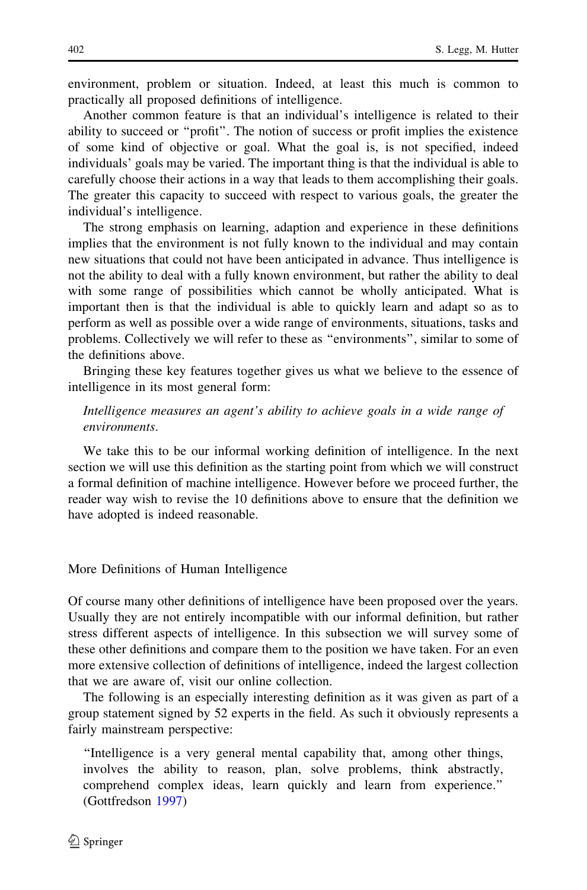environment, problem or situation. Indeed, at least this much is common to practically all proposed definitions of intelligence.

Another common feature is that an individual's intelligence is related to their ability to succeed or ''profit''. The notion of success or profit implies the existence of some kind of objective or goal. What the goal is, is not specified, indeed individuals' goals may be varied. The important thing is that the individual is able to carefully choose their actions in a way that leads to them accomplishing their goals. The greater this capacity to succeed with respect to various goals, the greater the individual's intelligence.

The strong emphasis on learning, adaption and experience in these definitions implies that the environment is not fully known to the individual and may contain new situations that could not have been anticipated in advance. Thus intelligence is not the ability to deal with a fully known environment, but rather the ability to deal with some range of possibilities which cannot be wholly anticipated. What is important then is that the individual is able to quickly learn and adapt so as to perform as well as possible over a wide range of environments, situations, tasks and problems. Collectively we will refer to these as ''environments'', similar to some of the definitions above.

Bringing these key features together gives us what we believe to the essence of intelligence in its most general form:

### Intelligence measures an agent's ability to achieve goals in a wide range of environments.

We take this to be our informal working definition of intelligence. In the next section we will use this definition as the starting point from which we will construct a formal definition of machine intelligence. However before we proceed further, the reader way wish to revise the 10 definitions above to ensure that the definition we have adopted is indeed reasonable.

More Definitions of Human Intelligence

Of course many other definitions of intelligence have been proposed over the years. Usually they are not entirely incompatible with our informal definition, but rather stress different aspects of intelligence. In this subsection we will survey some of these other definitions and compare them to the position we have taken. For an even more extensive collection of definitions of intelligence, indeed the largest collection that we are aware of, visit our online collection.

The following is an especially interesting definition as it was given as part of a group statement signed by 52 experts in the field. As such it obviously represents a fairly mainstream perspective:

''Intelligence is a very general mental capability that, among other things, involves the ability to reason, plan, solve problems, think abstractly, comprehend complex ideas, learn quickly and learn from experience.'' (Gottfredson [1997\)](#page-50-0)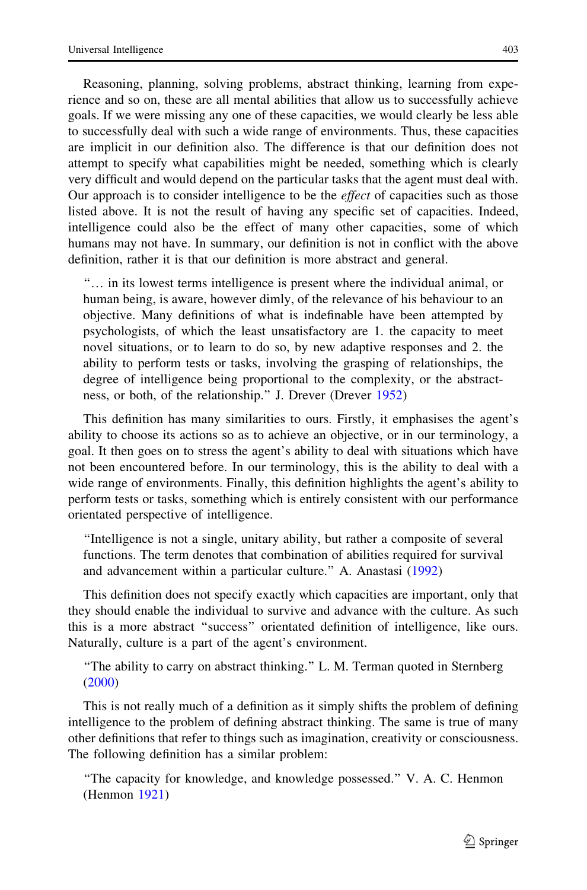Reasoning, planning, solving problems, abstract thinking, learning from experience and so on, these are all mental abilities that allow us to successfully achieve goals. If we were missing any one of these capacities, we would clearly be less able to successfully deal with such a wide range of environments. Thus, these capacities are implicit in our definition also. The difference is that our definition does not attempt to specify what capabilities might be needed, something which is clearly very difficult and would depend on the particular tasks that the agent must deal with. Our approach is to consider intelligence to be the *effect* of capacities such as those listed above. It is not the result of having any specific set of capacities. Indeed, intelligence could also be the effect of many other capacities, some of which humans may not have. In summary, our definition is not in conflict with the above definition, rather it is that our definition is more abstract and general.

''… in its lowest terms intelligence is present where the individual animal, or human being, is aware, however dimly, of the relevance of his behaviour to an objective. Many definitions of what is indefinable have been attempted by psychologists, of which the least unsatisfactory are 1. the capacity to meet novel situations, or to learn to do so, by new adaptive responses and 2. the ability to perform tests or tasks, involving the grasping of relationships, the degree of intelligence being proportional to the complexity, or the abstractness, or both, of the relationship.'' J. Drever (Drever [1952\)](#page-50-0)

This definition has many similarities to ours. Firstly, it emphasises the agent's ability to choose its actions so as to achieve an objective, or in our terminology, a goal. It then goes on to stress the agent's ability to deal with situations which have not been encountered before. In our terminology, this is the ability to deal with a wide range of environments. Finally, this definition highlights the agent's ability to perform tests or tasks, something which is entirely consistent with our performance orientated perspective of intelligence.

''Intelligence is not a single, unitary ability, but rather a composite of several functions. The term denotes that combination of abilities required for survival and advancement within a particular culture.'' A. Anastasi [\(1992](#page-49-0))

This definition does not specify exactly which capacities are important, only that they should enable the individual to survive and advance with the culture. As such this is a more abstract ''success'' orientated definition of intelligence, like ours. Naturally, culture is a part of the agent's environment.

"The ability to carry on abstract thinking." L. M. Terman quoted in Sternberg ([2000\)](#page-52-0)

This is not really much of a definition as it simply shifts the problem of defining intelligence to the problem of defining abstract thinking. The same is true of many other definitions that refer to things such as imagination, creativity or consciousness. The following definition has a similar problem:

''The capacity for knowledge, and knowledge possessed.'' V. A. C. Henmon (Henmon [1921](#page-50-0))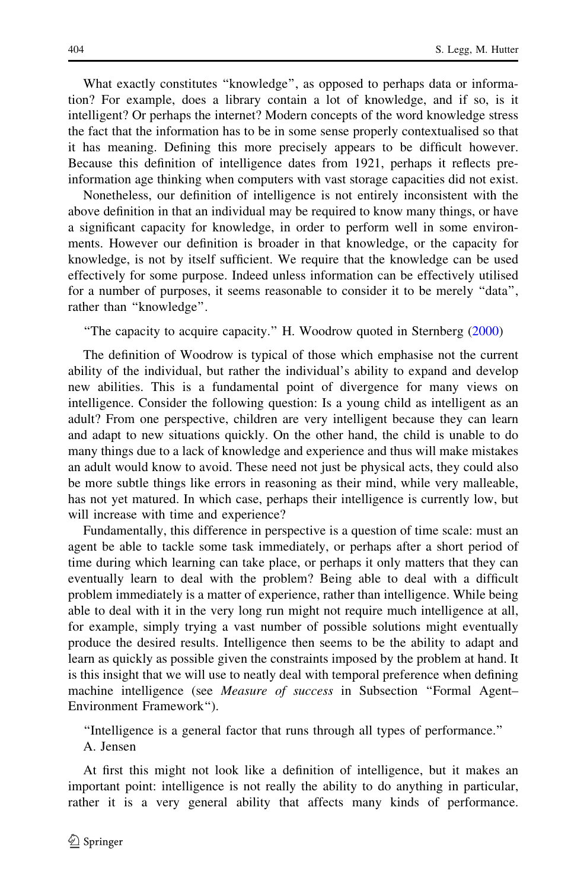What exactly constitutes "knowledge", as opposed to perhaps data or information? For example, does a library contain a lot of knowledge, and if so, is it intelligent? Or perhaps the internet? Modern concepts of the word knowledge stress the fact that the information has to be in some sense properly contextualised so that it has meaning. Defining this more precisely appears to be difficult however. Because this definition of intelligence dates from 1921, perhaps it reflects preinformation age thinking when computers with vast storage capacities did not exist.

Nonetheless, our definition of intelligence is not entirely inconsistent with the above definition in that an individual may be required to know many things, or have a significant capacity for knowledge, in order to perform well in some environments. However our definition is broader in that knowledge, or the capacity for knowledge, is not by itself sufficient. We require that the knowledge can be used effectively for some purpose. Indeed unless information can be effectively utilised for a number of purposes, it seems reasonable to consider it to be merely ''data'', rather than ''knowledge''.

"The capacity to acquire capacity." H. Woodrow quoted in Sternberg ([2000\)](#page-52-0)

The definition of Woodrow is typical of those which emphasise not the current ability of the individual, but rather the individual's ability to expand and develop new abilities. This is a fundamental point of divergence for many views on intelligence. Consider the following question: Is a young child as intelligent as an adult? From one perspective, children are very intelligent because they can learn and adapt to new situations quickly. On the other hand, the child is unable to do many things due to a lack of knowledge and experience and thus will make mistakes an adult would know to avoid. These need not just be physical acts, they could also be more subtle things like errors in reasoning as their mind, while very malleable, has not yet matured. In which case, perhaps their intelligence is currently low, but will increase with time and experience?

Fundamentally, this difference in perspective is a question of time scale: must an agent be able to tackle some task immediately, or perhaps after a short period of time during which learning can take place, or perhaps it only matters that they can eventually learn to deal with the problem? Being able to deal with a difficult problem immediately is a matter of experience, rather than intelligence. While being able to deal with it in the very long run might not require much intelligence at all, for example, simply trying a vast number of possible solutions might eventually produce the desired results. Intelligence then seems to be the ability to adapt and learn as quickly as possible given the constraints imposed by the problem at hand. It is this insight that we will use to neatly deal with temporal preference when defining machine intelligence (see Measure of success in Subsection "Formal Agent-Environment Framework'').

''Intelligence is a general factor that runs through all types of performance.'' A. Jensen

At first this might not look like a definition of intelligence, but it makes an important point: intelligence is not really the ability to do anything in particular, rather it is a very general ability that affects many kinds of performance.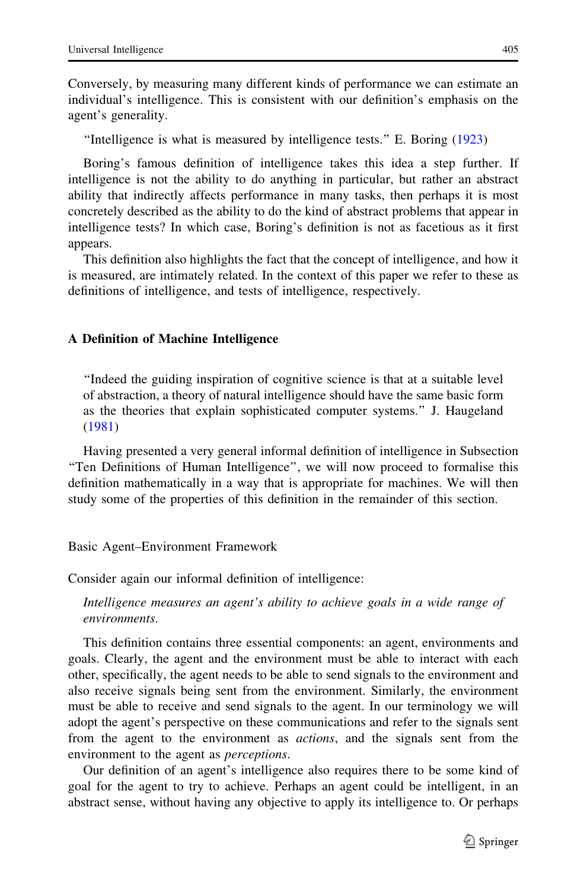Conversely, by measuring many different kinds of performance we can estimate an individual's intelligence. This is consistent with our definition's emphasis on the agent's generality.

"Intelligence is what is measured by intelligence tests." E. Boring ([1923\)](#page-49-0)

Boring's famous definition of intelligence takes this idea a step further. If intelligence is not the ability to do anything in particular, but rather an abstract ability that indirectly affects performance in many tasks, then perhaps it is most concretely described as the ability to do the kind of abstract problems that appear in intelligence tests? In which case, Boring's definition is not as facetious as it first appears.

This definition also highlights the fact that the concept of intelligence, and how it is measured, are intimately related. In the context of this paper we refer to these as definitions of intelligence, and tests of intelligence, respectively.

#### A Definition of Machine Intelligence

''Indeed the guiding inspiration of cognitive science is that at a suitable level of abstraction, a theory of natural intelligence should have the same basic form as the theories that explain sophisticated computer systems.'' J. Haugeland ([1981\)](#page-50-0)

Having presented a very general informal definition of intelligence in Subsection "Ten Definitions of Human Intelligence", we will now proceed to formalise this definition mathematically in a way that is appropriate for machines. We will then study some of the properties of this definition in the remainder of this section.

#### Basic Agent–Environment Framework

Consider again our informal definition of intelligence:

Intelligence measures an agent's ability to achieve goals in a wide range of environments.

This definition contains three essential components: an agent, environments and goals. Clearly, the agent and the environment must be able to interact with each other, specifically, the agent needs to be able to send signals to the environment and also receive signals being sent from the environment. Similarly, the environment must be able to receive and send signals to the agent. In our terminology we will adopt the agent's perspective on these communications and refer to the signals sent from the agent to the environment as actions, and the signals sent from the environment to the agent as perceptions.

Our definition of an agent's intelligence also requires there to be some kind of goal for the agent to try to achieve. Perhaps an agent could be intelligent, in an abstract sense, without having any objective to apply its intelligence to. Or perhaps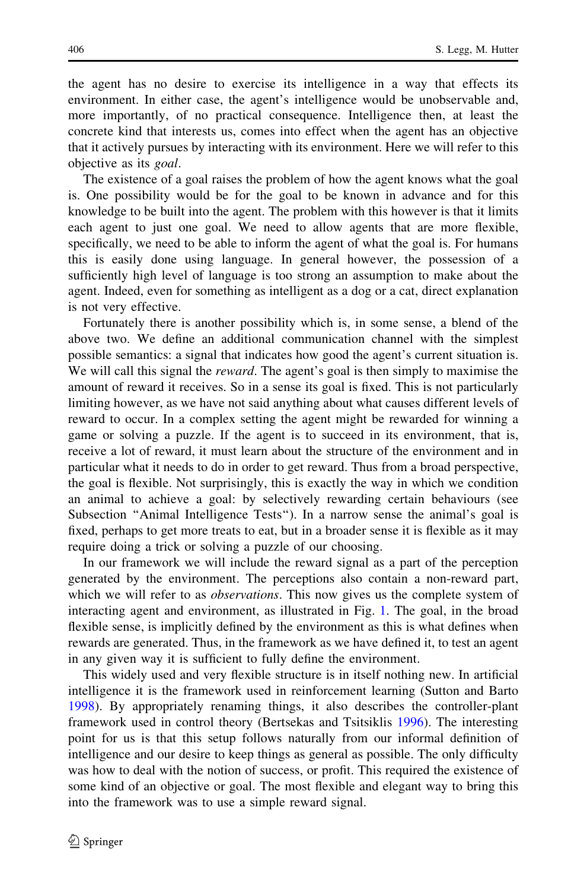the agent has no desire to exercise its intelligence in a way that effects its environment. In either case, the agent's intelligence would be unobservable and, more importantly, of no practical consequence. Intelligence then, at least the concrete kind that interests us, comes into effect when the agent has an objective that it actively pursues by interacting with its environment. Here we will refer to this objective as its goal.

The existence of a goal raises the problem of how the agent knows what the goal is. One possibility would be for the goal to be known in advance and for this knowledge to be built into the agent. The problem with this however is that it limits each agent to just one goal. We need to allow agents that are more flexible, specifically, we need to be able to inform the agent of what the goal is. For humans this is easily done using language. In general however, the possession of a sufficiently high level of language is too strong an assumption to make about the agent. Indeed, even for something as intelligent as a dog or a cat, direct explanation is not very effective.

Fortunately there is another possibility which is, in some sense, a blend of the above two. We define an additional communication channel with the simplest possible semantics: a signal that indicates how good the agent's current situation is. We will call this signal the *reward*. The agent's goal is then simply to maximise the amount of reward it receives. So in a sense its goal is fixed. This is not particularly limiting however, as we have not said anything about what causes different levels of reward to occur. In a complex setting the agent might be rewarded for winning a game or solving a puzzle. If the agent is to succeed in its environment, that is, receive a lot of reward, it must learn about the structure of the environment and in particular what it needs to do in order to get reward. Thus from a broad perspective, the goal is flexible. Not surprisingly, this is exactly the way in which we condition an animal to achieve a goal: by selectively rewarding certain behaviours (see Subsection ''Animal Intelligence Tests''). In a narrow sense the animal's goal is fixed, perhaps to get more treats to eat, but in a broader sense it is flexible as it may require doing a trick or solving a puzzle of our choosing.

In our framework we will include the reward signal as a part of the perception generated by the environment. The perceptions also contain a non-reward part, which we will refer to as *observations*. This now gives us the complete system of interacting agent and environment, as illustrated in Fig. [1](#page-16-0). The goal, in the broad flexible sense, is implicitly defined by the environment as this is what defines when rewards are generated. Thus, in the framework as we have defined it, to test an agent in any given way it is sufficient to fully define the environment.

This widely used and very flexible structure is in itself nothing new. In artificial intelligence it is the framework used in reinforcement learning (Sutton and Barto [1998\)](#page-52-0). By appropriately renaming things, it also describes the controller-plant framework used in control theory (Bertsekas and Tsitsiklis [1996](#page-49-0)). The interesting point for us is that this setup follows naturally from our informal definition of intelligence and our desire to keep things as general as possible. The only difficulty was how to deal with the notion of success, or profit. This required the existence of some kind of an objective or goal. The most flexible and elegant way to bring this into the framework was to use a simple reward signal.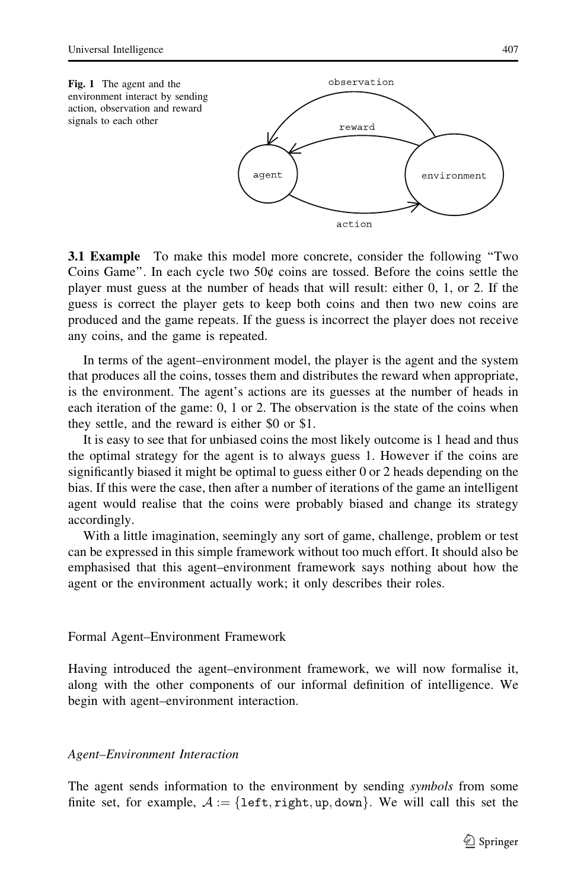<span id="page-16-0"></span>

3.1 Example To make this model more concrete, consider the following ''Two Coins Game". In each cycle two  $50¢$  coins are tossed. Before the coins settle the player must guess at the number of heads that will result: either 0, 1, or 2. If the guess is correct the player gets to keep both coins and then two new coins are produced and the game repeats. If the guess is incorrect the player does not receive any coins, and the game is repeated.

In terms of the agent–environment model, the player is the agent and the system that produces all the coins, tosses them and distributes the reward when appropriate, is the environment. The agent's actions are its guesses at the number of heads in each iteration of the game: 0, 1 or 2. The observation is the state of the coins when they settle, and the reward is either \$0 or \$1.

It is easy to see that for unbiased coins the most likely outcome is 1 head and thus the optimal strategy for the agent is to always guess 1. However if the coins are significantly biased it might be optimal to guess either 0 or 2 heads depending on the bias. If this were the case, then after a number of iterations of the game an intelligent agent would realise that the coins were probably biased and change its strategy accordingly.

With a little imagination, seemingly any sort of game, challenge, problem or test can be expressed in this simple framework without too much effort. It should also be emphasised that this agent–environment framework says nothing about how the agent or the environment actually work; it only describes their roles.

Formal Agent–Environment Framework

Having introduced the agent–environment framework, we will now formalise it, along with the other components of our informal definition of intelligence. We begin with agent–environment interaction.

### Agent–Environment Interaction

The agent sends information to the environment by sending *symbols* from some finite set, for example,  $A := \{ \text{left}, \text{right}, \text{up}, \text{down} \}$ . We will call this set the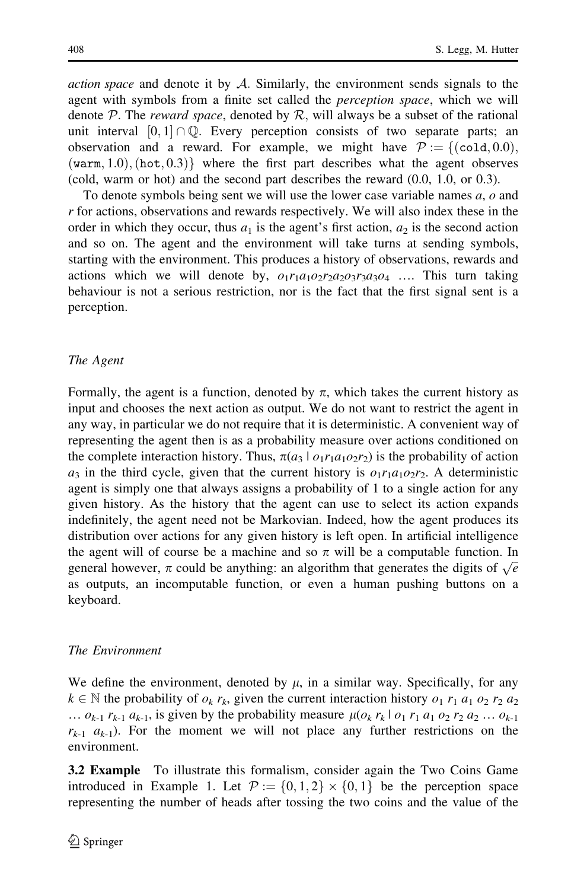*action space* and denote it by  $A$ . Similarly, the environment sends signals to the agent with symbols from a finite set called the perception space, which we will denote P. The *reward space*, denoted by  $\mathcal{R}$ , will always be a subset of the rational unit interval  $[0,1] \cap \mathbb{Q}$ . Every perception consists of two separate parts; an observation and a reward. For example, we might have  $\mathcal{D} = \{(\text{cold }0.0)\}$ observation and a reward. For example, we might have  $P := \{(\text{cold}, 0.0),$  $(warm, 1.0), (hot, 0.3)$  where the first part describes what the agent observes (cold, warm or hot) and the second part describes the reward (0.0, 1.0, or 0.3).

To denote symbols being sent we will use the lower case variable names  $a, o$  and r for actions, observations and rewards respectively. We will also index these in the order in which they occur, thus  $a_1$  is the agent's first action,  $a_2$  is the second action and so on. The agent and the environment will take turns at sending symbols, starting with the environment. This produces a history of observations, rewards and actions which we will denote by,  $o_1r_1a_1o_2r_2a_2o_3r_3a_3o_4$  ... This turn taking behaviour is not a serious restriction, nor is the fact that the first signal sent is a perception.

#### The Agent

Formally, the agent is a function, denoted by  $\pi$ , which takes the current history as input and chooses the next action as output. We do not want to restrict the agent in any way, in particular we do not require that it is deterministic. A convenient way of representing the agent then is as a probability measure over actions conditioned on the complete interaction history. Thus,  $\pi(a_3 | o_1r_1a_1o_2r_2)$  is the probability of action  $a_3$  in the third cycle, given that the current history is  $o_1r_1a_1o_2r_2$ . A deterministic agent is simply one that always assigns a probability of 1 to a single action for any given history. As the history that the agent can use to select its action expands indefinitely, the agent need not be Markovian. Indeed, how the agent produces its distribution over actions for any given history is left open. In artificial intelligence the agent will of course be a machine and so  $\pi$  will be a computable function. In general however,  $\pi$  could be anything: an algorithm that generates the digits of  $\sqrt{e}$ as outputs, an incomputable function, or even a human pushing buttons on a keyboard.

#### The Environment

We define the environment, denoted by  $\mu$ , in a similar way. Specifically, for any  $k \in \mathbb{N}$  the probability of  $o_k$  r<sub>k</sub>, given the current interaction history  $o_1$  r<sub>1</sub>  $a_1$   $o_2$  r<sub>2</sub>  $a_2$  $\ldots$   $o_{k-1}$   $r_{k-1}$   $a_{k-1}$ , is given by the probability measure  $\mu(o_k r_k | o_1 r_1 a_1 o_2 r_2 a_2 \ldots a_{k-1})$  $r_{k-1}$   $a_{k-1}$ ). For the moment we will not place any further restrictions on the environment.

**3.2 Example** To illustrate this formalism, consider again the Two Coins Game introduced in Example 1. Let  $\mathcal{P} := \{0, 1, 2\} \times \{0, 1\}$  be the perception space representing the number of heads after tossing the two coins and the value of the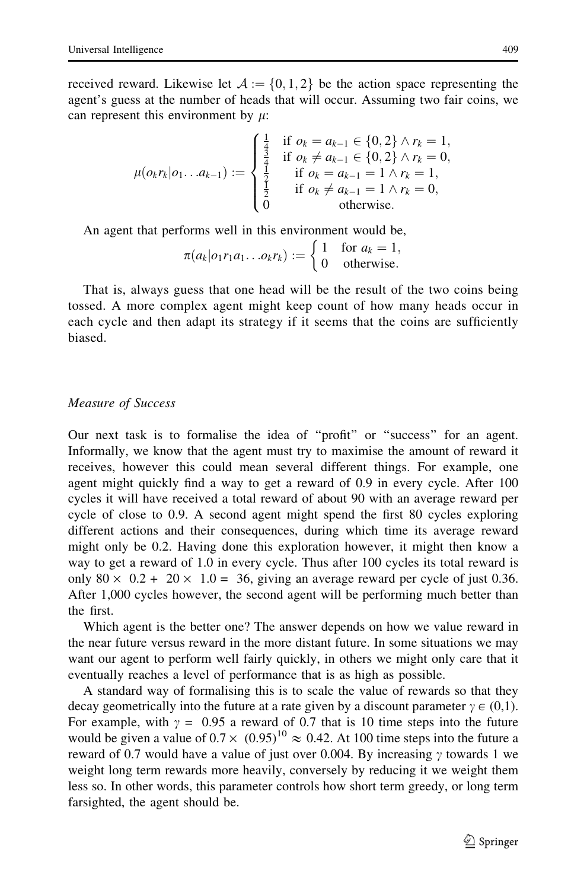received reward. Likewise let  $A := \{0, 1, 2\}$  be the action space representing the agent's guess at the number of heads that will occur. Assuming two fair coins, we can represent this environment by  $\mu$ :

$$
\mu(o_k r_k | o_1 \dots a_{k-1}) := \begin{cases} \frac{1}{4} & \text{if } o_k = a_{k-1} \in \{0, 2\} \land r_k = 1, \\ \frac{3}{4} & \text{if } o_k \neq a_{k-1} \in \{0, 2\} \land r_k = 0, \\ \frac{1}{2} & \text{if } o_k = a_{k-1} = 1 \land r_k = 1, \\ \frac{1}{2} & \text{if } o_k \neq a_{k-1} = 1 \land r_k = 0, \\ 0 & \text{otherwise.} \end{cases}
$$

An agent that performs well in this environment would be,<br> $\left(1 - \frac{\epsilon_0}{\epsilon_0}\right)$ 

$$
\pi(a_k|o_1r_1a_1...o_kr_k):=\begin{cases}1 & \text{for } a_k=1,\\0 & \text{otherwise.}\end{cases}
$$

That is, always guess that one head will be the result of the two coins being tossed. A more complex agent might keep count of how many heads occur in each cycle and then adapt its strategy if it seems that the coins are sufficiently biased.

#### Measure of Success

Our next task is to formalise the idea of ''profit'' or ''success'' for an agent. Informally, we know that the agent must try to maximise the amount of reward it receives, however this could mean several different things. For example, one agent might quickly find a way to get a reward of 0.9 in every cycle. After 100 cycles it will have received a total reward of about 90 with an average reward per cycle of close to 0.9. A second agent might spend the first 80 cycles exploring different actions and their consequences, during which time its average reward might only be 0.2. Having done this exploration however, it might then know a way to get a reward of 1.0 in every cycle. Thus after 100 cycles its total reward is only  $80 \times 0.2 + 20 \times 1.0 = 36$ , giving an average reward per cycle of just 0.36. After 1,000 cycles however, the second agent will be performing much better than the first.

Which agent is the better one? The answer depends on how we value reward in the near future versus reward in the more distant future. In some situations we may want our agent to perform well fairly quickly, in others we might only care that it eventually reaches a level of performance that is as high as possible.

A standard way of formalising this is to scale the value of rewards so that they decay geometrically into the future at a rate given by a discount parameter  $\gamma \in (0,1)$ . For example, with  $\gamma = 0.95$  a reward of 0.7 that is 10 time steps into the future would be given a value of  $0.7 \times (0.95)^{10} \approx 0.42$ . At 100 time steps into the future a reward of 0.7 would have a value of just over 0.004. By increasing  $\gamma$  towards 1 we weight long term rewards more heavily, conversely by reducing it we weight them less so. In other words, this parameter controls how short term greedy, or long term farsighted, the agent should be.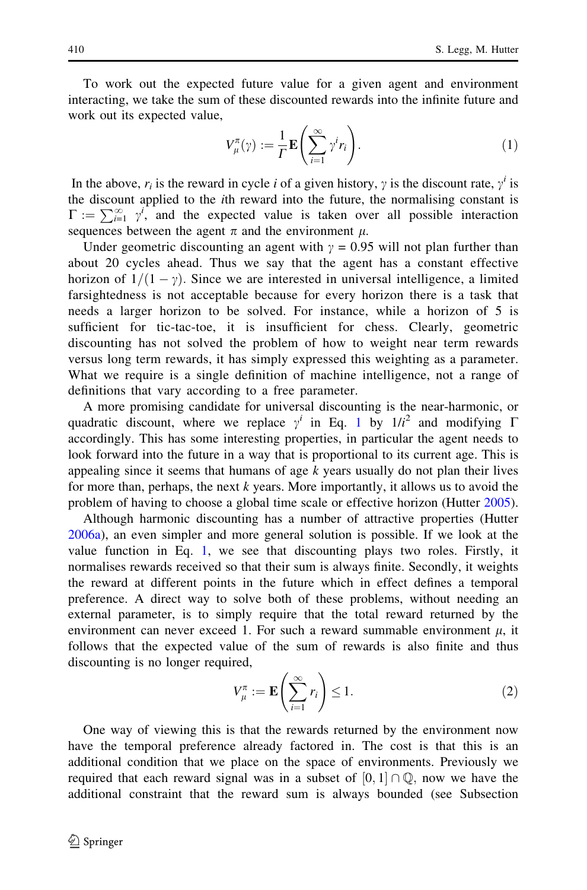To work out the expected future value for a given agent and environment interacting, we take the sum of these discounted rewards into the infinite future and work out its expected value,

$$
V_{\mu}^{\pi}(\gamma) := \frac{1}{\Gamma} \mathbf{E} \left( \sum_{i=1}^{\infty} \gamma^{i} r_{i} \right).
$$
 (1)

In the above,  $r_i$  is the reward in cycle *i* of a given history,  $\gamma$  is the discount rate,  $\gamma^i$  is the discount applied to the ith reward into the future, the normalising constant is  $\Gamma := \sum_{i=1}^{\infty} \gamma^{i}$ , and the expected value is taken over all possible interaction sequences between the agent  $\pi$  and the environment  $\mu$ .

Under geometric discounting an agent with  $\gamma = 0.95$  will not plan further than about 20 cycles ahead. Thus we say that the agent has a constant effective horizon of  $1/(1-\gamma)$ . Since we are interested in universal intelligence, a limited farsightedness is not acceptable because for every horizon there is a task that needs a larger horizon to be solved. For instance, while a horizon of 5 is sufficient for tic-tac-toe, it is insufficient for chess. Clearly, geometric discounting has not solved the problem of how to weight near term rewards versus long term rewards, it has simply expressed this weighting as a parameter. What we require is a single definition of machine intelligence, not a range of definitions that vary according to a free parameter.

A more promising candidate for universal discounting is the near-harmonic, or quadratic discount, where we replace  $\gamma^i$  in Eq. 1 by  $1/i^2$  and modifying  $\Gamma$ accordingly. This has some interesting properties, in particular the agent needs to look forward into the future in a way that is proportional to its current age. This is appealing since it seems that humans of age  $k$  years usually do not plan their lives for more than, perhaps, the next  $k$  years. More importantly, it allows us to avoid the problem of having to choose a global time scale or effective horizon (Hutter [2005\)](#page-51-0).

Although harmonic discounting has a number of attractive properties (Hutter [2006a](#page-51-0)), an even simpler and more general solution is possible. If we look at the value function in Eq. 1, we see that discounting plays two roles. Firstly, it normalises rewards received so that their sum is always finite. Secondly, it weights the reward at different points in the future which in effect defines a temporal preference. A direct way to solve both of these problems, without needing an external parameter, is to simply require that the total reward returned by the environment can never exceed 1. For such a reward summable environment  $\mu$ , it follows that the expected value of the sum of rewards is also finite and thus discounting is no longer required,

$$
V_{\mu}^{\pi} := \mathbf{E}\left(\sum_{i=1}^{\infty} r_i\right) \le 1.
$$
 (2)

One way of viewing this is that the rewards returned by the environment now have the temporal preference already factored in. The cost is that this is an additional condition that we place on the space of environments. Previously we required that each reward signal was in a subset of  $[0, 1] \cap \mathbb{Q}$ , now we have the reduction relationships on the reward sum is always bounded (see Subsection additional constraint that the reward sum is always bounded (see Subsection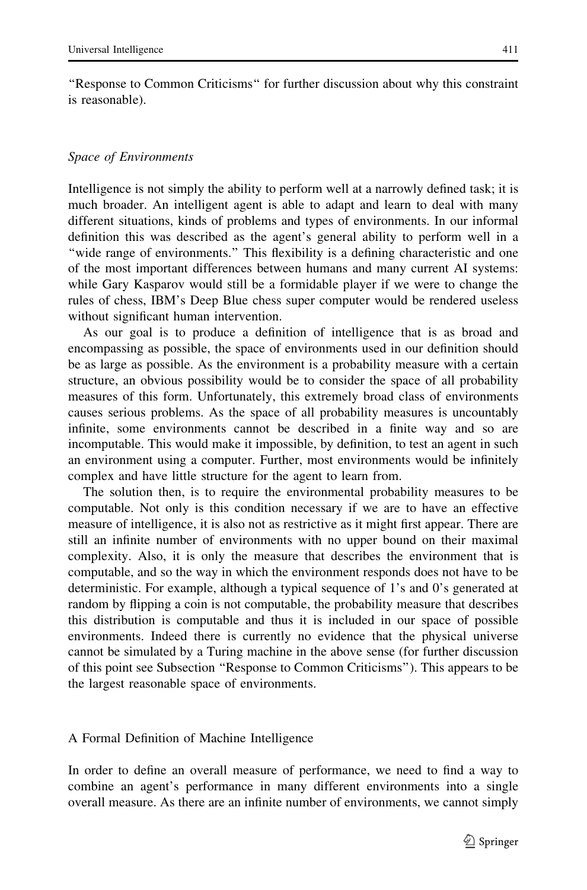### Space of Environments

Intelligence is not simply the ability to perform well at a narrowly defined task; it is much broader. An intelligent agent is able to adapt and learn to deal with many different situations, kinds of problems and types of environments. In our informal definition this was described as the agent's general ability to perform well in a "wide range of environments." This flexibility is a defining characteristic and one of the most important differences between humans and many current AI systems: while Gary Kasparov would still be a formidable player if we were to change the rules of chess, IBM's Deep Blue chess super computer would be rendered useless without significant human intervention.

As our goal is to produce a definition of intelligence that is as broad and encompassing as possible, the space of environments used in our definition should be as large as possible. As the environment is a probability measure with a certain structure, an obvious possibility would be to consider the space of all probability measures of this form. Unfortunately, this extremely broad class of environments causes serious problems. As the space of all probability measures is uncountably infinite, some environments cannot be described in a finite way and so are incomputable. This would make it impossible, by definition, to test an agent in such an environment using a computer. Further, most environments would be infinitely complex and have little structure for the agent to learn from.

The solution then, is to require the environmental probability measures to be computable. Not only is this condition necessary if we are to have an effective measure of intelligence, it is also not as restrictive as it might first appear. There are still an infinite number of environments with no upper bound on their maximal complexity. Also, it is only the measure that describes the environment that is computable, and so the way in which the environment responds does not have to be deterministic. For example, although a typical sequence of 1's and 0's generated at random by flipping a coin is not computable, the probability measure that describes this distribution is computable and thus it is included in our space of possible environments. Indeed there is currently no evidence that the physical universe cannot be simulated by a Turing machine in the above sense (for further discussion of this point see Subsection ''Response to Common Criticisms''). This appears to be the largest reasonable space of environments.

#### A Formal Definition of Machine Intelligence

In order to define an overall measure of performance, we need to find a way to combine an agent's performance in many different environments into a single overall measure. As there are an infinite number of environments, we cannot simply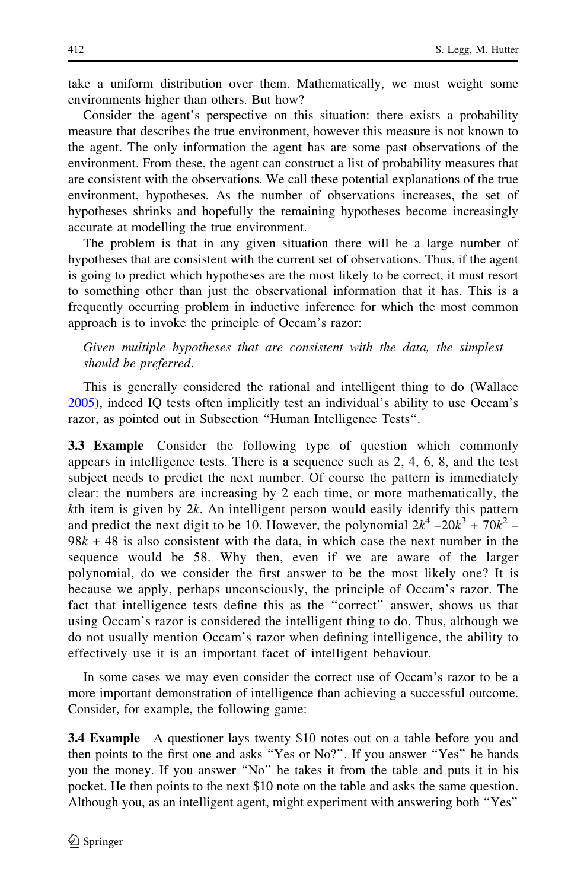take a uniform distribution over them. Mathematically, we must weight some environments higher than others. But how?

Consider the agent's perspective on this situation: there exists a probability measure that describes the true environment, however this measure is not known to the agent. The only information the agent has are some past observations of the environment. From these, the agent can construct a list of probability measures that are consistent with the observations. We call these potential explanations of the true environment, hypotheses. As the number of observations increases, the set of hypotheses shrinks and hopefully the remaining hypotheses become increasingly accurate at modelling the true environment.

The problem is that in any given situation there will be a large number of hypotheses that are consistent with the current set of observations. Thus, if the agent is going to predict which hypotheses are the most likely to be correct, it must resort to something other than just the observational information that it has. This is a frequently occurring problem in inductive inference for which the most common approach is to invoke the principle of Occam's razor:

Given multiple hypotheses that are consistent with the data, the simplest should be preferred.

This is generally considered the rational and intelligent thing to do (Wallace [2005\)](#page-52-0), indeed IQ tests often implicitly test an individual's ability to use Occam's razor, as pointed out in Subsection ''Human Intelligence Tests''.

3.3 Example Consider the following type of question which commonly appears in intelligence tests. There is a sequence such as 2, 4, 6, 8, and the test subject needs to predict the next number. Of course the pattern is immediately clear: the numbers are increasing by 2 each time, or more mathematically, the  $k$ th item is given by  $2k$ . An intelligent person would easily identify this pattern and predict the next digit to be 10. However, the polynomial  $2k^4 - 20k^3 + 70k^2$  –  $98k + 48$  is also consistent with the data, in which case the next number in the sequence would be 58. Why then, even if we are aware of the larger polynomial, do we consider the first answer to be the most likely one? It is because we apply, perhaps unconsciously, the principle of Occam's razor. The fact that intelligence tests define this as the ''correct'' answer, shows us that using Occam's razor is considered the intelligent thing to do. Thus, although we do not usually mention Occam's razor when defining intelligence, the ability to effectively use it is an important facet of intelligent behaviour.

In some cases we may even consider the correct use of Occam's razor to be a more important demonstration of intelligence than achieving a successful outcome. Consider, for example, the following game:

**3.4 Example** A questioner lays twenty \$10 notes out on a table before you and then points to the first one and asks ''Yes or No?''. If you answer ''Yes'' he hands you the money. If you answer ''No'' he takes it from the table and puts it in his pocket. He then points to the next \$10 note on the table and asks the same question. Although you, as an intelligent agent, might experiment with answering both ''Yes''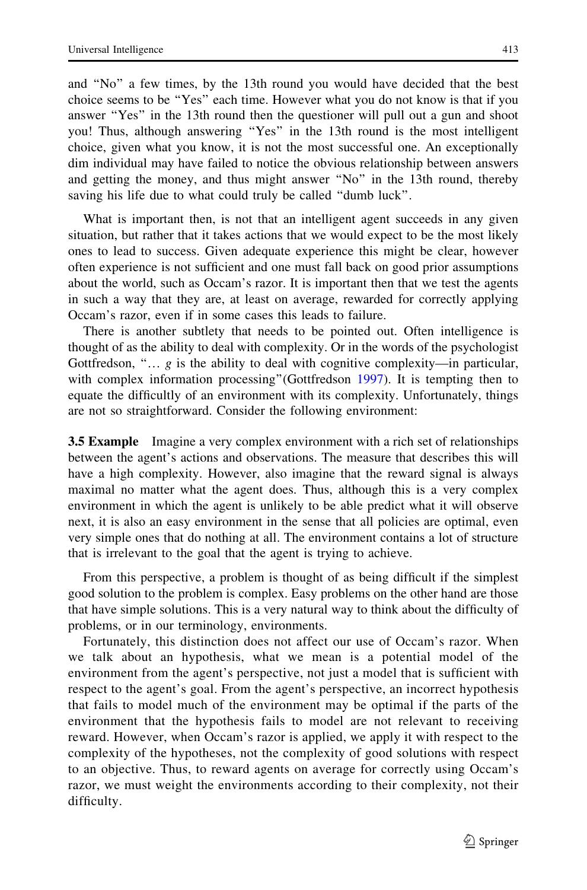and ''No'' a few times, by the 13th round you would have decided that the best choice seems to be ''Yes'' each time. However what you do not know is that if you answer ''Yes'' in the 13th round then the questioner will pull out a gun and shoot you! Thus, although answering ''Yes'' in the 13th round is the most intelligent choice, given what you know, it is not the most successful one. An exceptionally dim individual may have failed to notice the obvious relationship between answers and getting the money, and thus might answer ''No'' in the 13th round, thereby saving his life due to what could truly be called ''dumb luck''.

What is important then, is not that an intelligent agent succeeds in any given situation, but rather that it takes actions that we would expect to be the most likely ones to lead to success. Given adequate experience this might be clear, however often experience is not sufficient and one must fall back on good prior assumptions about the world, such as Occam's razor. It is important then that we test the agents in such a way that they are, at least on average, rewarded for correctly applying Occam's razor, even if in some cases this leads to failure.

There is another subtlety that needs to be pointed out. Often intelligence is thought of as the ability to deal with complexity. Or in the words of the psychologist Gottfredson, " $\ldots$  g is the ability to deal with cognitive complexity—in particular, with complex information processing"(Gottfredson [1997](#page-50-0)). It is tempting then to equate the difficultly of an environment with its complexity. Unfortunately, things are not so straightforward. Consider the following environment:

**3.5 Example** Imagine a very complex environment with a rich set of relationships between the agent's actions and observations. The measure that describes this will have a high complexity. However, also imagine that the reward signal is always maximal no matter what the agent does. Thus, although this is a very complex environment in which the agent is unlikely to be able predict what it will observe next, it is also an easy environment in the sense that all policies are optimal, even very simple ones that do nothing at all. The environment contains a lot of structure that is irrelevant to the goal that the agent is trying to achieve.

From this perspective, a problem is thought of as being difficult if the simplest good solution to the problem is complex. Easy problems on the other hand are those that have simple solutions. This is a very natural way to think about the difficulty of problems, or in our terminology, environments.

Fortunately, this distinction does not affect our use of Occam's razor. When we talk about an hypothesis, what we mean is a potential model of the environment from the agent's perspective, not just a model that is sufficient with respect to the agent's goal. From the agent's perspective, an incorrect hypothesis that fails to model much of the environment may be optimal if the parts of the environment that the hypothesis fails to model are not relevant to receiving reward. However, when Occam's razor is applied, we apply it with respect to the complexity of the hypotheses, not the complexity of good solutions with respect to an objective. Thus, to reward agents on average for correctly using Occam's razor, we must weight the environments according to their complexity, not their difficulty.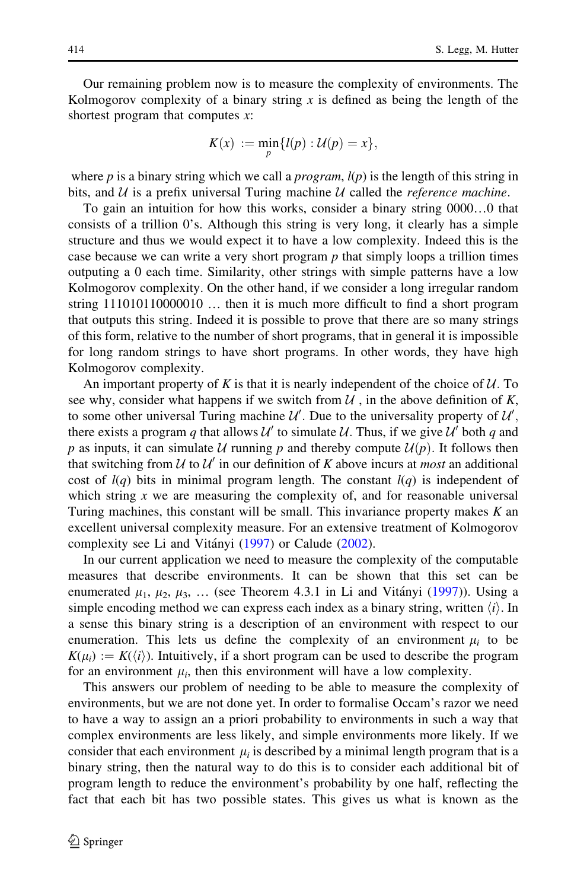Our remaining problem now is to measure the complexity of environments. The Kolmogorov complexity of a binary string x is defined as being the length of the shortest program that computes  $x$ :

$$
K(x) := \min_{p} \{l(p) : \mathcal{U}(p) = x\},
$$

where p is a binary string which we call a *program*,  $l(p)$  is the length of this string in bits, and  $U$  is a prefix universal Turing machine  $U$  called the *reference machine*.

To gain an intuition for how this works, consider a binary string 0000…0 that consists of a trillion 0's. Although this string is very long, it clearly has a simple structure and thus we would expect it to have a low complexity. Indeed this is the case because we can write a very short program  $p$  that simply loops a trillion times outputing a 0 each time. Similarity, other strings with simple patterns have a low Kolmogorov complexity. On the other hand, if we consider a long irregular random string 111010110000010 … then it is much more difficult to find a short program that outputs this string. Indeed it is possible to prove that there are so many strings of this form, relative to the number of short programs, that in general it is impossible for long random strings to have short programs. In other words, they have high Kolmogorov complexity.

An important property of K is that it is nearly independent of the choice of  $U$ . To see why, consider what happens if we switch from  $\mathcal U$ , in the above definition of K, to some other universal Turing machine  $\mathcal{U}'$ . Due to the universality property of  $\mathcal{U}'$ , there exists a program q that allows  $\mathcal{U}'$  to simulate  $\mathcal{U}$ . Thus, if we give  $\mathcal{U}'$  both q and p as inputs, it can simulate U running p and thereby compute  $U(p)$ . It follows then that switching from U to U' in our definition of K above incurs at *most* an additional cost of  $l(q)$  bits in minimal program length. The constant  $l(q)$  is independent of which string  $x$  we are measuring the complexity of, and for reasonable universal Turing machines, this constant will be small. This invariance property makes  $K$  an excellent universal complexity measure. For an extensive treatment of Kolmogorov complexity see Li and Vitányi [\(1997](#page-51-0)) or Calude ([2002\)](#page-50-0).

In our current application we need to measure the complexity of the computable measures that describe environments. It can be shown that this set can be enumerated  $\mu_1$ ,  $\mu_2$ ,  $\mu_3$ , ... (see Theorem 4.3.1 in Li and Vitányi [\(1997](#page-51-0))). Using a simple encoding method we can express each index as a binary string, written  $\langle i \rangle$ . In a sense this binary string is a description of an environment with respect to our enumeration. This lets us define the complexity of an environment  $\mu_i$  to be  $K(\mu_i) := K(\langle i \rangle)$ . Intuitively, if a short program can be used to describe the program for an environment  $\mu_i$ , then this environment will have a low complexity.

This answers our problem of needing to be able to measure the complexity of environments, but we are not done yet. In order to formalise Occam's razor we need to have a way to assign an a priori probability to environments in such a way that complex environments are less likely, and simple environments more likely. If we consider that each environment  $\mu_i$  is described by a minimal length program that is a binary string, then the natural way to do this is to consider each additional bit of program length to reduce the environment's probability by one half, reflecting the fact that each bit has two possible states. This gives us what is known as the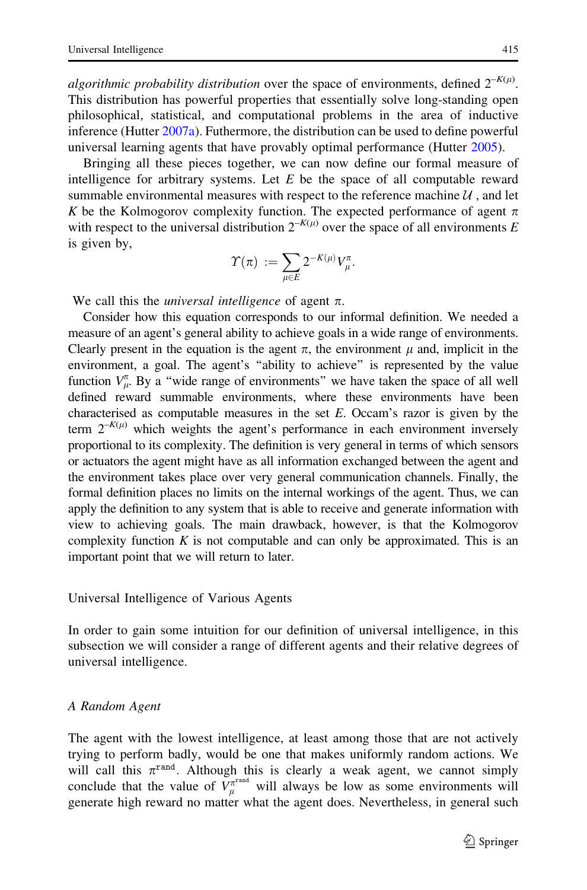*algorithmic probability distribution* over the space of environments, defined  $2^{-K(\mu)}$ . This distribution has powerful properties that essentially solve long-standing open philosophical, statistical, and computational problems in the area of inductive inference (Hutter [2007a\)](#page-51-0). Futhermore, the distribution can be used to define powerful universal learning agents that have provably optimal performance (Hutter [2005\)](#page-51-0).

Bringing all these pieces together, we can now define our formal measure of intelligence for arbitrary systems. Let  $E$  be the space of all computable reward summable environmental measures with respect to the reference machine  $\mathcal{U}$ , and let K be the Kolmogorov complexity function. The expected performance of agent  $\pi$ with respect to the universal distribution  $2^{-K(\mu)}$  over the space of all environments E is given by,

$$
\varUpsilon(\pi) := \sum_{\mu \in E} 2^{-K(\mu)} V_{\mu}^{\pi}.
$$

We call this the *universal intelligence* of agent  $\pi$ .

Consider how this equation corresponds to our informal definition. We needed a measure of an agent's general ability to achieve goals in a wide range of environments. Clearly present in the equation is the agent  $\pi$ , the environment  $\mu$  and, implicit in the environment, a goal. The agent's "ability to achieve" is represented by the value function  $V^{\pi}_{\mu}$ . By a "wide range of environments" we have taken the space of all well defined reward summable environments, where these environments have been characterised as computable measures in the set E. Occam's razor is given by the term  $2^{-K(\mu)}$  which weights the agent's performance in each environment inversely proportional to its complexity. The definition is very general in terms of which sensors or actuators the agent might have as all information exchanged between the agent and the environment takes place over very general communication channels. Finally, the formal definition places no limits on the internal workings of the agent. Thus, we can apply the definition to any system that is able to receive and generate information with view to achieving goals. The main drawback, however, is that the Kolmogorov complexity function  $K$  is not computable and can only be approximated. This is an important point that we will return to later.

#### Universal Intelligence of Various Agents

In order to gain some intuition for our definition of universal intelligence, in this subsection we will consider a range of different agents and their relative degrees of universal intelligence.

#### A Random Agent

The agent with the lowest intelligence, at least among those that are not actively trying to perform badly, would be one that makes uniformly random actions. We will call this  $\pi^{\text{rand}}$ . Although this is clearly a weak agent, we cannot simply conclude that the value of  $V_{\mu}^{\pi^{\text{rand}}}$  will always be low as some environments will generate high reward no matter what the agent does. Nevertheless, in general such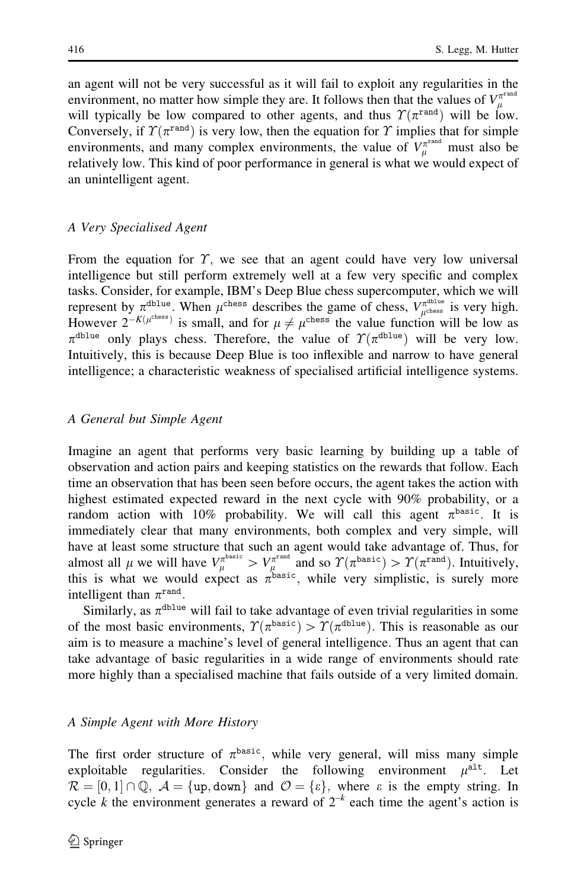an agent will not be very successful as it will fail to exploit any regularities in the environment, no matter how simple they are. It follows then that the values of  $V^{\pi^{\text{rand}}}_{\mu}$ will typically be low compared to other agents, and thus  $\Upsilon(\pi^{\text{rand}})$  will be low. Conversely, if  $\Upsilon(\pi^{\text{rand}})$  is very low, then the equation for  $\Upsilon$  implies that for simple environments, and many complex environments, the value of  $V_{\mu}^{\pi^{\text{rand}}}$  must also be relatively low. This kind of poor performance in general is what we would expect of an unintelligent agent.

### A Very Specialised Agent

From the equation for  $\Upsilon$ , we see that an agent could have very low universal intelligence but still perform extremely well at a few very specific and complex tasks. Consider, for example, IBM's Deep Blue chess supercomputer, which we will represent by  $\pi^{\text{dblue}}$ . When  $\mu^{\text{chess}}$  describes the game of chess,  $V_{\mu^{\text{chess}}}^{\pi^{\text{dblue}}}$  is very high. However  $2^{-K(\mu^{\text{chess}})}$  is small, and for  $\mu \neq \mu^{\text{chess}}$  the value function will be low as  $\pi^{\text{dblue}}$  only plays chess. Therefore, the value of  $\Upsilon(\pi^{\text{dblue}})$  will be very low. Intuitively, this is because Deep Blue is too inflexible and narrow to have general intelligence; a characteristic weakness of specialised artificial intelligence systems.

### A General but Simple Agent

Imagine an agent that performs very basic learning by building up a table of observation and action pairs and keeping statistics on the rewards that follow. Each time an observation that has been seen before occurs, the agent takes the action with highest estimated expected reward in the next cycle with 90% probability, or a random action with 10% probability. We will call this agent  $\pi^{\text{basic}}$ . It is immediately clear that many environments, both complex and very simple, will have at least some structure that such an agent would take advantage of. Thus, for almost all  $\mu$  we will have  $V_{\mu}^{\pi^{\text{basic}}} > V_{\mu}^{\pi^{\text{rand}}}$  and so  $\Upsilon(\pi^{\text{basic}}) > \Upsilon(\pi^{\text{rand}})$ . Intuitively, this is what we would expect as  $\pi^{\text{base}}$ , while very simplistic, is surely more intelligent than  $\pi^{\text{rand}}$ .

Similarly, as  $\pi^{dblue}$  will fail to take advantage of even trivial regularities in some of the most basic environments,  $\Upsilon(\pi^{\text{basic}}) > \Upsilon(\pi^{\text{dblue}})$ . This is reasonable as our aim is to measure a machine's level of general intelligence. Thus an agent that can take advantage of basic regularities in a wide range of environments should rate more highly than a specialised machine that fails outside of a very limited domain.

### A Simple Agent with More History

The first order structure of  $\pi^{\text{basic}}$ , while very general, will miss many simple exploitable regularities. Consider the following environment  $\mu^{alt}$ . Let  $\mathcal{R} = [0, 1] \cap \mathbb{Q}, \ \mathcal{A} = \{\text{up, down}\}\$  and  $\mathcal{O} = \{\varepsilon\}$ , where  $\varepsilon$  is the empty string. In cycle k the environment generates a reward of  $2^{-k}$  each time the agent's action is cycle k the environment generates a reward of  $2^{-k}$  each time the agent's action is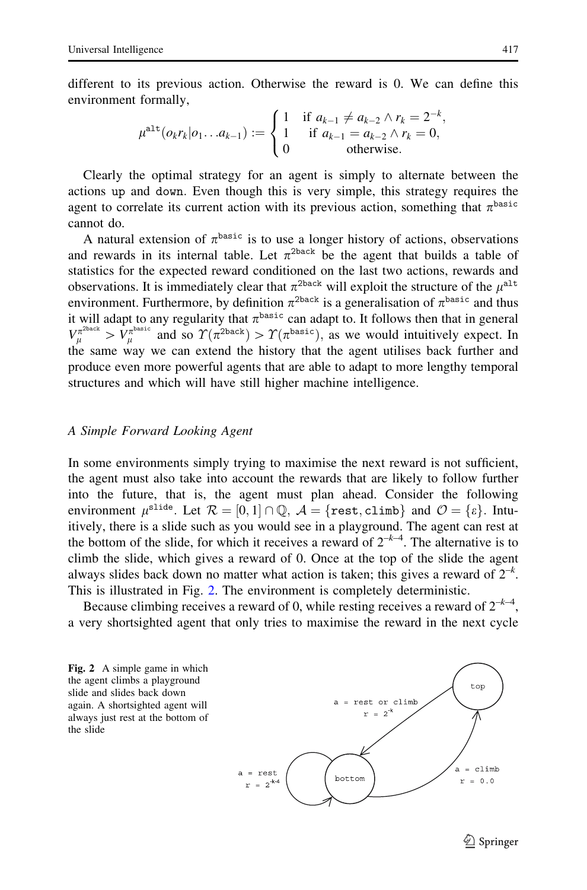different to its previous action. Otherwise the reward is 0. We can define this environment formally,

$$
\mu^{\text{alt}}(o_k r_k | o_1 \dots a_{k-1}) := \begin{cases} 1 & \text{if } a_{k-1} \neq a_{k-2} \land r_k = 2^{-k}, \\ 1 & \text{if } a_{k-1} = a_{k-2} \land r_k = 0, \\ 0 & \text{otherwise.} \end{cases}
$$

Clearly the optimal strategy for an agent is simply to alternate between the actions up and down: Even though this is very simple, this strategy requires the agent to correlate its current action with its previous action, something that  $\pi^{\text{basic}}$ cannot do.

A natural extension of  $\pi^{\text{basic}}$  is to use a longer history of actions, observations and rewards in its internal table. Let  $\pi^{2\text{back}}$  be the agent that builds a table of statistics for the expected reward conditioned on the last two actions, rewards and observations. It is immediately clear that  $\pi^{\text{2back}}$  will exploit the structure of the  $\mu^{\text{alt}}$ environment. Furthermore, by definition  $\pi$ <sup>2back</sup> is a generalisation of  $\pi$ <sup>basic</sup> and thus it will adapt to any regularity that  $\pi^{basic}$  can adapt to. It follows then that in general  $V_{\mu}^{\pi^{\text{2back}}}>V_{\mu}^{\pi^{\text{basic}}}$  and so  $\Upsilon(\pi^{\text{2back}})> \Upsilon(\pi^{\text{basic}})$ , as we would intuitively expect. In the same way we can extend the history that the agent utilises back further and produce even more powerful agents that are able to adapt to more lengthy temporal structures and which will have still higher machine intelligence.

### A Simple Forward Looking Agent

In some environments simply trying to maximise the next reward is not sufficient, the agent must also take into account the rewards that are likely to follow further into the future, that is, the agent must plan ahead. Consider the following environment  $\mu^{\text{slide}}$ . Let  $\mathcal{R} = [0, 1] \cap \mathbb{Q}$ ,  $\mathcal{A} = \{\text{rest}, \text{climb}\}$  and  $\mathcal{O} = \{\varepsilon\}$ . Intu-<br>itively there is a slide such as you would see in a playground. The agent can rest at itively, there is a slide such as you would see in a playground. The agent can rest at the bottom of the slide, for which it receives a reward of  $2^{-k-4}$ . The alternative is to climb the slide, which gives a reward of 0. Once at the top of the slide the agent always slides back down no matter what action is taken; this gives a reward of  $2^{-k}$ . This is illustrated in Fig. 2. The environment is completely deterministic.

Because climbing receives a reward of 0, while resting receives a reward of  $2^{-k-4}$ , a very shortsighted agent that only tries to maximise the reward in the next cycle

Fig. 2 A simple game in which the agent climbs a playground slide and slides back down again. A shortsighted agent will always just rest at the bottom of the slide



 $\circledcirc$  Springer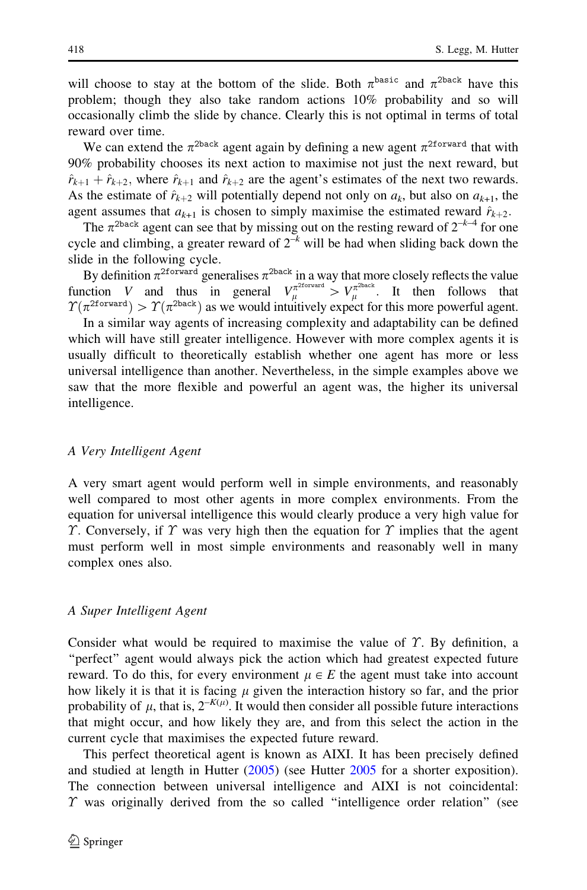will choose to stay at the bottom of the slide. Both  $\pi^{\text{basic}}$  and  $\pi^{\text{2back}}$  have this problem; though they also take random actions 10% probability and so will occasionally climb the slide by chance. Clearly this is not optimal in terms of total reward over time.

We can extend the  $\pi^{2\text{back}}$  agent again by defining a new agent  $\pi^{2\text{forward}}$  that with 90% probability chooses its next action to maximise not just the next reward, but  $\hat{r}_{k+1} + \hat{r}_{k+2}$ , where  $\hat{r}_{k+1}$  and  $\hat{r}_{k+2}$  are the agent's estimates of the next two rewards. As the estimate of  $\hat{r}_{k+2}$  will potentially depend not only on  $a_k$ , but also on  $a_{k+1}$ , the agent assumes that  $a_{k+1}$  is chosen to simply maximise the estimated reward  $\hat{r}_{k+2}$ .

The  $\pi^{\text{2back}}$  agent can see that by missing out on the resting reward of  $2^{-k-4}$  for one cycle and climbing, a greater reward of  $2^{-k}$  will be had when sliding back down the slide in the following cycle.

By definition  $\pi^{2\text{forward}}$  generalises  $\pi^{2\text{back}}$  in a way that more closely reflects the value function V and thus in general  $V_{\mu}^{\pi^{2\text{forward}}} > V_{\mu}^{\pi^{2\text{back}}}$ . It then follows that  $\Upsilon(\pi^{2\text{forward}}) > \Upsilon(\pi^{2\text{back}})$  as we would intuitively expect for this more powerful agent.

In a similar way agents of increasing complexity and adaptability can be defined which will have still greater intelligence. However with more complex agents it is usually difficult to theoretically establish whether one agent has more or less universal intelligence than another. Nevertheless, in the simple examples above we saw that the more flexible and powerful an agent was, the higher its universal intelligence.

### A Very Intelligent Agent

A very smart agent would perform well in simple environments, and reasonably well compared to most other agents in more complex environments. From the equation for universal intelligence this would clearly produce a very high value for  $\Upsilon$ . Conversely, if  $\Upsilon$  was very high then the equation for  $\Upsilon$  implies that the agent must perform well in most simple environments and reasonably well in many complex ones also.

#### A Super Intelligent Agent

Consider what would be required to maximise the value of  $\Upsilon$ . By definition, a ''perfect'' agent would always pick the action which had greatest expected future reward. To do this, for every environment  $\mu \in E$  the agent must take into account how likely it is that it is facing  $\mu$  given the interaction history so far, and the prior probability of  $\mu$ , that is,  $2^{-K(\mu)}$ . It would then consider all possible future interactions that might occur, and how likely they are, and from this select the action in the current cycle that maximises the expected future reward.

This perfect theoretical agent is known as AIXI. It has been precisely defined and studied at length in Hutter ([2005\)](#page-51-0) (see Hutter [2005](#page-51-0) for a shorter exposition). The connection between universal intelligence and AIXI is not coincidental:  $\gamma$  was originally derived from the so called "intelligence order relation" (see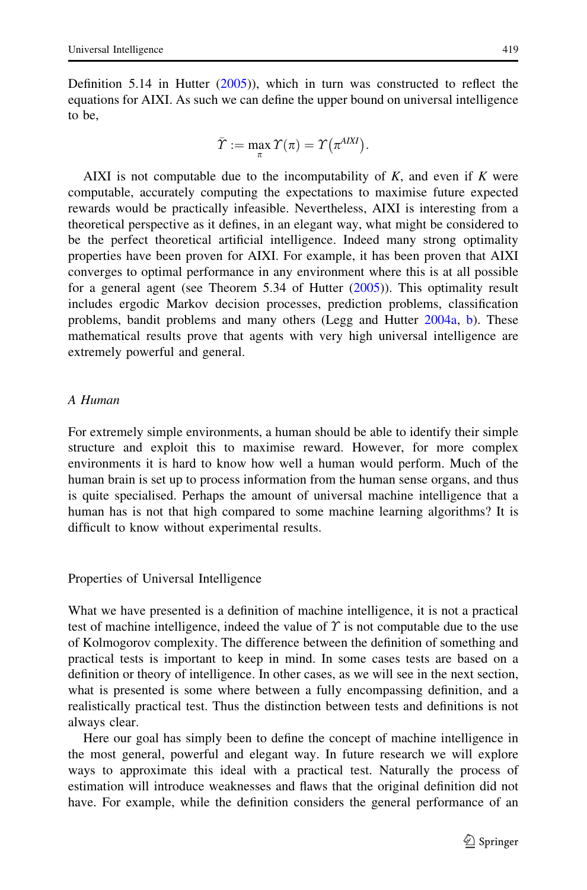Definition 5.14 in Hutter [\(2005](#page-51-0))), which in turn was constructed to reflect the equations for AIXI. As such we can define the upper bound on universal intelligence to be,

$$
\bar{\varUpsilon} := \max_{\pi} \varUpsilon(\pi) = \varUpsilon(\pi^{AIXI}).
$$

AIXI is not computable due to the incomputability of  $K$ , and even if  $K$  were computable, accurately computing the expectations to maximise future expected rewards would be practically infeasible. Nevertheless, AIXI is interesting from a theoretical perspective as it defines, in an elegant way, what might be considered to be the perfect theoretical artificial intelligence. Indeed many strong optimality properties have been proven for AIXI. For example, it has been proven that AIXI converges to optimal performance in any environment where this is at all possible for a general agent (see Theorem 5.34 of Hutter  $(2005)$  $(2005)$ ). This optimality result includes ergodic Markov decision processes, prediction problems, classification problems, bandit problems and many others (Legg and Hutter [2004a](#page-51-0), [b](#page-51-0)). These mathematical results prove that agents with very high universal intelligence are extremely powerful and general.

#### A Human

For extremely simple environments, a human should be able to identify their simple structure and exploit this to maximise reward. However, for more complex environments it is hard to know how well a human would perform. Much of the human brain is set up to process information from the human sense organs, and thus is quite specialised. Perhaps the amount of universal machine intelligence that a human has is not that high compared to some machine learning algorithms? It is difficult to know without experimental results.

# Properties of Universal Intelligence

What we have presented is a definition of machine intelligence, it is not a practical test of machine intelligence, indeed the value of  $\Upsilon$  is not computable due to the use of Kolmogorov complexity. The difference between the definition of something and practical tests is important to keep in mind. In some cases tests are based on a definition or theory of intelligence. In other cases, as we will see in the next section, what is presented is some where between a fully encompassing definition, and a realistically practical test. Thus the distinction between tests and definitions is not always clear.

Here our goal has simply been to define the concept of machine intelligence in the most general, powerful and elegant way. In future research we will explore ways to approximate this ideal with a practical test. Naturally the process of estimation will introduce weaknesses and flaws that the original definition did not have. For example, while the definition considers the general performance of an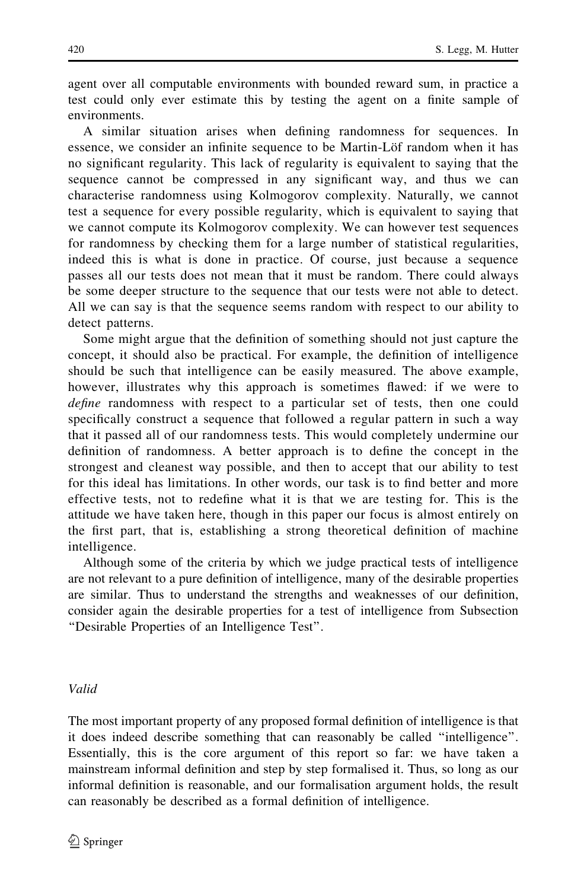agent over all computable environments with bounded reward sum, in practice a test could only ever estimate this by testing the agent on a finite sample of environments.

A similar situation arises when defining randomness for sequences. In essence, we consider an infinite sequence to be Martin-Löf random when it has no significant regularity. This lack of regularity is equivalent to saying that the sequence cannot be compressed in any significant way, and thus we can characterise randomness using Kolmogorov complexity. Naturally, we cannot test a sequence for every possible regularity, which is equivalent to saying that we cannot compute its Kolmogorov complexity. We can however test sequences for randomness by checking them for a large number of statistical regularities, indeed this is what is done in practice. Of course, just because a sequence passes all our tests does not mean that it must be random. There could always be some deeper structure to the sequence that our tests were not able to detect. All we can say is that the sequence seems random with respect to our ability to detect patterns.

Some might argue that the definition of something should not just capture the concept, it should also be practical. For example, the definition of intelligence should be such that intelligence can be easily measured. The above example, however, illustrates why this approach is sometimes flawed: if we were to define randomness with respect to a particular set of tests, then one could specifically construct a sequence that followed a regular pattern in such a way that it passed all of our randomness tests. This would completely undermine our definition of randomness. A better approach is to define the concept in the strongest and cleanest way possible, and then to accept that our ability to test for this ideal has limitations. In other words, our task is to find better and more effective tests, not to redefine what it is that we are testing for. This is the attitude we have taken here, though in this paper our focus is almost entirely on the first part, that is, establishing a strong theoretical definition of machine intelligence.

Although some of the criteria by which we judge practical tests of intelligence are not relevant to a pure definition of intelligence, many of the desirable properties are similar. Thus to understand the strengths and weaknesses of our definition, consider again the desirable properties for a test of intelligence from Subsection ''Desirable Properties of an Intelligence Test''.

### Valid

The most important property of any proposed formal definition of intelligence is that it does indeed describe something that can reasonably be called ''intelligence''. Essentially, this is the core argument of this report so far: we have taken a mainstream informal definition and step by step formalised it. Thus, so long as our informal definition is reasonable, and our formalisation argument holds, the result can reasonably be described as a formal definition of intelligence.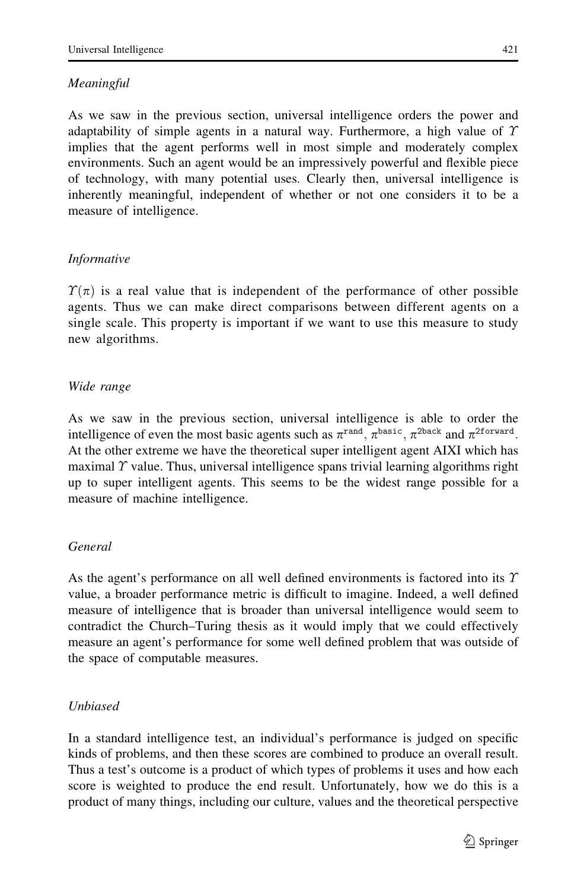# Meaningful

As we saw in the previous section, universal intelligence orders the power and adaptability of simple agents in a natural way. Furthermore, a high value of  $\Upsilon$ implies that the agent performs well in most simple and moderately complex environments. Such an agent would be an impressively powerful and flexible piece of technology, with many potential uses. Clearly then, universal intelligence is inherently meaningful, independent of whether or not one considers it to be a measure of intelligence.

# Informative

 $\Upsilon(\pi)$  is a real value that is independent of the performance of other possible agents. Thus we can make direct comparisons between different agents on a single scale. This property is important if we want to use this measure to study new algorithms.

# Wide range

As we saw in the previous section, universal intelligence is able to order the intelligence of even the most basic agents such as  $\pi^{\text{rand}}$ ,  $\pi^{\text{basic}}$ ,  $\pi^{\text{2back}}$  and  $\pi^{\text{2forward}}$ . At the other extreme we have the theoretical super intelligent agent AIXI which has maximal  $\gamma$  value. Thus, universal intelligence spans trivial learning algorithms right up to super intelligent agents. This seems to be the widest range possible for a measure of machine intelligence.

### General

As the agent's performance on all well defined environments is factored into its  $\Upsilon$ value, a broader performance metric is difficult to imagine. Indeed, a well defined measure of intelligence that is broader than universal intelligence would seem to contradict the Church–Turing thesis as it would imply that we could effectively measure an agent's performance for some well defined problem that was outside of the space of computable measures.

# Unbiased

In a standard intelligence test, an individual's performance is judged on specific kinds of problems, and then these scores are combined to produce an overall result. Thus a test's outcome is a product of which types of problems it uses and how each score is weighted to produce the end result. Unfortunately, how we do this is a product of many things, including our culture, values and the theoretical perspective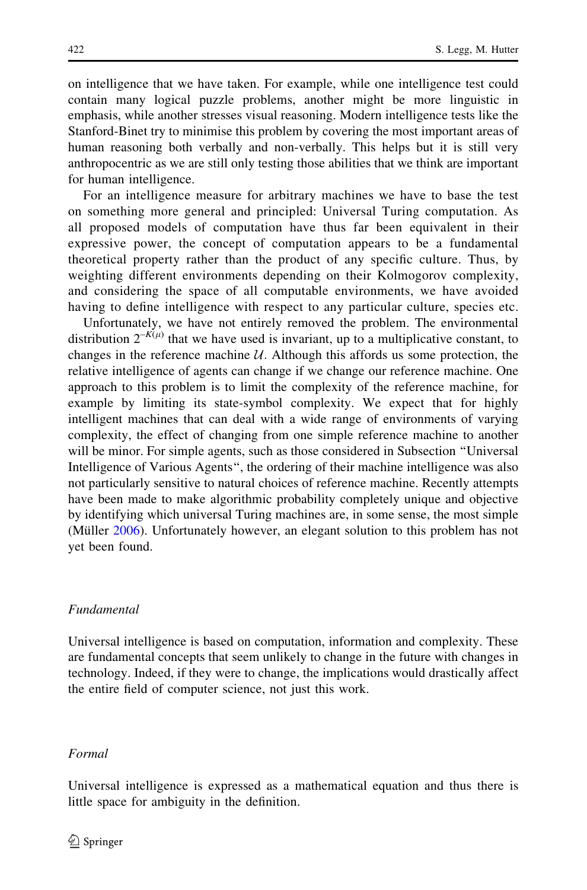on intelligence that we have taken. For example, while one intelligence test could contain many logical puzzle problems, another might be more linguistic in emphasis, while another stresses visual reasoning. Modern intelligence tests like the Stanford-Binet try to minimise this problem by covering the most important areas of human reasoning both verbally and non-verbally. This helps but it is still very anthropocentric as we are still only testing those abilities that we think are important for human intelligence.

For an intelligence measure for arbitrary machines we have to base the test on something more general and principled: Universal Turing computation. As all proposed models of computation have thus far been equivalent in their expressive power, the concept of computation appears to be a fundamental theoretical property rather than the product of any specific culture. Thus, by weighting different environments depending on their Kolmogorov complexity, and considering the space of all computable environments, we have avoided having to define intelligence with respect to any particular culture, species etc.

Unfortunately, we have not entirely removed the problem. The environmental distribution  $2^{-K(\mu)}$  that we have used is invariant, up to a multiplicative constant, to changes in the reference machine  $U$ . Although this affords us some protection, the relative intelligence of agents can change if we change our reference machine. One approach to this problem is to limit the complexity of the reference machine, for example by limiting its state-symbol complexity. We expect that for highly intelligent machines that can deal with a wide range of environments of varying complexity, the effect of changing from one simple reference machine to another will be minor. For simple agents, such as those considered in Subsection ''Universal Intelligence of Various Agents'', the ordering of their machine intelligence was also not particularly sensitive to natural choices of reference machine. Recently attempts have been made to make algorithmic probability completely unique and objective by identifying which universal Turing machines are, in some sense, the most simple (Müller [2006\)](#page-52-0). Unfortunately however, an elegant solution to this problem has not yet been found.

#### Fundamental

Universal intelligence is based on computation, information and complexity. These are fundamental concepts that seem unlikely to change in the future with changes in technology. Indeed, if they were to change, the implications would drastically affect the entire field of computer science, not just this work.

#### Formal

Universal intelligence is expressed as a mathematical equation and thus there is little space for ambiguity in the definition.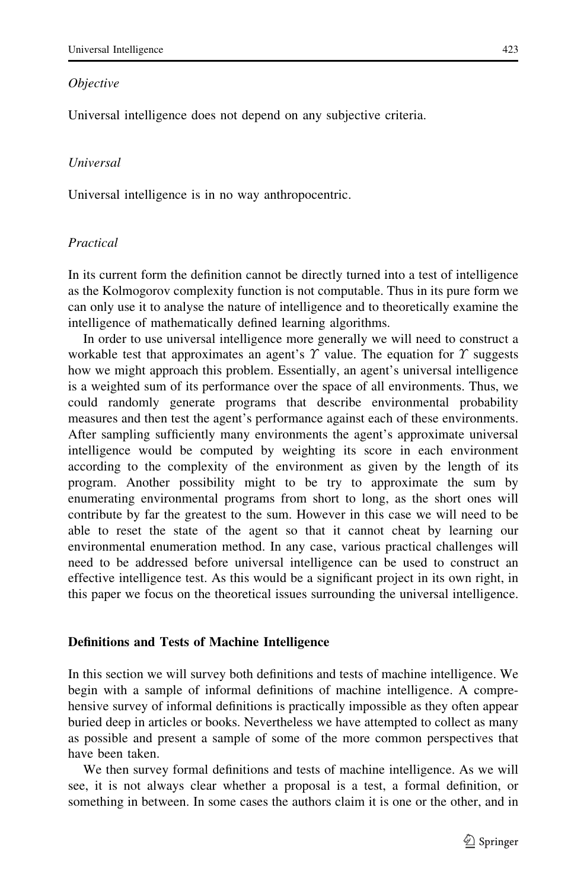#### **Objective**

Universal intelligence does not depend on any subjective criteria.

#### Universal

Universal intelligence is in no way anthropocentric.

# Practical

In its current form the definition cannot be directly turned into a test of intelligence as the Kolmogorov complexity function is not computable. Thus in its pure form we can only use it to analyse the nature of intelligence and to theoretically examine the intelligence of mathematically defined learning algorithms.

In order to use universal intelligence more generally we will need to construct a workable test that approximates an agent's  $\Upsilon$  value. The equation for  $\Upsilon$  suggests how we might approach this problem. Essentially, an agent's universal intelligence is a weighted sum of its performance over the space of all environments. Thus, we could randomly generate programs that describe environmental probability measures and then test the agent's performance against each of these environments. After sampling sufficiently many environments the agent's approximate universal intelligence would be computed by weighting its score in each environment according to the complexity of the environment as given by the length of its program. Another possibility might to be try to approximate the sum by enumerating environmental programs from short to long, as the short ones will contribute by far the greatest to the sum. However in this case we will need to be able to reset the state of the agent so that it cannot cheat by learning our environmental enumeration method. In any case, various practical challenges will need to be addressed before universal intelligence can be used to construct an effective intelligence test. As this would be a significant project in its own right, in this paper we focus on the theoretical issues surrounding the universal intelligence.

#### Definitions and Tests of Machine Intelligence

In this section we will survey both definitions and tests of machine intelligence. We begin with a sample of informal definitions of machine intelligence. A comprehensive survey of informal definitions is practically impossible as they often appear buried deep in articles or books. Nevertheless we have attempted to collect as many as possible and present a sample of some of the more common perspectives that have been taken.

We then survey formal definitions and tests of machine intelligence. As we will see, it is not always clear whether a proposal is a test, a formal definition, or something in between. In some cases the authors claim it is one or the other, and in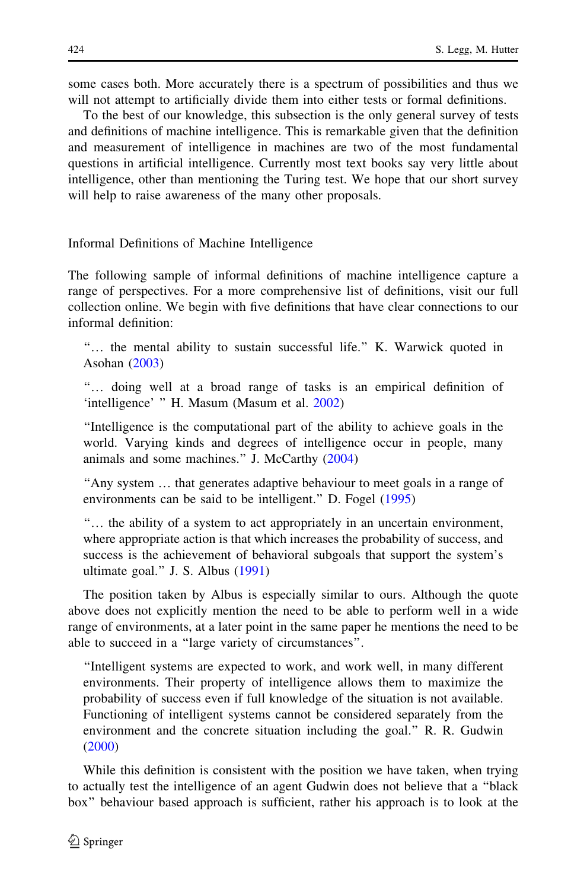some cases both. More accurately there is a spectrum of possibilities and thus we will not attempt to artificially divide them into either tests or formal definitions.

To the best of our knowledge, this subsection is the only general survey of tests and definitions of machine intelligence. This is remarkable given that the definition and measurement of intelligence in machines are two of the most fundamental questions in artificial intelligence. Currently most text books say very little about intelligence, other than mentioning the Turing test. We hope that our short survey will help to raise awareness of the many other proposals.

Informal Definitions of Machine Intelligence

The following sample of informal definitions of machine intelligence capture a range of perspectives. For a more comprehensive list of definitions, visit our full collection online. We begin with five definitions that have clear connections to our informal definition:

"... the mental ability to sustain successful life." K. Warwick quoted in Asohan [\(2003](#page-49-0))

''… doing well at a broad range of tasks is an empirical definition of 'intelligence' '' H. Masum (Masum et al. [2002\)](#page-51-0)

''Intelligence is the computational part of the ability to achieve goals in the world. Varying kinds and degrees of intelligence occur in people, many animals and some machines.'' J. McCarthy [\(2004](#page-51-0))

''Any system … that generates adaptive behaviour to meet goals in a range of environments can be said to be intelligent.'' D. Fogel [\(1995](#page-50-0))

''… the ability of a system to act appropriately in an uncertain environment, where appropriate action is that which increases the probability of success, and success is the achievement of behavioral subgoals that support the system's ultimate goal.'' J. S. Albus ([1991\)](#page-49-0)

The position taken by Albus is especially similar to ours. Although the quote above does not explicitly mention the need to be able to perform well in a wide range of environments, at a later point in the same paper he mentions the need to be able to succeed in a ''large variety of circumstances''.

''Intelligent systems are expected to work, and work well, in many different environments. Their property of intelligence allows them to maximize the probability of success even if full knowledge of the situation is not available. Functioning of intelligent systems cannot be considered separately from the environment and the concrete situation including the goal.'' R. R. Gudwin ([2000\)](#page-50-0)

While this definition is consistent with the position we have taken, when trying to actually test the intelligence of an agent Gudwin does not believe that a ''black box'' behaviour based approach is sufficient, rather his approach is to look at the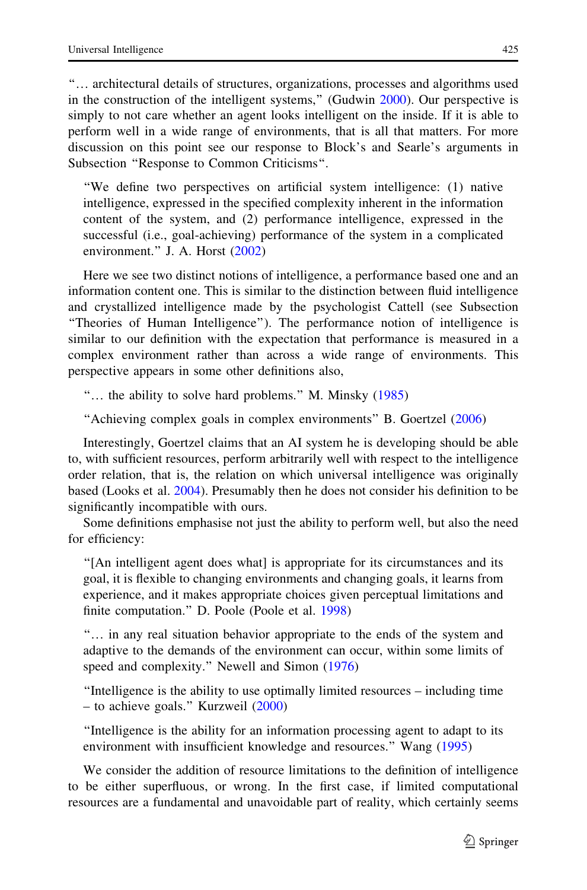''… architectural details of structures, organizations, processes and algorithms used in the construction of the intelligent systems," (Gudwin [2000](#page-50-0)). Our perspective is simply to not care whether an agent looks intelligent on the inside. If it is able to perform well in a wide range of environments, that is all that matters. For more discussion on this point see our response to Block's and Searle's arguments in Subsection ''Response to Common Criticisms''.

''We define two perspectives on artificial system intelligence: (1) native intelligence, expressed in the specified complexity inherent in the information content of the system, and (2) performance intelligence, expressed in the successful (i.e., goal-achieving) performance of the system in a complicated environment.'' J. A. Horst ([2002\)](#page-50-0)

Here we see two distinct notions of intelligence, a performance based one and an information content one. This is similar to the distinction between fluid intelligence and crystallized intelligence made by the psychologist Cattell (see Subsection ''Theories of Human Intelligence''). The performance notion of intelligence is similar to our definition with the expectation that performance is measured in a complex environment rather than across a wide range of environments. This perspective appears in some other definitions also,

"... the ability to solve hard problems." M. Minsky ([1985\)](#page-51-0)

"Achieving complex goals in complex environments" B. Goertzel [\(2006](#page-50-0))

Interestingly, Goertzel claims that an AI system he is developing should be able to, with sufficient resources, perform arbitrarily well with respect to the intelligence order relation, that is, the relation on which universal intelligence was originally based (Looks et al. [2004](#page-51-0)). Presumably then he does not consider his definition to be significantly incompatible with ours.

Some definitions emphasise not just the ability to perform well, but also the need for efficiency:

''[An intelligent agent does what] is appropriate for its circumstances and its goal, it is flexible to changing environments and changing goals, it learns from experience, and it makes appropriate choices given perceptual limitations and finite computation.'' D. Poole (Poole et al. [1998\)](#page-52-0)

''… in any real situation behavior appropriate to the ends of the system and adaptive to the demands of the environment can occur, within some limits of speed and complexity.'' Newell and Simon [\(1976](#page-52-0))

''Intelligence is the ability to use optimally limited resources – including time – to achieve goals.'' Kurzweil [\(2000](#page-51-0))

''Intelligence is the ability for an information processing agent to adapt to its environment with insufficient knowledge and resources.'' Wang [\(1995](#page-52-0))

We consider the addition of resource limitations to the definition of intelligence to be either superfluous, or wrong. In the first case, if limited computational resources are a fundamental and unavoidable part of reality, which certainly seems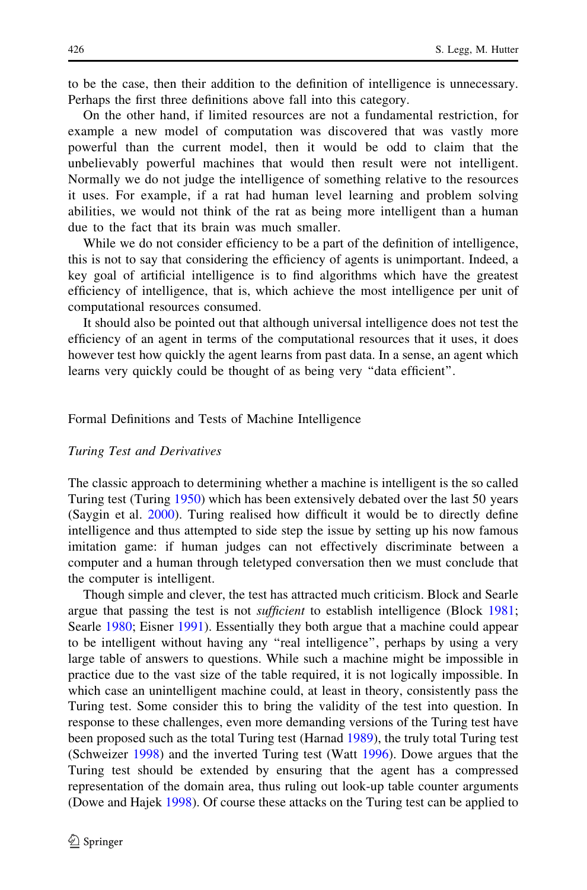to be the case, then their addition to the definition of intelligence is unnecessary. Perhaps the first three definitions above fall into this category.

On the other hand, if limited resources are not a fundamental restriction, for example a new model of computation was discovered that was vastly more powerful than the current model, then it would be odd to claim that the unbelievably powerful machines that would then result were not intelligent. Normally we do not judge the intelligence of something relative to the resources it uses. For example, if a rat had human level learning and problem solving abilities, we would not think of the rat as being more intelligent than a human due to the fact that its brain was much smaller.

While we do not consider efficiency to be a part of the definition of intelligence, this is not to say that considering the efficiency of agents is unimportant. Indeed, a key goal of artificial intelligence is to find algorithms which have the greatest efficiency of intelligence, that is, which achieve the most intelligence per unit of computational resources consumed.

It should also be pointed out that although universal intelligence does not test the efficiency of an agent in terms of the computational resources that it uses, it does however test how quickly the agent learns from past data. In a sense, an agent which learns very quickly could be thought of as being very ''data efficient''.

#### Formal Definitions and Tests of Machine Intelligence

#### Turing Test and Derivatives

The classic approach to determining whether a machine is intelligent is the so called Turing test (Turing [1950](#page-52-0)) which has been extensively debated over the last 50 years (Saygin et al. [2000\)](#page-52-0). Turing realised how difficult it would be to directly define intelligence and thus attempted to side step the issue by setting up his now famous imitation game: if human judges can not effectively discriminate between a computer and a human through teletyped conversation then we must conclude that the computer is intelligent.

Though simple and clever, the test has attracted much criticism. Block and Searle argue that passing the test is not sufficient to establish intelligence (Block [1981;](#page-49-0) Searle [1980;](#page-52-0) Eisner [1991\)](#page-50-0). Essentially they both argue that a machine could appear to be intelligent without having any ''real intelligence'', perhaps by using a very large table of answers to questions. While such a machine might be impossible in practice due to the vast size of the table required, it is not logically impossible. In which case an unintelligent machine could, at least in theory, consistently pass the Turing test. Some consider this to bring the validity of the test into question. In response to these challenges, even more demanding versions of the Turing test have been proposed such as the total Turing test (Harnad [1989\)](#page-50-0), the truly total Turing test (Schweizer [1998\)](#page-52-0) and the inverted Turing test (Watt [1996](#page-53-0)). Dowe argues that the Turing test should be extended by ensuring that the agent has a compressed representation of the domain area, thus ruling out look-up table counter arguments (Dowe and Hajek [1998\)](#page-50-0). Of course these attacks on the Turing test can be applied to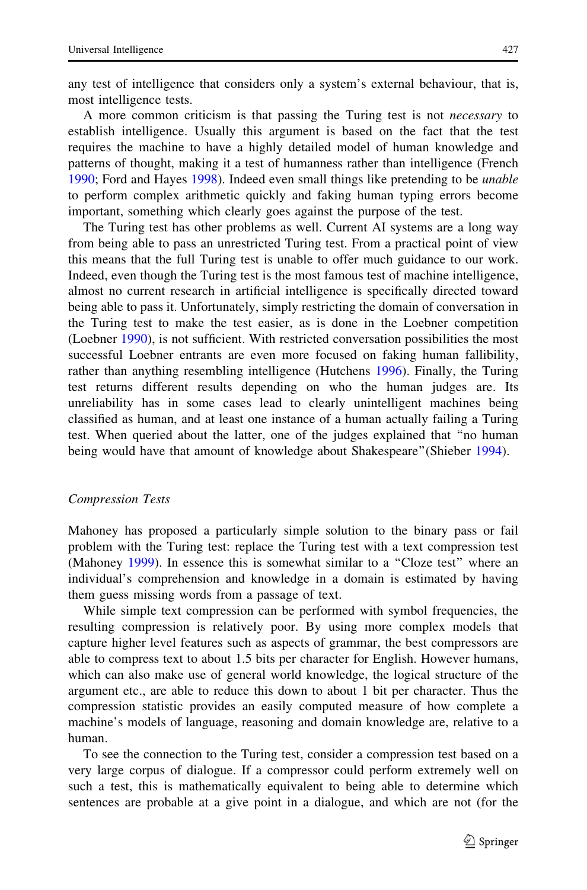any test of intelligence that considers only a system's external behaviour, that is, most intelligence tests.

A more common criticism is that passing the Turing test is not necessary to establish intelligence. Usually this argument is based on the fact that the test requires the machine to have a highly detailed model of human knowledge and patterns of thought, making it a test of humanness rather than intelligence (French [1990;](#page-50-0) Ford and Hayes [1998\)](#page-50-0). Indeed even small things like pretending to be unable to perform complex arithmetic quickly and faking human typing errors become important, something which clearly goes against the purpose of the test.

The Turing test has other problems as well. Current AI systems are a long way from being able to pass an unrestricted Turing test. From a practical point of view this means that the full Turing test is unable to offer much guidance to our work. Indeed, even though the Turing test is the most famous test of machine intelligence, almost no current research in artificial intelligence is specifically directed toward being able to pass it. Unfortunately, simply restricting the domain of conversation in the Turing test to make the test easier, as is done in the Loebner competition (Loebner [1990](#page-51-0)), is not sufficient. With restricted conversation possibilities the most successful Loebner entrants are even more focused on faking human fallibility, rather than anything resembling intelligence (Hutchens [1996](#page-51-0)). Finally, the Turing test returns different results depending on who the human judges are. Its unreliability has in some cases lead to clearly unintelligent machines being classified as human, and at least one instance of a human actually failing a Turing test. When queried about the latter, one of the judges explained that ''no human being would have that amount of knowledge about Shakespeare''(Shieber [1994\)](#page-52-0).

#### Compression Tests

Mahoney has proposed a particularly simple solution to the binary pass or fail problem with the Turing test: replace the Turing test with a text compression test (Mahoney [1999\)](#page-51-0). In essence this is somewhat similar to a "Cloze test" where an individual's comprehension and knowledge in a domain is estimated by having them guess missing words from a passage of text.

While simple text compression can be performed with symbol frequencies, the resulting compression is relatively poor. By using more complex models that capture higher level features such as aspects of grammar, the best compressors are able to compress text to about 1.5 bits per character for English. However humans, which can also make use of general world knowledge, the logical structure of the argument etc., are able to reduce this down to about 1 bit per character. Thus the compression statistic provides an easily computed measure of how complete a machine's models of language, reasoning and domain knowledge are, relative to a human.

To see the connection to the Turing test, consider a compression test based on a very large corpus of dialogue. If a compressor could perform extremely well on such a test, this is mathematically equivalent to being able to determine which sentences are probable at a give point in a dialogue, and which are not (for the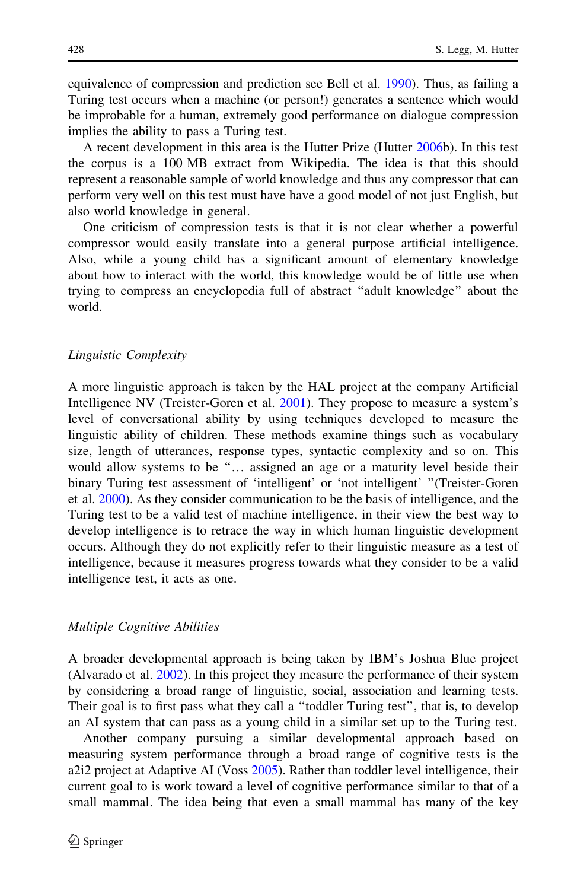equivalence of compression and prediction see Bell et al. [1990](#page-49-0)). Thus, as failing a Turing test occurs when a machine (or person!) generates a sentence which would be improbable for a human, extremely good performance on dialogue compression implies the ability to pass a Turing test.

A recent development in this area is the Hutter Prize (Hutter [2006b](#page-51-0)). In this test the corpus is a 100 MB extract from Wikipedia. The idea is that this should represent a reasonable sample of world knowledge and thus any compressor that can perform very well on this test must have have a good model of not just English, but also world knowledge in general.

One criticism of compression tests is that it is not clear whether a powerful compressor would easily translate into a general purpose artificial intelligence. Also, while a young child has a significant amount of elementary knowledge about how to interact with the world, this knowledge would be of little use when trying to compress an encyclopedia full of abstract ''adult knowledge'' about the world.

#### Linguistic Complexity

A more linguistic approach is taken by the HAL project at the company Artificial Intelligence NV (Treister-Goren et al. [2001](#page-52-0)). They propose to measure a system's level of conversational ability by using techniques developed to measure the linguistic ability of children. These methods examine things such as vocabulary size, length of utterances, response types, syntactic complexity and so on. This would allow systems to be "... assigned an age or a maturity level beside their binary Turing test assessment of 'intelligent' or 'not intelligent' "(Treister-Goren et al. [2000\)](#page-52-0). As they consider communication to be the basis of intelligence, and the Turing test to be a valid test of machine intelligence, in their view the best way to develop intelligence is to retrace the way in which human linguistic development occurs. Although they do not explicitly refer to their linguistic measure as a test of intelligence, because it measures progress towards what they consider to be a valid intelligence test, it acts as one.

#### Multiple Cognitive Abilities

A broader developmental approach is being taken by IBM's Joshua Blue project (Alvarado et al. [2002](#page-49-0)). In this project they measure the performance of their system by considering a broad range of linguistic, social, association and learning tests. Their goal is to first pass what they call a ''toddler Turing test'', that is, to develop an AI system that can pass as a young child in a similar set up to the Turing test.

Another company pursuing a similar developmental approach based on measuring system performance through a broad range of cognitive tests is the a2i2 project at Adaptive AI (Voss [2005](#page-52-0)). Rather than toddler level intelligence, their current goal to is work toward a level of cognitive performance similar to that of a small mammal. The idea being that even a small mammal has many of the key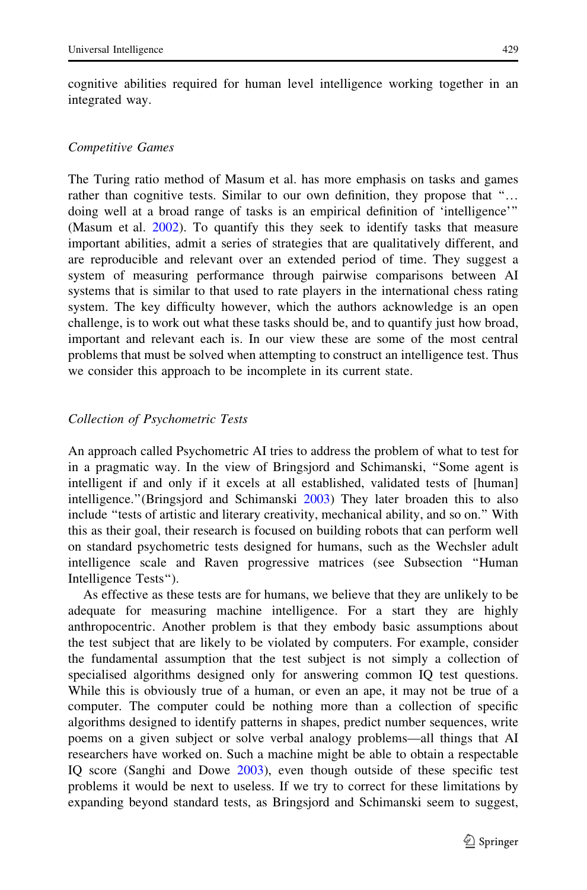cognitive abilities required for human level intelligence working together in an integrated way.

#### Competitive Games

The Turing ratio method of Masum et al. has more emphasis on tasks and games rather than cognitive tests. Similar to our own definition, they propose that "... doing well at a broad range of tasks is an empirical definition of 'intelligence''' (Masum et al. [2002](#page-51-0)). To quantify this they seek to identify tasks that measure important abilities, admit a series of strategies that are qualitatively different, and are reproducible and relevant over an extended period of time. They suggest a system of measuring performance through pairwise comparisons between AI systems that is similar to that used to rate players in the international chess rating system. The key difficulty however, which the authors acknowledge is an open challenge, is to work out what these tasks should be, and to quantify just how broad, important and relevant each is. In our view these are some of the most central problems that must be solved when attempting to construct an intelligence test. Thus we consider this approach to be incomplete in its current state.

#### Collection of Psychometric Tests

An approach called Psychometric AI tries to address the problem of what to test for in a pragmatic way. In the view of Bringsjord and Schimanski, ''Some agent is intelligent if and only if it excels at all established, validated tests of [human] intelligence.''(Bringsjord and Schimanski [2003](#page-49-0)) They later broaden this to also include ''tests of artistic and literary creativity, mechanical ability, and so on.'' With this as their goal, their research is focused on building robots that can perform well on standard psychometric tests designed for humans, such as the Wechsler adult intelligence scale and Raven progressive matrices (see Subsection ''Human Intelligence Tests'').

As effective as these tests are for humans, we believe that they are unlikely to be adequate for measuring machine intelligence. For a start they are highly anthropocentric. Another problem is that they embody basic assumptions about the test subject that are likely to be violated by computers. For example, consider the fundamental assumption that the test subject is not simply a collection of specialised algorithms designed only for answering common IQ test questions. While this is obviously true of a human, or even an ape, it may not be true of a computer. The computer could be nothing more than a collection of specific algorithms designed to identify patterns in shapes, predict number sequences, write poems on a given subject or solve verbal analogy problems—all things that AI researchers have worked on. Such a machine might be able to obtain a respectable IQ score (Sanghi and Dowe [2003\)](#page-52-0), even though outside of these specific test problems it would be next to useless. If we try to correct for these limitations by expanding beyond standard tests, as Bringsjord and Schimanski seem to suggest,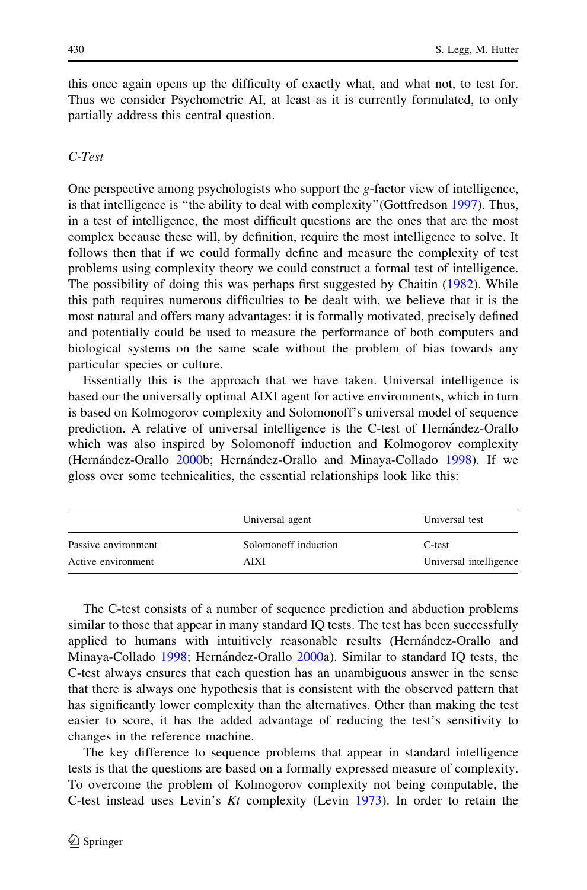this once again opens up the difficulty of exactly what, and what not, to test for. Thus we consider Psychometric AI, at least as it is currently formulated, to only partially address this central question.

#### C-Test

One perspective among psychologists who support the g-factor view of intelligence, is that intelligence is ''the ability to deal with complexity''(Gottfredson [1997\)](#page-50-0). Thus, in a test of intelligence, the most difficult questions are the ones that are the most complex because these will, by definition, require the most intelligence to solve. It follows then that if we could formally define and measure the complexity of test problems using complexity theory we could construct a formal test of intelligence. The possibility of doing this was perhaps first suggested by Chaitin ([1982\)](#page-50-0). While this path requires numerous difficulties to be dealt with, we believe that it is the most natural and offers many advantages: it is formally motivated, precisely defined and potentially could be used to measure the performance of both computers and biological systems on the same scale without the problem of bias towards any particular species or culture.

Essentially this is the approach that we have taken. Universal intelligence is based our the universally optimal AIXI agent for active environments, which in turn is based on Kolmogorov complexity and Solomonoff's universal model of sequence prediction. A relative of universal intelligence is the C-test of Herna´ndez-Orallo which was also inspired by Solomonoff induction and Kolmogorov complexity (Hernández-Orallo [2000b](#page-50-0); Hernández-Orallo and Minaya-Collado [1998](#page-50-0)). If we gloss over some technicalities, the essential relationships look like this:

|                     | Universal agent      | Universal test         |
|---------------------|----------------------|------------------------|
| Passive environment | Solomonoff induction | C-test                 |
| Active environment  | AIXI                 | Universal intelligence |
|                     |                      |                        |

The C-test consists of a number of sequence prediction and abduction problems similar to those that appear in many standard IQ tests. The test has been successfully applied to humans with intuitively reasonable results (Hernández-Orallo and Minaya-Collado [1998](#page-50-0); Hernández-Orallo [2000](#page-50-0)a). Similar to standard IQ tests, the C-test always ensures that each question has an unambiguous answer in the sense that there is always one hypothesis that is consistent with the observed pattern that has significantly lower complexity than the alternatives. Other than making the test easier to score, it has the added advantage of reducing the test's sensitivity to changes in the reference machine.

The key difference to sequence problems that appear in standard intelligence tests is that the questions are based on a formally expressed measure of complexity. To overcome the problem of Kolmogorov complexity not being computable, the C-test instead uses Levin's  $Kt$  complexity (Levin [1973](#page-51-0)). In order to retain the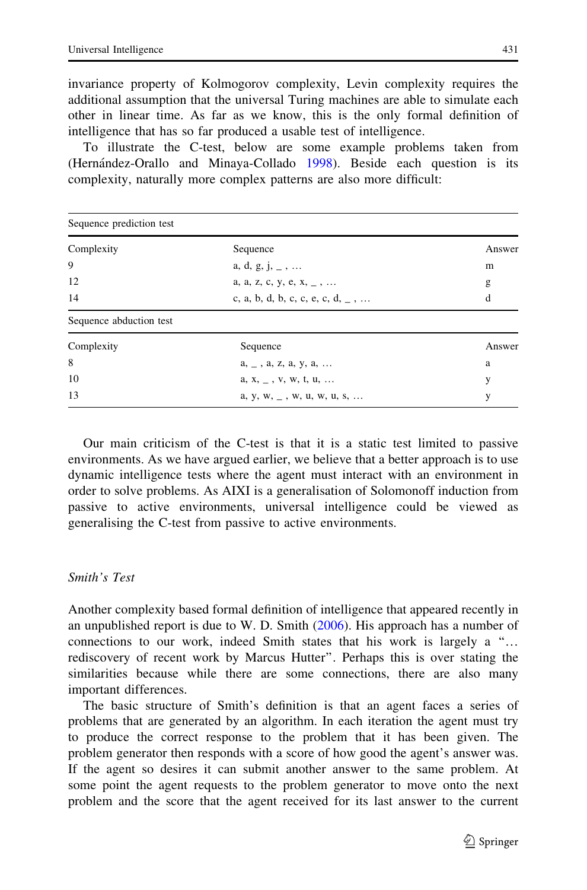invariance property of Kolmogorov complexity, Levin complexity requires the additional assumption that the universal Turing machines are able to simulate each other in linear time. As far as we know, this is the only formal definition of intelligence that has so far produced a usable test of intelligence.

To illustrate the C-test, below are some example problems taken from (Herna´ndez-Orallo and Minaya-Collado [1998](#page-50-0)). Beside each question is its complexity, naturally more complex patterns are also more difficult:

| Sequence prediction test |                                    |        |
|--------------------------|------------------------------------|--------|
| Complexity               | Sequence                           | Answer |
| 9                        | a, d, g, j, $_{-}$ ,               | m      |
| 12                       | a, a, z, c, y, e, x, $\_$ ,        | g      |
| 14                       | c, a, b, d, b, c, c, e, c, d,      | d      |
| Sequence abduction test  |                                    |        |
| Complexity               | Sequence                           | Answer |
| 8                        | $a, \ldots, a, z, a, y, a, \ldots$ | a      |
| 10                       | $a, x, \dots, v, w, t, u, \dots$   | у      |
| 13                       | $a, y, w, \_$ , w, u, w, u, s,     | y      |

Our main criticism of the C-test is that it is a static test limited to passive environments. As we have argued earlier, we believe that a better approach is to use dynamic intelligence tests where the agent must interact with an environment in order to solve problems. As AIXI is a generalisation of Solomonoff induction from passive to active environments, universal intelligence could be viewed as generalising the C-test from passive to active environments.

### Smith's Test

Another complexity based formal definition of intelligence that appeared recently in an unpublished report is due to W. D. Smith ([2006\)](#page-52-0). His approach has a number of connections to our work, indeed Smith states that his work is largely a ''… rediscovery of recent work by Marcus Hutter''. Perhaps this is over stating the similarities because while there are some connections, there are also many important differences.

The basic structure of Smith's definition is that an agent faces a series of problems that are generated by an algorithm. In each iteration the agent must try to produce the correct response to the problem that it has been given. The problem generator then responds with a score of how good the agent's answer was. If the agent so desires it can submit another answer to the same problem. At some point the agent requests to the problem generator to move onto the next problem and the score that the agent received for its last answer to the current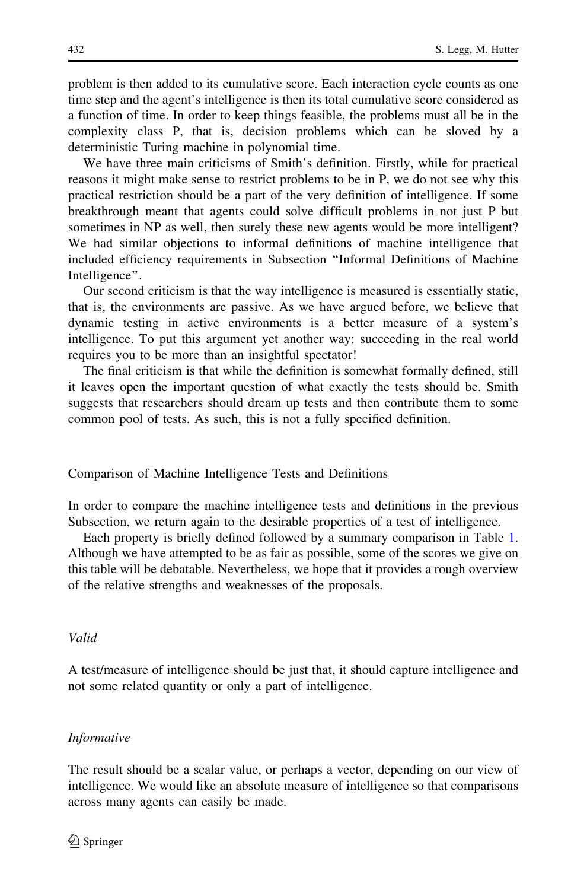problem is then added to its cumulative score. Each interaction cycle counts as one time step and the agent's intelligence is then its total cumulative score considered as a function of time. In order to keep things feasible, the problems must all be in the complexity class P, that is, decision problems which can be sloved by a deterministic Turing machine in polynomial time.

We have three main criticisms of Smith's definition. Firstly, while for practical reasons it might make sense to restrict problems to be in P, we do not see why this practical restriction should be a part of the very definition of intelligence. If some breakthrough meant that agents could solve difficult problems in not just P but sometimes in NP as well, then surely these new agents would be more intelligent? We had similar objections to informal definitions of machine intelligence that included efficiency requirements in Subsection ''Informal Definitions of Machine Intelligence''.

Our second criticism is that the way intelligence is measured is essentially static, that is, the environments are passive. As we have argued before, we believe that dynamic testing in active environments is a better measure of a system's intelligence. To put this argument yet another way: succeeding in the real world requires you to be more than an insightful spectator!

The final criticism is that while the definition is somewhat formally defined, still it leaves open the important question of what exactly the tests should be. Smith suggests that researchers should dream up tests and then contribute them to some common pool of tests. As such, this is not a fully specified definition.

Comparison of Machine Intelligence Tests and Definitions

In order to compare the machine intelligence tests and definitions in the previous Subsection, we return again to the desirable properties of a test of intelligence.

Each property is briefly defined followed by a summary comparison in Table [1.](#page-42-0) Although we have attempted to be as fair as possible, some of the scores we give on this table will be debatable. Nevertheless, we hope that it provides a rough overview of the relative strengths and weaknesses of the proposals.

### Valid

A test/measure of intelligence should be just that, it should capture intelligence and not some related quantity or only a part of intelligence.

#### Informative

The result should be a scalar value, or perhaps a vector, depending on our view of intelligence. We would like an absolute measure of intelligence so that comparisons across many agents can easily be made.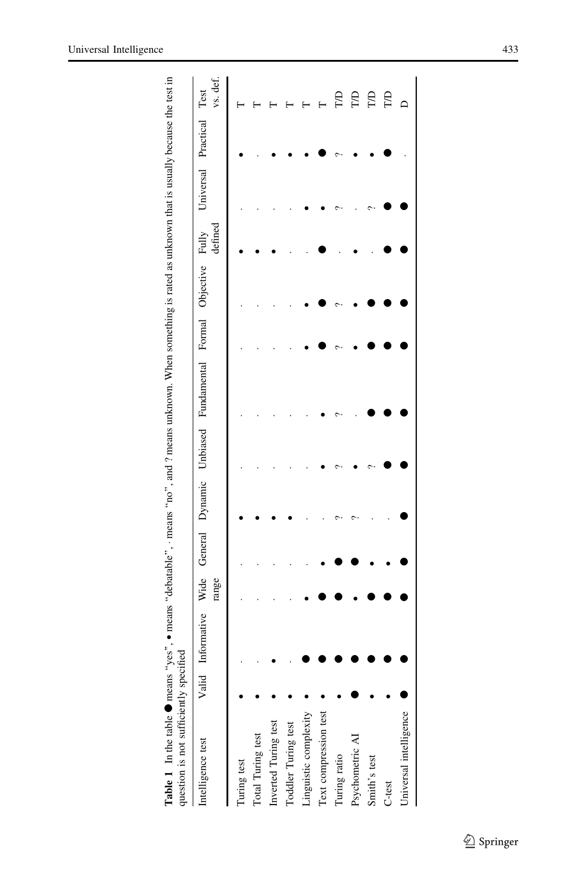| Table 1 In the table        | $\frac{1}{2}$ | "yes", • means "debatable", $\cdot$ means "no", and ? means unknown. When somet |  |  |                         |        | as unknown that is usu    |           |  |
|-----------------------------|---------------|---------------------------------------------------------------------------------|--|--|-------------------------|--------|---------------------------|-----------|--|
| uestion is not sufficiently |               | $_{\rm area}$                                                                   |  |  |                         |        |                           |           |  |
|                             |               | Informative Wide General Dynamic Hippiased                                      |  |  | <b>Fundamental</b><br>ľ | Formal | Dhiective Fully Universal | Test<br>Ì |  |

<span id="page-42-0"></span>

| Table 1 In the table $\bullet$ means "yes", $\bullet$ means "debatable", $\cdot$ means "no", and ? means unknown. When something is rated as unknown that is usually because the test in<br>question is not sufficiently specified |       |       |  |                                                                                                       |  |         |  |          |
|------------------------------------------------------------------------------------------------------------------------------------------------------------------------------------------------------------------------------------|-------|-------|--|-------------------------------------------------------------------------------------------------------|--|---------|--|----------|
| Intelligence test                                                                                                                                                                                                                  | Valid | range |  | Informative Wide General Dynamic Unbiased Fundamental Formal Objective Fully Universal Practical Test |  | defined |  | vs. def. |
| Turing test                                                                                                                                                                                                                        |       |       |  |                                                                                                       |  |         |  |          |
| Total Turing test                                                                                                                                                                                                                  |       |       |  |                                                                                                       |  |         |  |          |
| Inverted Turing test                                                                                                                                                                                                               |       |       |  |                                                                                                       |  |         |  |          |
| Toddler Turing test                                                                                                                                                                                                                |       |       |  |                                                                                                       |  |         |  |          |
| Linguistic complexity                                                                                                                                                                                                              |       |       |  |                                                                                                       |  |         |  |          |
| Text compression test                                                                                                                                                                                                              |       |       |  |                                                                                                       |  |         |  |          |
| Turing ratio                                                                                                                                                                                                                       |       |       |  |                                                                                                       |  |         |  | Ê        |
| Psychometric AI                                                                                                                                                                                                                    |       |       |  |                                                                                                       |  |         |  | E        |
| Smith's test                                                                                                                                                                                                                       |       |       |  |                                                                                                       |  |         |  | E        |
| C-test                                                                                                                                                                                                                             |       |       |  |                                                                                                       |  |         |  | E        |
| Universal intelligence                                                                                                                                                                                                             |       |       |  |                                                                                                       |  |         |  |          |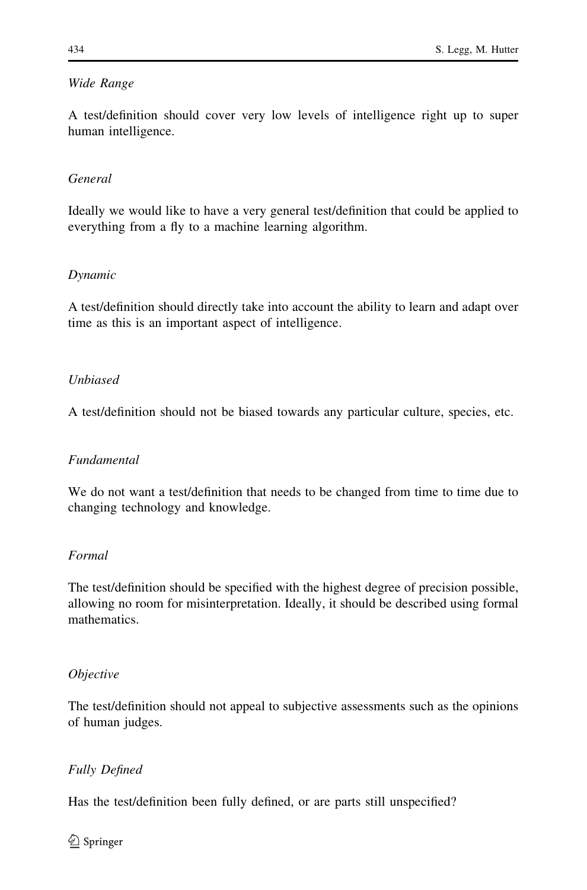# Wide Range

A test/definition should cover very low levels of intelligence right up to super human intelligence.

# General

Ideally we would like to have a very general test/definition that could be applied to everything from a fly to a machine learning algorithm.

# Dynamic

A test/definition should directly take into account the ability to learn and adapt over time as this is an important aspect of intelligence.

# Unbiased

A test/definition should not be biased towards any particular culture, species, etc.

# Fundamental

We do not want a test/definition that needs to be changed from time to time due to changing technology and knowledge.

# Formal

The test/definition should be specified with the highest degree of precision possible, allowing no room for misinterpretation. Ideally, it should be described using formal mathematics.

# **Objective**

The test/definition should not appeal to subjective assessments such as the opinions of human judges.

# Fully Defined

Has the test/definition been fully defined, or are parts still unspecified?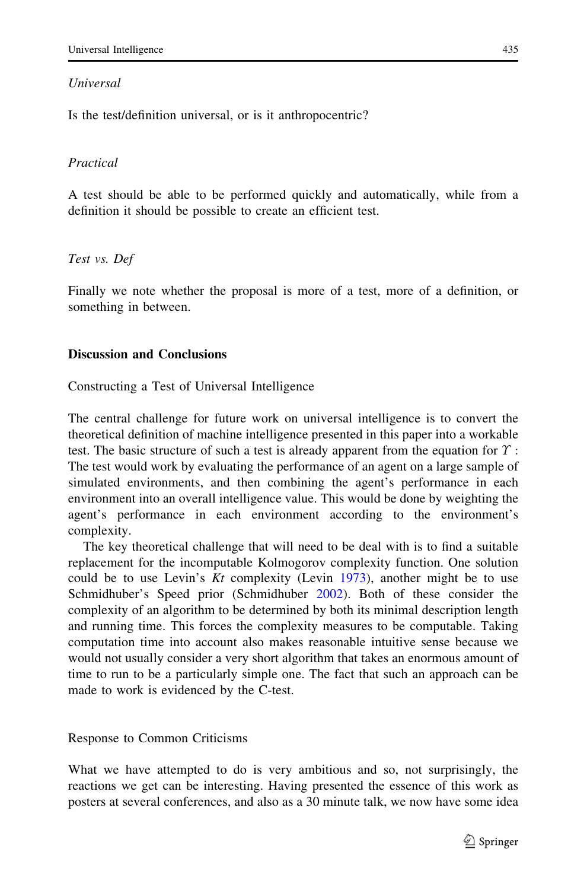### Universal

Is the test/definition universal, or is it anthropocentric?

# Practical

A test should be able to be performed quickly and automatically, while from a definition it should be possible to create an efficient test.

Test vs. Def

Finally we note whether the proposal is more of a test, more of a definition, or something in between.

# Discussion and Conclusions

Constructing a Test of Universal Intelligence

The central challenge for future work on universal intelligence is to convert the theoretical definition of machine intelligence presented in this paper into a workable test. The basic structure of such a test is already apparent from the equation for  $\gamma$ : The test would work by evaluating the performance of an agent on a large sample of simulated environments, and then combining the agent's performance in each environment into an overall intelligence value. This would be done by weighting the agent's performance in each environment according to the environment's complexity.

The key theoretical challenge that will need to be deal with is to find a suitable replacement for the incomputable Kolmogorov complexity function. One solution could be to use Levin's  $Kt$  complexity (Levin [1973](#page-51-0)), another might be to use Schmidhuber's Speed prior (Schmidhuber [2002\)](#page-52-0). Both of these consider the complexity of an algorithm to be determined by both its minimal description length and running time. This forces the complexity measures to be computable. Taking computation time into account also makes reasonable intuitive sense because we would not usually consider a very short algorithm that takes an enormous amount of time to run to be a particularly simple one. The fact that such an approach can be made to work is evidenced by the C-test.

Response to Common Criticisms

What we have attempted to do is very ambitious and so, not surprisingly, the reactions we get can be interesting. Having presented the essence of this work as posters at several conferences, and also as a 30 minute talk, we now have some idea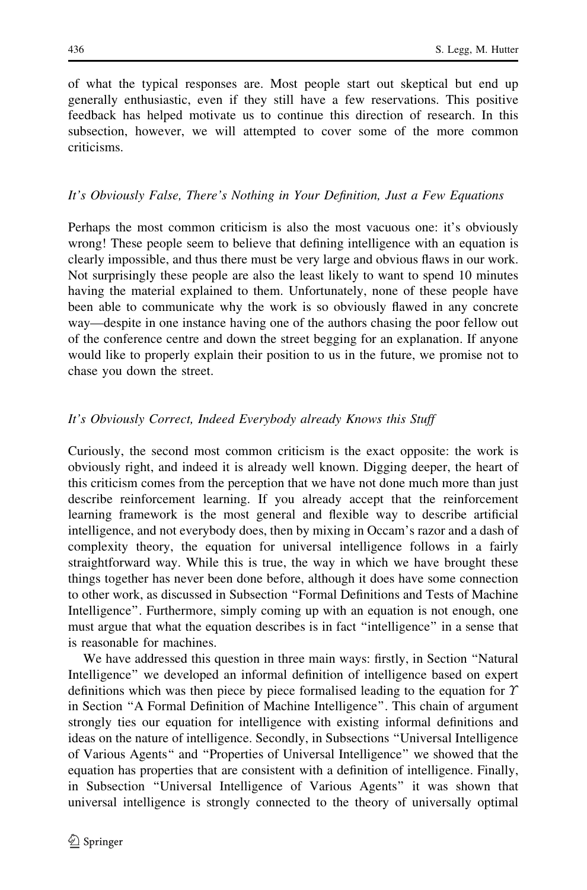of what the typical responses are. Most people start out skeptical but end up generally enthusiastic, even if they still have a few reservations. This positive feedback has helped motivate us to continue this direction of research. In this subsection, however, we will attempted to cover some of the more common criticisms.

# It's Obviously False, There's Nothing in Your Definition, Just a Few Equations

Perhaps the most common criticism is also the most vacuous one: it's obviously wrong! These people seem to believe that defining intelligence with an equation is clearly impossible, and thus there must be very large and obvious flaws in our work. Not surprisingly these people are also the least likely to want to spend 10 minutes having the material explained to them. Unfortunately, none of these people have been able to communicate why the work is so obviously flawed in any concrete way—despite in one instance having one of the authors chasing the poor fellow out of the conference centre and down the street begging for an explanation. If anyone would like to properly explain their position to us in the future, we promise not to chase you down the street.

# It's Obviously Correct, Indeed Everybody already Knows this Stuff

Curiously, the second most common criticism is the exact opposite: the work is obviously right, and indeed it is already well known. Digging deeper, the heart of this criticism comes from the perception that we have not done much more than just describe reinforcement learning. If you already accept that the reinforcement learning framework is the most general and flexible way to describe artificial intelligence, and not everybody does, then by mixing in Occam's razor and a dash of complexity theory, the equation for universal intelligence follows in a fairly straightforward way. While this is true, the way in which we have brought these things together has never been done before, although it does have some connection to other work, as discussed in Subsection ''Formal Definitions and Tests of Machine Intelligence''. Furthermore, simply coming up with an equation is not enough, one must argue that what the equation describes is in fact ''intelligence'' in a sense that is reasonable for machines.

We have addressed this question in three main ways: firstly, in Section ''Natural Intelligence'' we developed an informal definition of intelligence based on expert definitions which was then piece by piece formalised leading to the equation for  $\Upsilon$ in Section ''A Formal Definition of Machine Intelligence''. This chain of argument strongly ties our equation for intelligence with existing informal definitions and ideas on the nature of intelligence. Secondly, in Subsections ''Universal Intelligence of Various Agents'' and ''Properties of Universal Intelligence'' we showed that the equation has properties that are consistent with a definition of intelligence. Finally, in Subsection ''Universal Intelligence of Various Agents'' it was shown that universal intelligence is strongly connected to the theory of universally optimal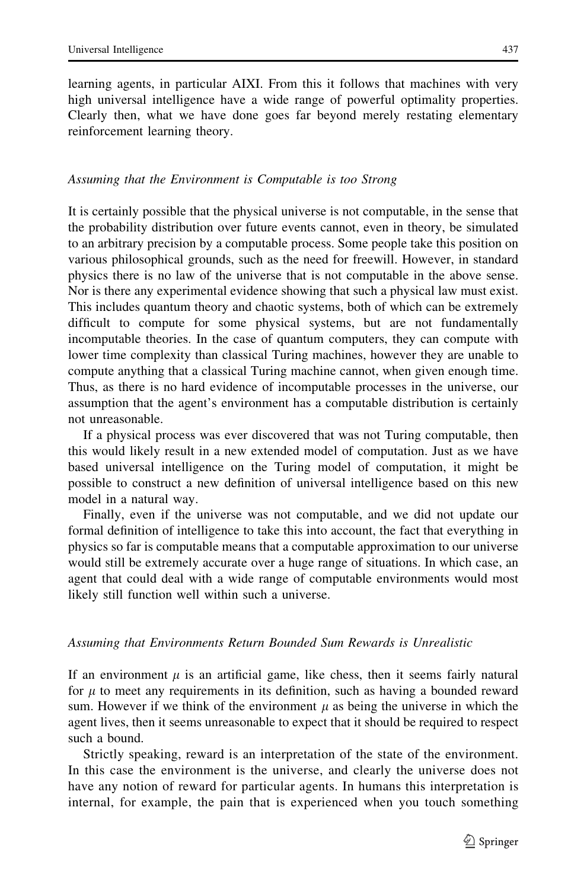learning agents, in particular AIXI. From this it follows that machines with very high universal intelligence have a wide range of powerful optimality properties. Clearly then, what we have done goes far beyond merely restating elementary reinforcement learning theory.

#### Assuming that the Environment is Computable is too Strong

It is certainly possible that the physical universe is not computable, in the sense that the probability distribution over future events cannot, even in theory, be simulated to an arbitrary precision by a computable process. Some people take this position on various philosophical grounds, such as the need for freewill. However, in standard physics there is no law of the universe that is not computable in the above sense. Nor is there any experimental evidence showing that such a physical law must exist. This includes quantum theory and chaotic systems, both of which can be extremely difficult to compute for some physical systems, but are not fundamentally incomputable theories. In the case of quantum computers, they can compute with lower time complexity than classical Turing machines, however they are unable to compute anything that a classical Turing machine cannot, when given enough time. Thus, as there is no hard evidence of incomputable processes in the universe, our assumption that the agent's environment has a computable distribution is certainly not unreasonable.

If a physical process was ever discovered that was not Turing computable, then this would likely result in a new extended model of computation. Just as we have based universal intelligence on the Turing model of computation, it might be possible to construct a new definition of universal intelligence based on this new model in a natural way.

Finally, even if the universe was not computable, and we did not update our formal definition of intelligence to take this into account, the fact that everything in physics so far is computable means that a computable approximation to our universe would still be extremely accurate over a huge range of situations. In which case, an agent that could deal with a wide range of computable environments would most likely still function well within such a universe.

#### Assuming that Environments Return Bounded Sum Rewards is Unrealistic

If an environment  $\mu$  is an artificial game, like chess, then it seems fairly natural for  $\mu$  to meet any requirements in its definition, such as having a bounded reward sum. However if we think of the environment  $\mu$  as being the universe in which the agent lives, then it seems unreasonable to expect that it should be required to respect such a bound.

Strictly speaking, reward is an interpretation of the state of the environment. In this case the environment is the universe, and clearly the universe does not have any notion of reward for particular agents. In humans this interpretation is internal, for example, the pain that is experienced when you touch something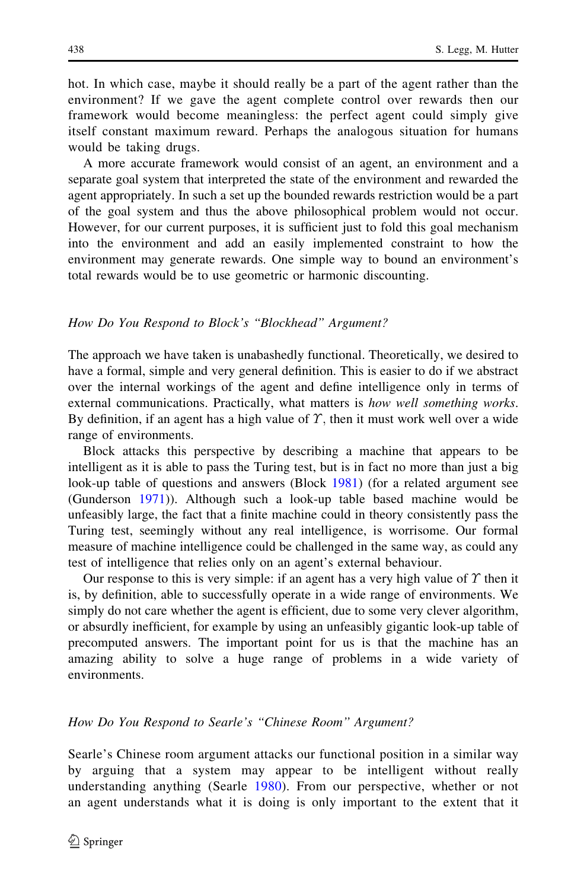hot. In which case, maybe it should really be a part of the agent rather than the environment? If we gave the agent complete control over rewards then our framework would become meaningless: the perfect agent could simply give itself constant maximum reward. Perhaps the analogous situation for humans would be taking drugs.

A more accurate framework would consist of an agent, an environment and a separate goal system that interpreted the state of the environment and rewarded the agent appropriately. In such a set up the bounded rewards restriction would be a part of the goal system and thus the above philosophical problem would not occur. However, for our current purposes, it is sufficient just to fold this goal mechanism into the environment and add an easily implemented constraint to how the environment may generate rewards. One simple way to bound an environment's total rewards would be to use geometric or harmonic discounting.

#### How Do You Respond to Block's ''Blockhead'' Argument?

The approach we have taken is unabashedly functional. Theoretically, we desired to have a formal, simple and very general definition. This is easier to do if we abstract over the internal workings of the agent and define intelligence only in terms of external communications. Practically, what matters is how well something works. By definition, if an agent has a high value of  $\gamma$ , then it must work well over a wide range of environments.

Block attacks this perspective by describing a machine that appears to be intelligent as it is able to pass the Turing test, but is in fact no more than just a big look-up table of questions and answers (Block [1981](#page-49-0)) (for a related argument see (Gunderson [1971\)](#page-50-0)). Although such a look-up table based machine would be unfeasibly large, the fact that a finite machine could in theory consistently pass the Turing test, seemingly without any real intelligence, is worrisome. Our formal measure of machine intelligence could be challenged in the same way, as could any test of intelligence that relies only on an agent's external behaviour.

Our response to this is very simple: if an agent has a very high value of  $\gamma$  then it is, by definition, able to successfully operate in a wide range of environments. We simply do not care whether the agent is efficient, due to some very clever algorithm, or absurdly inefficient, for example by using an unfeasibly gigantic look-up table of precomputed answers. The important point for us is that the machine has an amazing ability to solve a huge range of problems in a wide variety of environments.

#### How Do You Respond to Searle's ''Chinese Room'' Argument?

Searle's Chinese room argument attacks our functional position in a similar way by arguing that a system may appear to be intelligent without really understanding anything (Searle [1980](#page-52-0)). From our perspective, whether or not an agent understands what it is doing is only important to the extent that it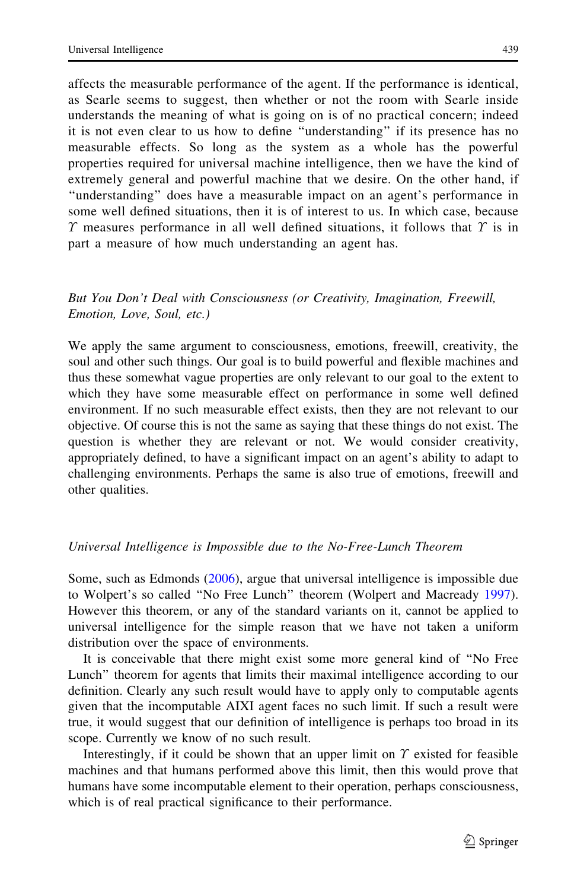affects the measurable performance of the agent. If the performance is identical, as Searle seems to suggest, then whether or not the room with Searle inside understands the meaning of what is going on is of no practical concern; indeed it is not even clear to us how to define ''understanding'' if its presence has no measurable effects. So long as the system as a whole has the powerful properties required for universal machine intelligence, then we have the kind of extremely general and powerful machine that we desire. On the other hand, if ''understanding'' does have a measurable impact on an agent's performance in some well defined situations, then it is of interest to us. In which case, because  $\gamma$  measures performance in all well defined situations, it follows that  $\gamma$  is in part a measure of how much understanding an agent has.

# But You Don't Deal with Consciousness (or Creativity, Imagination, Freewill, Emotion, Love, Soul, etc.)

We apply the same argument to consciousness, emotions, freewill, creativity, the soul and other such things. Our goal is to build powerful and flexible machines and thus these somewhat vague properties are only relevant to our goal to the extent to which they have some measurable effect on performance in some well defined environment. If no such measurable effect exists, then they are not relevant to our objective. Of course this is not the same as saying that these things do not exist. The question is whether they are relevant or not. We would consider creativity, appropriately defined, to have a significant impact on an agent's ability to adapt to challenging environments. Perhaps the same is also true of emotions, freewill and other qualities.

### Universal Intelligence is Impossible due to the No-Free-Lunch Theorem

Some, such as Edmonds [\(2006](#page-50-0)), argue that universal intelligence is impossible due to Wolpert's so called ''No Free Lunch'' theorem (Wolpert and Macready [1997\)](#page-53-0). However this theorem, or any of the standard variants on it, cannot be applied to universal intelligence for the simple reason that we have not taken a uniform distribution over the space of environments.

It is conceivable that there might exist some more general kind of ''No Free Lunch'' theorem for agents that limits their maximal intelligence according to our definition. Clearly any such result would have to apply only to computable agents given that the incomputable AIXI agent faces no such limit. If such a result were true, it would suggest that our definition of intelligence is perhaps too broad in its scope. Currently we know of no such result.

Interestingly, if it could be shown that an upper limit on  $\gamma$  existed for feasible machines and that humans performed above this limit, then this would prove that humans have some incomputable element to their operation, perhaps consciousness, which is of real practical significance to their performance.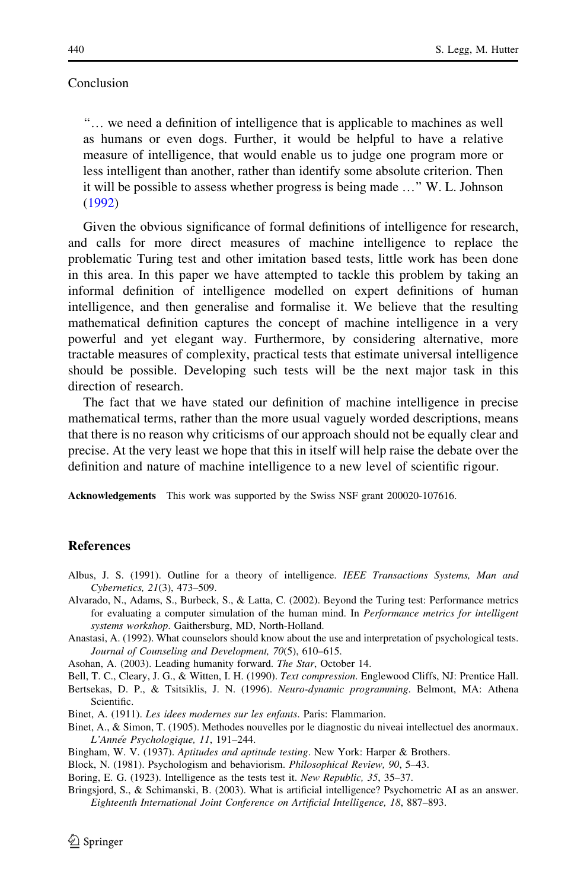<span id="page-49-0"></span>Conclusion

''… we need a definition of intelligence that is applicable to machines as well as humans or even dogs. Further, it would be helpful to have a relative measure of intelligence, that would enable us to judge one program more or less intelligent than another, rather than identify some absolute criterion. Then it will be possible to assess whether progress is being made …'' W. L. Johnson ([1992\)](#page-51-0)

Given the obvious significance of formal definitions of intelligence for research, and calls for more direct measures of machine intelligence to replace the problematic Turing test and other imitation based tests, little work has been done in this area. In this paper we have attempted to tackle this problem by taking an informal definition of intelligence modelled on expert definitions of human intelligence, and then generalise and formalise it. We believe that the resulting mathematical definition captures the concept of machine intelligence in a very powerful and yet elegant way. Furthermore, by considering alternative, more tractable measures of complexity, practical tests that estimate universal intelligence should be possible. Developing such tests will be the next major task in this direction of research.

The fact that we have stated our definition of machine intelligence in precise mathematical terms, rather than the more usual vaguely worded descriptions, means that there is no reason why criticisms of our approach should not be equally clear and precise. At the very least we hope that this in itself will help raise the debate over the definition and nature of machine intelligence to a new level of scientific rigour.

Acknowledgements This work was supported by the Swiss NSF grant 200020-107616.

#### **References**

- Albus, J. S. (1991). Outline for a theory of intelligence. IEEE Transactions Systems, Man and Cybernetics, 21(3), 473–509.
- Alvarado, N., Adams, S., Burbeck, S., & Latta, C. (2002). Beyond the Turing test: Performance metrics for evaluating a computer simulation of the human mind. In Performance metrics for intelligent systems workshop. Gaithersburg, MD, North-Holland.
- Anastasi, A. (1992). What counselors should know about the use and interpretation of psychological tests. Journal of Counseling and Development, 70(5), 610–615.
- Asohan, A. (2003). Leading humanity forward. The Star, October 14.
- Bell, T. C., Cleary, J. G., & Witten, I. H. (1990). Text compression. Englewood Cliffs, NJ: Prentice Hall.
- Bertsekas, D. P., & Tsitsiklis, J. N. (1996). Neuro-dynamic programming. Belmont, MA: Athena Scientific.
- Binet, A. (1911). Les idees modernes sur les enfants. Paris: Flammarion.
- Binet, A., & Simon, T. (1905). Methodes nouvelles por le diagnostic du niveai intellectuel des anormaux. L'Année Psychologique, 11, 191-244.
- Bingham, W. V. (1937). Aptitudes and aptitude testing. New York: Harper & Brothers.
- Block, N. (1981). Psychologism and behaviorism. Philosophical Review, 90, 5–43.
- Boring, E. G. (1923). Intelligence as the tests test it. New Republic, 35, 35–37.
- Bringsjord, S., & Schimanski, B. (2003). What is artificial intelligence? Psychometric AI as an answer. Eighteenth International Joint Conference on Artificial Intelligence, 18, 887–893.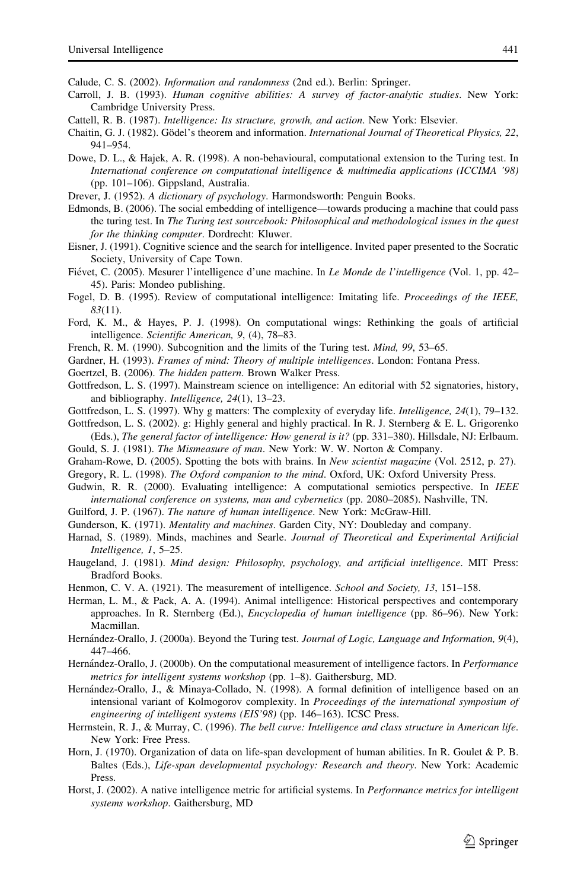<span id="page-50-0"></span>Calude, C. S. (2002). Information and randomness (2nd ed.). Berlin: Springer.

- Carroll, J. B. (1993). Human cognitive abilities: A survey of factor-analytic studies. New York: Cambridge University Press.
- Cattell, R. B. (1987). Intelligence: Its structure, growth, and action. New York: Elsevier.
- Chaitin, G. J. (1982). Gödel's theorem and information. *International Journal of Theoretical Physics*, 22, 941–954.
- Dowe, D. L., & Hajek, A. R. (1998). A non-behavioural, computational extension to the Turing test. In International conference on computational intelligence & multimedia applications (ICCIMA '98) (pp. 101–106). Gippsland, Australia.
- Drever, J. (1952). A dictionary of psychology. Harmondsworth: Penguin Books.
- Edmonds, B. (2006). The social embedding of intelligence—towards producing a machine that could pass the turing test. In The Turing test sourcebook: Philosophical and methodological issues in the quest for the thinking computer. Dordrecht: Kluwer.
- Eisner, J. (1991). Cognitive science and the search for intelligence. Invited paper presented to the Socratic Society, University of Cape Town.
- Fiévet, C. (2005). Mesurer l'intelligence d'une machine. In Le Monde de l'intelligence (Vol. 1, pp. 42– 45). Paris: Mondeo publishing.
- Fogel, D. B. (1995). Review of computational intelligence: Imitating life. Proceedings of the IEEE, 83(11).
- Ford, K. M., & Hayes, P. J. (1998). On computational wings: Rethinking the goals of artificial intelligence. Scientific American, 9, (4), 78–83.
- French, R. M. (1990). Subcognition and the limits of the Turing test. Mind, 99, 53–65.
- Gardner, H. (1993). Frames of mind: Theory of multiple intelligences. London: Fontana Press.
- Goertzel, B. (2006). The hidden pattern. Brown Walker Press.
- Gottfredson, L. S. (1997). Mainstream science on intelligence: An editorial with 52 signatories, history, and bibliography. Intelligence, 24(1), 13–23.
- Gottfredson, L. S. (1997). Why g matters: The complexity of everyday life. *Intelligence*, 24(1), 79–132.
- Gottfredson, L. S. (2002). g: Highly general and highly practical. In R. J. Sternberg & E. L. Grigorenko (Eds.), The general factor of intelligence: How general is it? (pp. 331–380). Hillsdale, NJ: Erlbaum.
- Gould, S. J. (1981). The Mismeasure of man. New York: W. W. Norton & Company.
- Graham-Rowe, D. (2005). Spotting the bots with brains. In *New scientist magazine* (Vol. 2512, p. 27).
- Gregory, R. L. (1998). The Oxford companion to the mind. Oxford, UK: Oxford University Press.
- Gudwin, R. R. (2000). Evaluating intelligence: A computational semiotics perspective. In IEEE international conference on systems, man and cybernetics (pp. 2080–2085). Nashville, TN.
- Guilford, J. P. (1967). The nature of human intelligence. New York: McGraw-Hill.
- Gunderson, K. (1971). Mentality and machines. Garden City, NY: Doubleday and company.
- Harnad, S. (1989). Minds, machines and Searle. Journal of Theoretical and Experimental Artificial Intelligence, 1, 5–25.
- Haugeland, J. (1981). Mind design: Philosophy, psychology, and artificial intelligence. MIT Press: Bradford Books.
- Henmon, C. V. A. (1921). The measurement of intelligence. School and Society, 13, 151–158.
- Herman, L. M., & Pack, A. A. (1994). Animal intelligence: Historical perspectives and contemporary approaches. In R. Sternberg (Ed.), Encyclopedia of human intelligence (pp. 86–96). New York: Macmillan.
- Hernández-Orallo, J. (2000a). Beyond the Turing test. Journal of Logic, Language and Information, 9(4), 447–466.
- Hernández-Orallo, J. (2000b). On the computational measurement of intelligence factors. In Performance metrics for intelligent systems workshop (pp. 1–8). Gaithersburg, MD.
- Hernández-Orallo, J., & Minaya-Collado, N. (1998). A formal definition of intelligence based on an intensional variant of Kolmogorov complexity. In Proceedings of the international symposium of engineering of intelligent systems (EIS'98) (pp. 146–163). ICSC Press.
- Herrnstein, R. J., & Murray, C. (1996). The bell curve: Intelligence and class structure in American life. New York: Free Press.
- Horn, J. (1970). Organization of data on life-span development of human abilities. In R. Goulet & P. B. Baltes (Eds.), Life-span developmental psychology: Research and theory. New York: Academic Press.
- Horst, J. (2002). A native intelligence metric for artificial systems. In *Performance metrics for intelligent* systems workshop. Gaithersburg, MD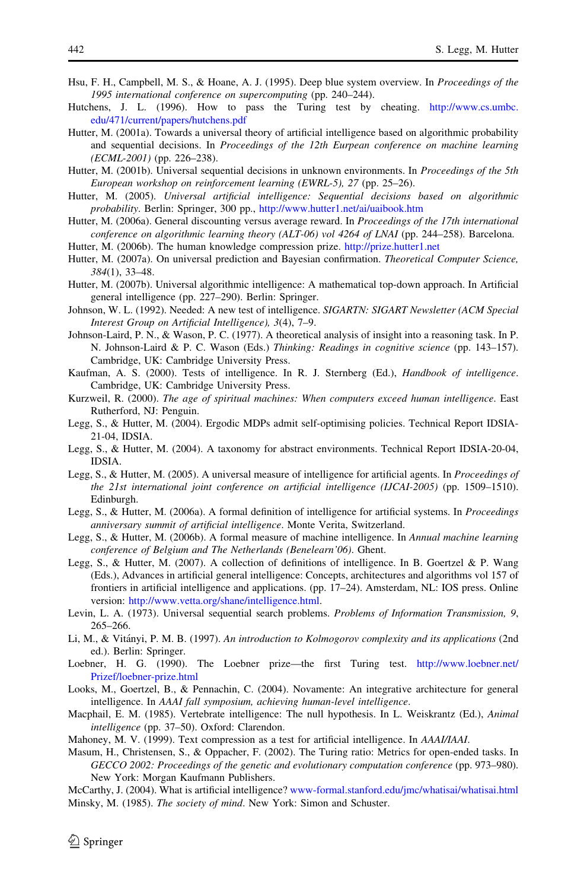- <span id="page-51-0"></span>Hsu, F. H., Campbell, M. S., & Hoane, A. J. (1995). Deep blue system overview. In *Proceedings of the* 1995 international conference on supercomputing (pp. 240–244).
- Hutchens, J. L. (1996). How to pass the Turing test by cheating. [http://www.cs.umbc.](http://www.cs.umbc.edu/471/current/papers/hutchens.pdf) [edu/471/current/papers/hutchens.pdf](http://www.cs.umbc.edu/471/current/papers/hutchens.pdf)
- Hutter, M. (2001a). Towards a universal theory of artificial intelligence based on algorithmic probability and sequential decisions. In Proceedings of the 12th Eurpean conference on machine learning (ECML-2001) (pp. 226–238).
- Hutter, M. (2001b). Universal sequential decisions in unknown environments. In *Proceedings of the 5th* European workshop on reinforcement learning (EWRL-5), 27 (pp. 25–26).
- Hutter, M. (2005). Universal artificial intelligence: Sequential decisions based on algorithmic probability. Berlin: Springer, 300 pp., <http://www.hutter1.net/ai/uaibook.htm>
- Hutter, M. (2006a). General discounting versus average reward. In *Proceedings of the 17th international* conference on algorithmic learning theory (ALT-06) vol 4264 of LNAI (pp. 244–258). Barcelona.
- Hutter, M. (2006b). The human knowledge compression prize. <http://prize.hutter1.net>
- Hutter, M. (2007a). On universal prediction and Bayesian confirmation. Theoretical Computer Science, 384(1), 33–48.
- Hutter, M. (2007b). Universal algorithmic intelligence: A mathematical top-down approach. In Artificial general intelligence (pp. 227–290). Berlin: Springer.
- Johnson, W. L. (1992). Needed: A new test of intelligence. SIGARTN: SIGART Newsletter (ACM Special Interest Group on Artificial Intelligence), 3(4), 7–9.
- Johnson-Laird, P. N., & Wason, P. C. (1977). A theoretical analysis of insight into a reasoning task. In P. N. Johnson-Laird & P. C. Wason (Eds.) Thinking: Readings in cognitive science (pp. 143–157). Cambridge, UK: Cambridge University Press.
- Kaufman, A. S. (2000). Tests of intelligence. In R. J. Sternberg (Ed.), Handbook of intelligence. Cambridge, UK: Cambridge University Press.
- Kurzweil, R. (2000). The age of spiritual machines: When computers exceed human intelligence. East Rutherford, NJ: Penguin.
- Legg, S., & Hutter, M. (2004). Ergodic MDPs admit self-optimising policies. Technical Report IDSIA-21-04, IDSIA.
- Legg, S., & Hutter, M. (2004). A taxonomy for abstract environments. Technical Report IDSIA-20-04, IDSIA.
- Legg, S., & Hutter, M. (2005). A universal measure of intelligence for artificial agents. In Proceedings of the 21st international joint conference on artificial intelligence (IJCAI-2005) (pp. 1509–1510). Edinburgh.
- Legg, S., & Hutter, M. (2006a). A formal definition of intelligence for artificial systems. In Proceedings anniversary summit of artificial intelligence. Monte Verita, Switzerland.
- Legg, S., & Hutter, M. (2006b). A formal measure of machine intelligence. In Annual machine learning conference of Belgium and The Netherlands (Benelearn'06). Ghent.
- Legg, S., & Hutter, M. (2007). A collection of definitions of intelligence. In B. Goertzel & P. Wang (Eds.), Advances in artificial general intelligence: Concepts, architectures and algorithms vol 157 of frontiers in artificial intelligence and applications. (pp. 17–24). Amsterdam, NL: IOS press. Online version: <http://www.vetta.org/shane/intelligence.html>.
- Levin, L. A. (1973). Universal sequential search problems. Problems of Information Transmission, 9, 265–266.
- Li, M., & Vitányi, P. M. B. (1997). An introduction to Kolmogorov complexity and its applications (2nd ed.). Berlin: Springer.
- Loebner, H. G. (1990). The Loebner prize—the first Turing test. [http://www.loebner.net/](http://www.loebner.net/Prizef/loebner-prize.html) [Prizef/loebner-prize.html](http://www.loebner.net/Prizef/loebner-prize.html)
- Looks, M., Goertzel, B., & Pennachin, C. (2004). Novamente: An integrative architecture for general intelligence. In AAAI fall symposium, achieving human-level intelligence.
- Macphail, E. M. (1985). Vertebrate intelligence: The null hypothesis. In L. Weiskrantz (Ed.), Animal intelligence (pp. 37–50). Oxford: Clarendon.
- Mahoney, M. V. (1999). Text compression as a test for artificial intelligence. In AAAI/IAAI.
- Masum, H., Christensen, S., & Oppacher, F. (2002). The Turing ratio: Metrics for open-ended tasks. In GECCO 2002: Proceedings of the genetic and evolutionary computation conference (pp. 973–980). New York: Morgan Kaufmann Publishers.
- McCarthy, J. (2004). What is artificial intelligence? [www-formal.stanford.edu/jmc/whatisai/whatisai.html](http://www-formal.stanford.edu/jmc/whatisai/whatisai.html) Minsky, M. (1985). The society of mind. New York: Simon and Schuster.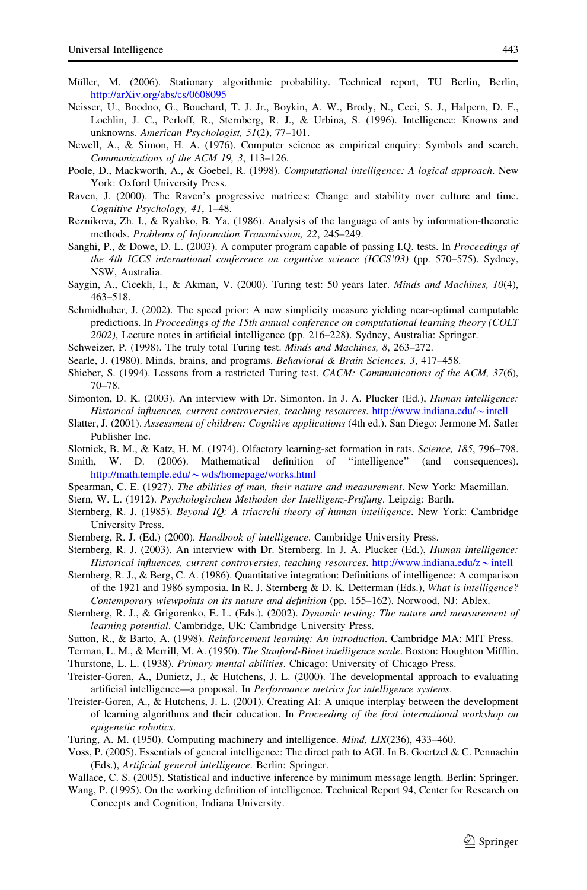- <span id="page-52-0"></span>Müller, M. (2006). Stationary algorithmic probability. Technical report, TU Berlin, Berlin, <http://arXiv.org/abs/cs/0608095>
- Neisser, U., Boodoo, G., Bouchard, T. J. Jr., Boykin, A. W., Brody, N., Ceci, S. J., Halpern, D. F., Loehlin, J. C., Perloff, R., Sternberg, R. J., & Urbina, S. (1996). Intelligence: Knowns and unknowns. American Psychologist, 51(2), 77–101.
- Newell, A., & Simon, H. A. (1976). Computer science as empirical enquiry: Symbols and search. Communications of the ACM 19, 3, 113–126.
- Poole, D., Mackworth, A., & Goebel, R. (1998). Computational intelligence: A logical approach. New York: Oxford University Press.
- Raven, J. (2000). The Raven's progressive matrices: Change and stability over culture and time. Cognitive Psychology, 41, 1–48.
- Reznikova, Zh. I., & Ryabko, B. Ya. (1986). Analysis of the language of ants by information-theoretic methods. Problems of Information Transmission, 22, 245–249.
- Sanghi, P., & Dowe, D. L. (2003). A computer program capable of passing I.Q. tests. In Proceedings of the 4th ICCS international conference on cognitive science (ICCS'03) (pp. 570–575). Sydney, NSW, Australia.
- Saygin, A., Cicekli, I., & Akman, V. (2000). Turing test: 50 years later. Minds and Machines, 10(4), 463–518.
- Schmidhuber, J. (2002). The speed prior: A new simplicity measure yielding near-optimal computable predictions. In Proceedings of the 15th annual conference on computational learning theory (COLT 2002), Lecture notes in artificial intelligence (pp. 216–228). Sydney, Australia: Springer.
- Schweizer, P. (1998). The truly total Turing test. Minds and Machines, 8, 263–272.
- Searle, J. (1980). Minds, brains, and programs. Behavioral & Brain Sciences, 3, 417–458.
- Shieber, S. (1994). Lessons from a restricted Turing test. CACM: Communications of the ACM, 37(6), 70–78.
- Simonton, D. K. (2003). An interview with Dr. Simonton. In J. A. Plucker (Ed.), *Human intelligence:* Historical influences, current controversies, teaching resources. [http://www.indiana.edu/](http://www.indiana.edu/$\sim$intell) $\sim$ intell
- Slatter, J. (2001). Assessment of children: Cognitive applications (4th ed.). San Diego: Jermone M. Satler Publisher Inc.
- Slotnick, B. M., & Katz, H. M. (1974). Olfactory learning-set formation in rats. Science, 185, 796–798.
- Smith, W. D. (2006). Mathematical definition of ''intelligence'' (and consequences). http://math.temple.edu/ $\sim$ [wds/homepage/works.html](http://math.temple.edu/$\sim$wds/homepage/works.html)
- Spearman, C. E. (1927). The abilities of man, their nature and measurement. New York: Macmillan.
- Stern, W. L. (1912). Psychologischen Methoden der Intelligenz-Prüfung. Leipzig: Barth.
- Sternberg, R. J. (1985). Beyond IQ: A triacrchi theory of human intelligence. New York: Cambridge University Press.
- Sternberg, R. J. (Ed.) (2000). Handbook of intelligence. Cambridge University Press.
- Sternberg, R. J. (2003). An interview with Dr. Sternberg. In J. A. Plucker (Ed.), *Human intelligence:* Historical influences, current controversies, teaching resources. [http://www.indiana.edu/z](http://www.indiana.edu/z$\sim$intell)  $\sim$  intell
- Sternberg, R. J., & Berg, C. A. (1986). Quantitative integration: Definitions of intelligence: A comparison of the 1921 and 1986 symposia. In R. J. Sternberg & D. K. Detterman (Eds.), What is intelligence? Contemporary wiewpoints on its nature and definition (pp. 155–162). Norwood, NJ: Ablex.
- Sternberg, R. J., & Grigorenko, E. L. (Eds.). (2002). Dynamic testing: The nature and measurement of learning potential. Cambridge, UK: Cambridge University Press.
- Sutton, R., & Barto, A. (1998). Reinforcement learning: An introduction. Cambridge MA: MIT Press.
- Terman, L. M., & Merrill, M. A. (1950). The Stanford-Binet intelligence scale. Boston: Houghton Mifflin.
- Thurstone, L. L. (1938). Primary mental abilities. Chicago: University of Chicago Press.
- Treister-Goren, A., Dunietz, J., & Hutchens, J. L. (2000). The developmental approach to evaluating artificial intelligence—a proposal. In Performance metrics for intelligence systems.
- Treister-Goren, A., & Hutchens, J. L. (2001). Creating AI: A unique interplay between the development of learning algorithms and their education. In Proceeding of the first international workshop on epigenetic robotics.
- Turing, A. M. (1950). Computing machinery and intelligence. Mind, LIX(236), 433–460.
- Voss, P. (2005). Essentials of general intelligence: The direct path to AGI. In B. Goertzel & C. Pennachin (Eds.), Artificial general intelligence. Berlin: Springer.
- Wallace, C. S. (2005). Statistical and inductive inference by minimum message length. Berlin: Springer.
- Wang, P. (1995). On the working definition of intelligence. Technical Report 94, Center for Research on Concepts and Cognition, Indiana University.